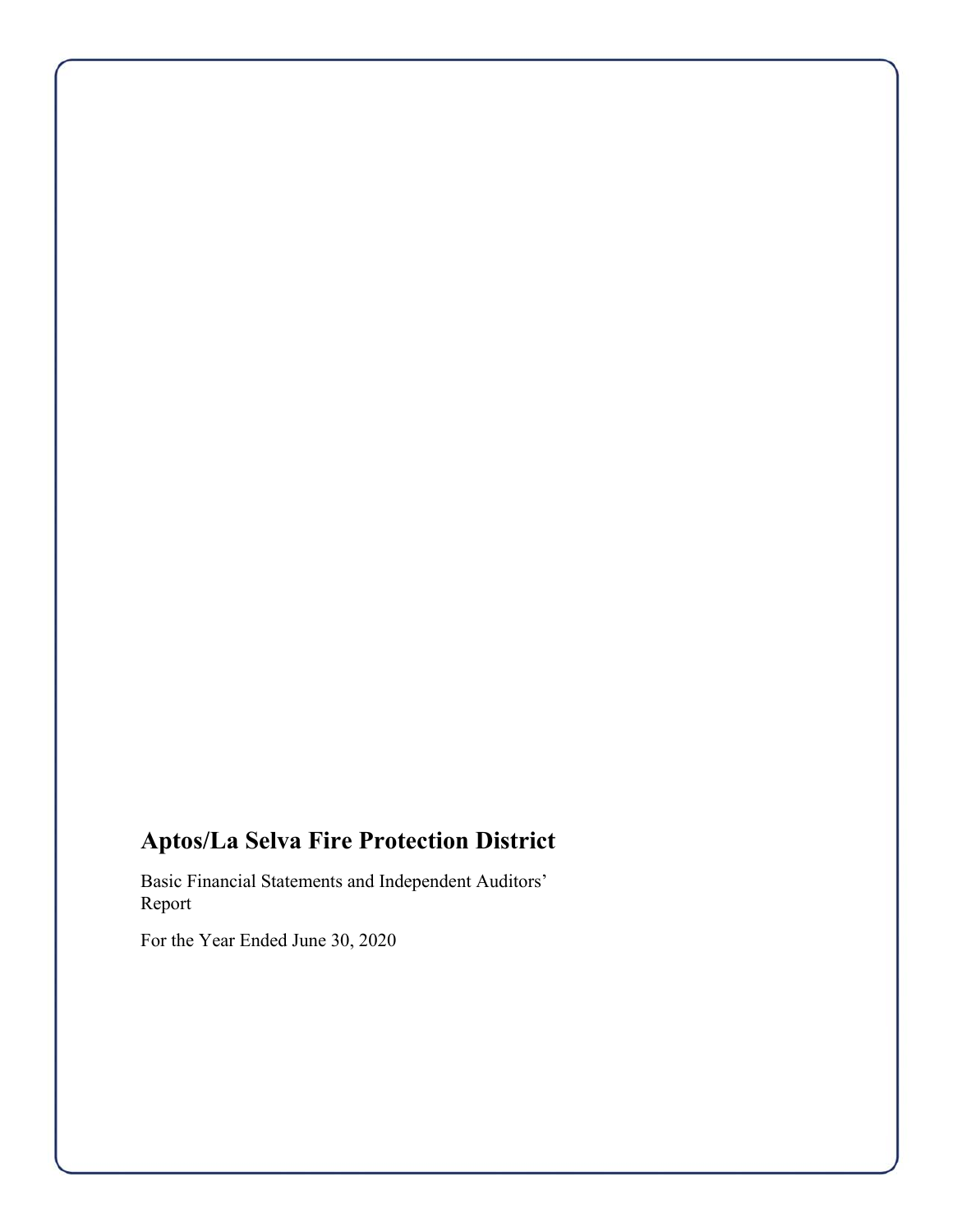Basic Financial Statements and Independent Auditors' Report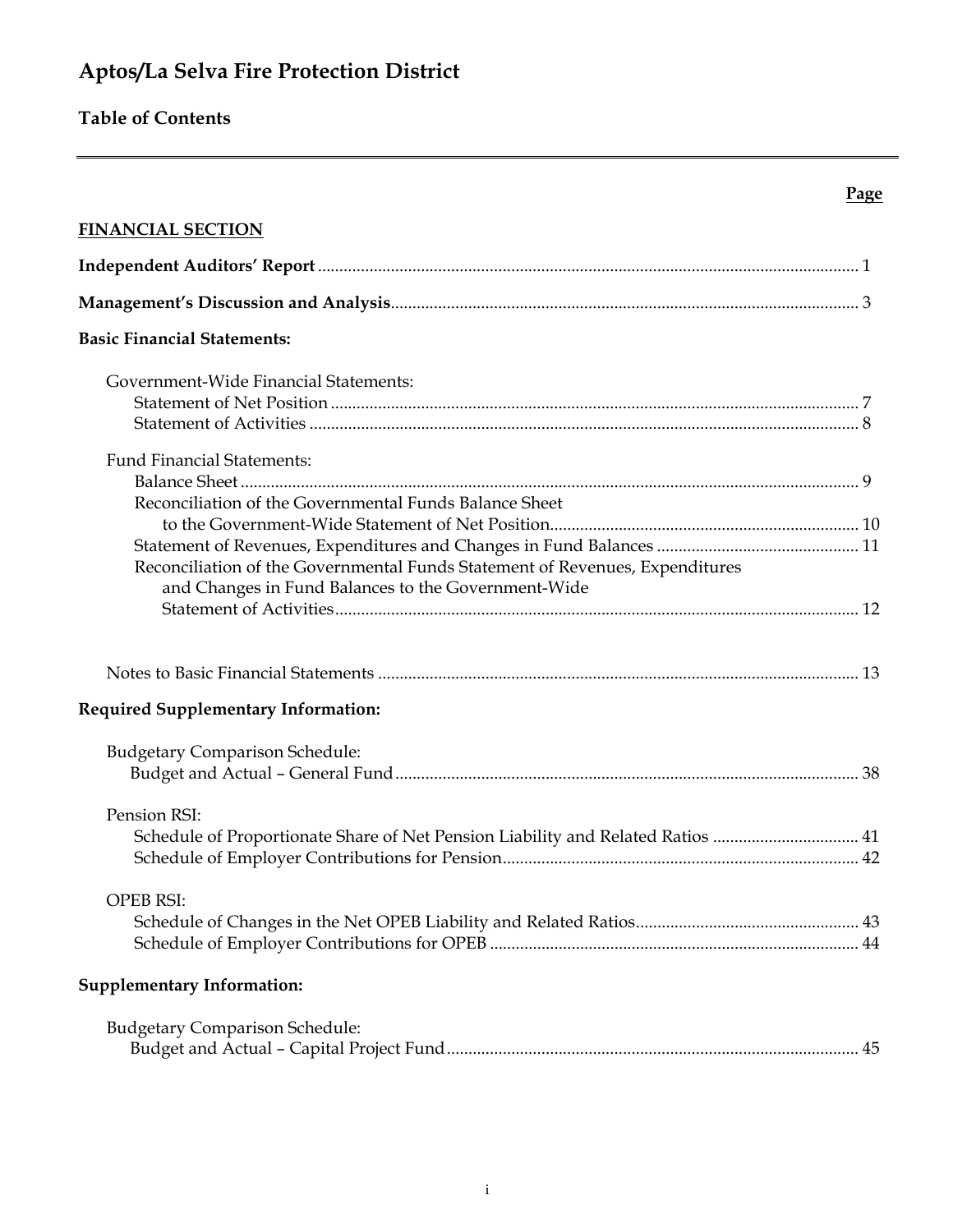# **Table of Contents**

# **Page**

| <b>FINANCIAL SECTION</b>                                                        |  |
|---------------------------------------------------------------------------------|--|
|                                                                                 |  |
|                                                                                 |  |
| <b>Basic Financial Statements:</b>                                              |  |
| Government-Wide Financial Statements:                                           |  |
|                                                                                 |  |
| <b>Fund Financial Statements:</b>                                               |  |
| Reconciliation of the Governmental Funds Balance Sheet                          |  |
|                                                                                 |  |
|                                                                                 |  |
| Reconciliation of the Governmental Funds Statement of Revenues, Expenditures    |  |
| and Changes in Fund Balances to the Government-Wide                             |  |
|                                                                                 |  |
| <b>Required Supplementary Information:</b>                                      |  |
| <b>Budgetary Comparison Schedule:</b>                                           |  |
|                                                                                 |  |
| Pension RSI:                                                                    |  |
| Schedule of Proportionate Share of Net Pension Liability and Related Ratios  41 |  |
|                                                                                 |  |
| <b>OPEB RSI:</b>                                                                |  |
|                                                                                 |  |
|                                                                                 |  |
| <b>Supplementary Information:</b>                                               |  |
| <b>Budgetary Comparison Schedule:</b>                                           |  |
|                                                                                 |  |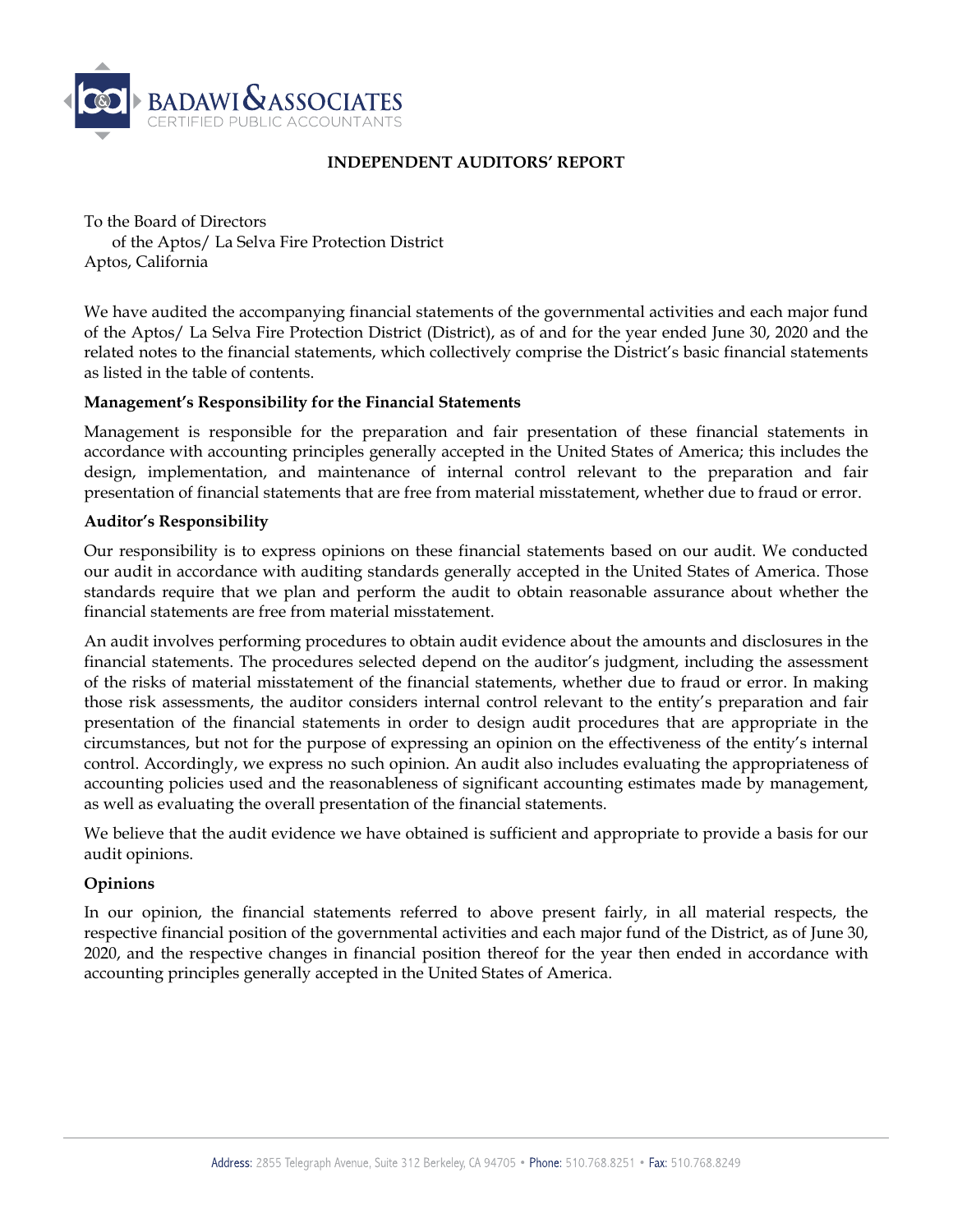

#### **INDEPENDENT AUDITORS' REPORT**

To the Board of Directors of the Aptos/ La Selva Fire Protection District Aptos, California

We have audited the accompanying financial statements of the governmental activities and each major fund of the Aptos/ La Selva Fire Protection District (District), as of and for the year ended June 30, 2020 and the related notes to the financial statements, which collectively comprise the District's basic financial statements as listed in the table of contents.

#### **Management's Responsibility for the Financial Statements**

Management is responsible for the preparation and fair presentation of these financial statements in accordance with accounting principles generally accepted in the United States of America; this includes the design, implementation, and maintenance of internal control relevant to the preparation and fair presentation of financial statements that are free from material misstatement, whether due to fraud or error.

#### **Auditor's Responsibility**

Our responsibility is to express opinions on these financial statements based on our audit. We conducted our audit in accordance with auditing standards generally accepted in the United States of America. Those standards require that we plan and perform the audit to obtain reasonable assurance about whether the financial statements are free from material misstatement.

An audit involves performing procedures to obtain audit evidence about the amounts and disclosures in the financial statements. The procedures selected depend on the auditor's judgment, including the assessment of the risks of material misstatement of the financial statements, whether due to fraud or error. In making those risk assessments, the auditor considers internal control relevant to the entity's preparation and fair presentation of the financial statements in order to design audit procedures that are appropriate in the circumstances, but not for the purpose of expressing an opinion on the effectiveness of the entity's internal control. Accordingly, we express no such opinion. An audit also includes evaluating the appropriateness of accounting policies used and the reasonableness of significant accounting estimates made by management, as well as evaluating the overall presentation of the financial statements.

We believe that the audit evidence we have obtained is sufficient and appropriate to provide a basis for our audit opinions.

#### **Opinions**

In our opinion, the financial statements referred to above present fairly, in all material respects, the respective financial position of the governmental activities and each major fund of the District, as of June 30, 2020, and the respective changes in financial position thereof for the year then ended in accordance with accounting principles generally accepted in the United States of America.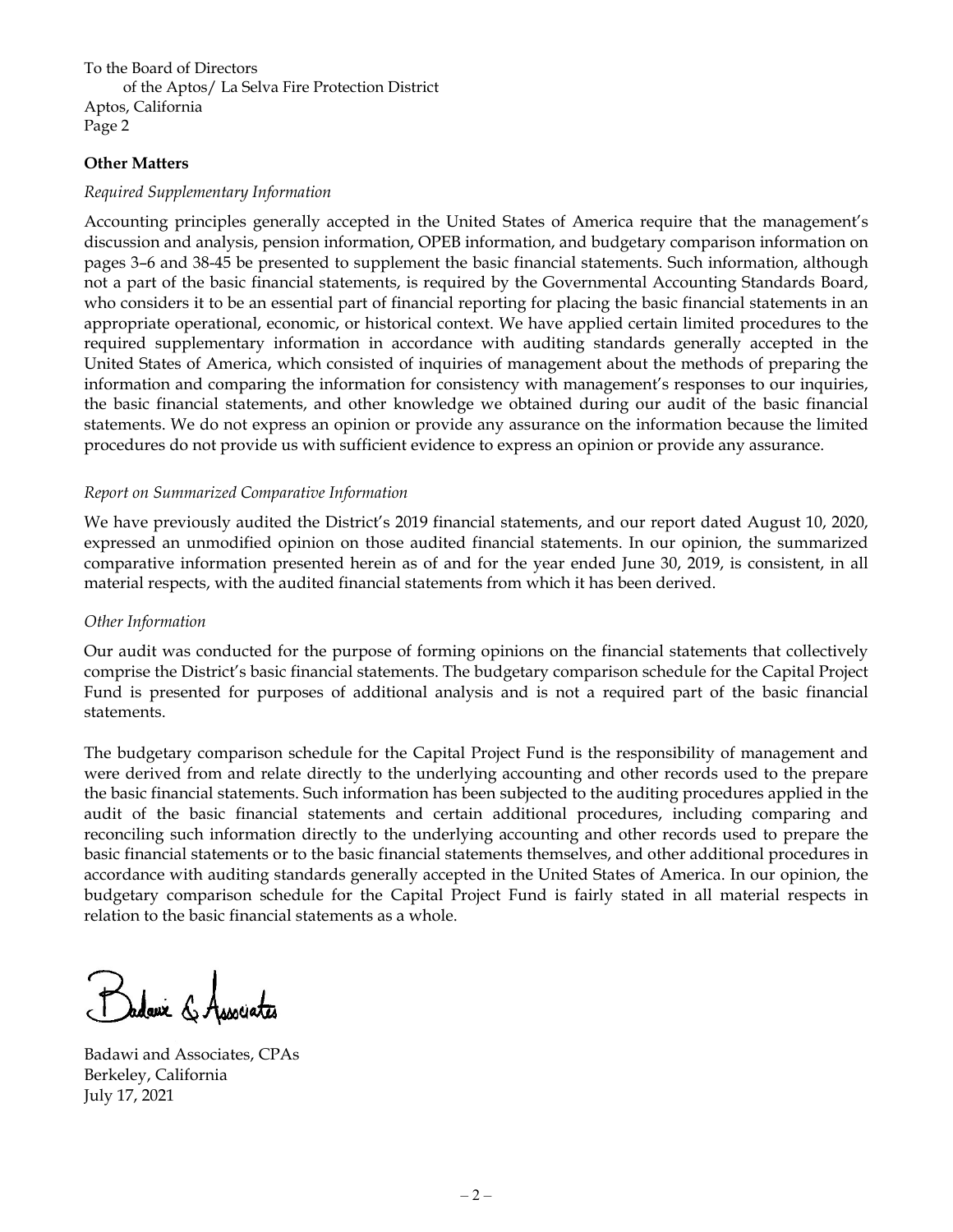To the Board of Directors of the Aptos/ La Selva Fire Protection District Aptos, California Page 2

#### **Other Matters**

#### *Required Supplementary Information*

Accounting principles generally accepted in the United States of America require that the management's discussion and analysis, pension information, OPEB information, and budgetary comparison information on pages 3–6 and 38-45 be presented to supplement the basic financial statements. Such information, although not a part of the basic financial statements, is required by the Governmental Accounting Standards Board, who considers it to be an essential part of financial reporting for placing the basic financial statements in an appropriate operational, economic, or historical context. We have applied certain limited procedures to the required supplementary information in accordance with auditing standards generally accepted in the United States of America, which consisted of inquiries of management about the methods of preparing the information and comparing the information for consistency with management's responses to our inquiries, the basic financial statements, and other knowledge we obtained during our audit of the basic financial statements. We do not express an opinion or provide any assurance on the information because the limited procedures do not provide us with sufficient evidence to express an opinion or provide any assurance.

#### *Report on Summarized Comparative Information*

We have previously audited the District's 2019 financial statements, and our report dated August 10, 2020, expressed an unmodified opinion on those audited financial statements. In our opinion, the summarized comparative information presented herein as of and for the year ended June 30, 2019, is consistent, in all material respects, with the audited financial statements from which it has been derived.

#### *Other Information*

Our audit was conducted for the purpose of forming opinions on the financial statements that collectively comprise the District's basic financial statements. The budgetary comparison schedule for the Capital Project Fund is presented for purposes of additional analysis and is not a required part of the basic financial statements.

The budgetary comparison schedule for the Capital Project Fund is the responsibility of management and were derived from and relate directly to the underlying accounting and other records used to the prepare the basic financial statements. Such information has been subjected to the auditing procedures applied in the audit of the basic financial statements and certain additional procedures, including comparing and reconciling such information directly to the underlying accounting and other records used to prepare the basic financial statements or to the basic financial statements themselves, and other additional procedures in accordance with auditing standards generally accepted in the United States of America. In our opinion, the budgetary comparison schedule for the Capital Project Fund is fairly stated in all material respects in relation to the basic financial statements as a whole.

Indone & Associates

Badawi and Associates, CPAs Berkeley, California July 17, 2021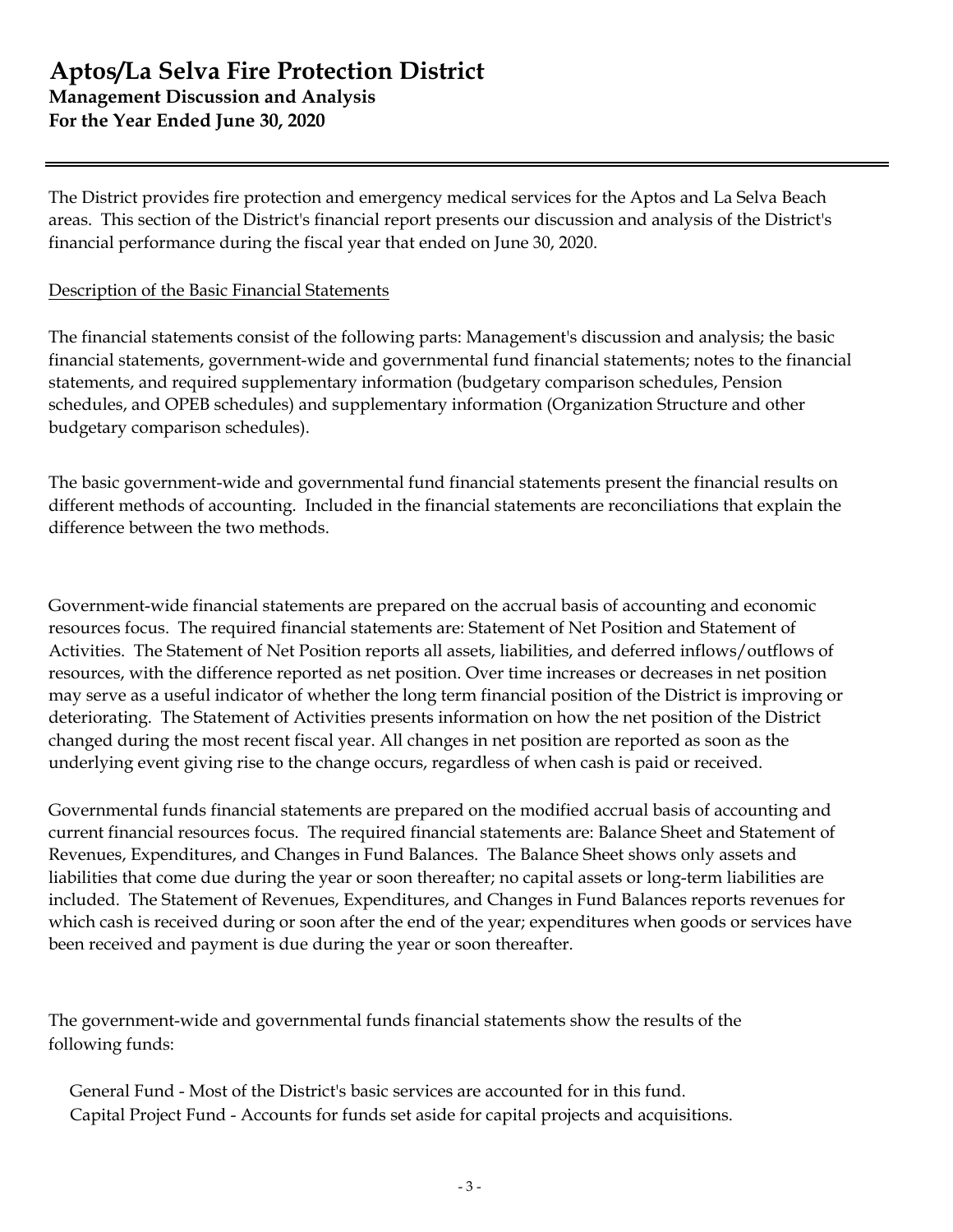The District provides fire protection and emergency medical services for the Aptos and La Selva Beach areas. This section of the District's financial report presents our discussion and analysis of the District's financial performance during the fiscal year that ended on June 30, 2020.

#### Description of the Basic Financial Statements

The financial statements consist of the following parts: Management's discussion and analysis; the basic financial statements, government-wide and governmental fund financial statements; notes to the financial statements, and required supplementary information (budgetary comparison schedules, Pension schedules, and OPEB schedules) and supplementary information (Organization Structure and other budgetary comparison schedules).

The basic government-wide and governmental fund financial statements present the financial results on different methods of accounting. Included in the financial statements are reconciliations that explain the difference between the two methods.

Government-wide financial statements are prepared on the accrual basis of accounting and economic resources focus. The required financial statements are: Statement of Net Position and Statement of Activities. The Statement of Net Position reports all assets, liabilities, and deferred inflows/outflows of resources, with the difference reported as net position. Over time increases or decreases in net position may serve as a useful indicator of whether the long term financial position of the District is improving or deteriorating. The Statement of Activities presents information on how the net position of the District changed during the most recent fiscal year. All changes in net position are reported as soon as the underlying event giving rise to the change occurs, regardless of when cash is paid or received.

Governmental funds financial statements are prepared on the modified accrual basis of accounting and current financial resources focus. The required financial statements are: Balance Sheet and Statement of Revenues, Expenditures, and Changes in Fund Balances. The Balance Sheet shows only assets and liabilities that come due during the year or soon thereafter; no capital assets or long-term liabilities are included. The Statement of Revenues, Expenditures, and Changes in Fund Balances reports revenues for which cash is received during or soon after the end of the year; expenditures when goods or services have been received and payment is due during the year or soon thereafter.

The government-wide and governmental funds financial statements show the results of the following funds:

 General Fund - Most of the District's basic services are accounted for in this fund. Capital Project Fund - Accounts for funds set aside for capital projects and acquisitions.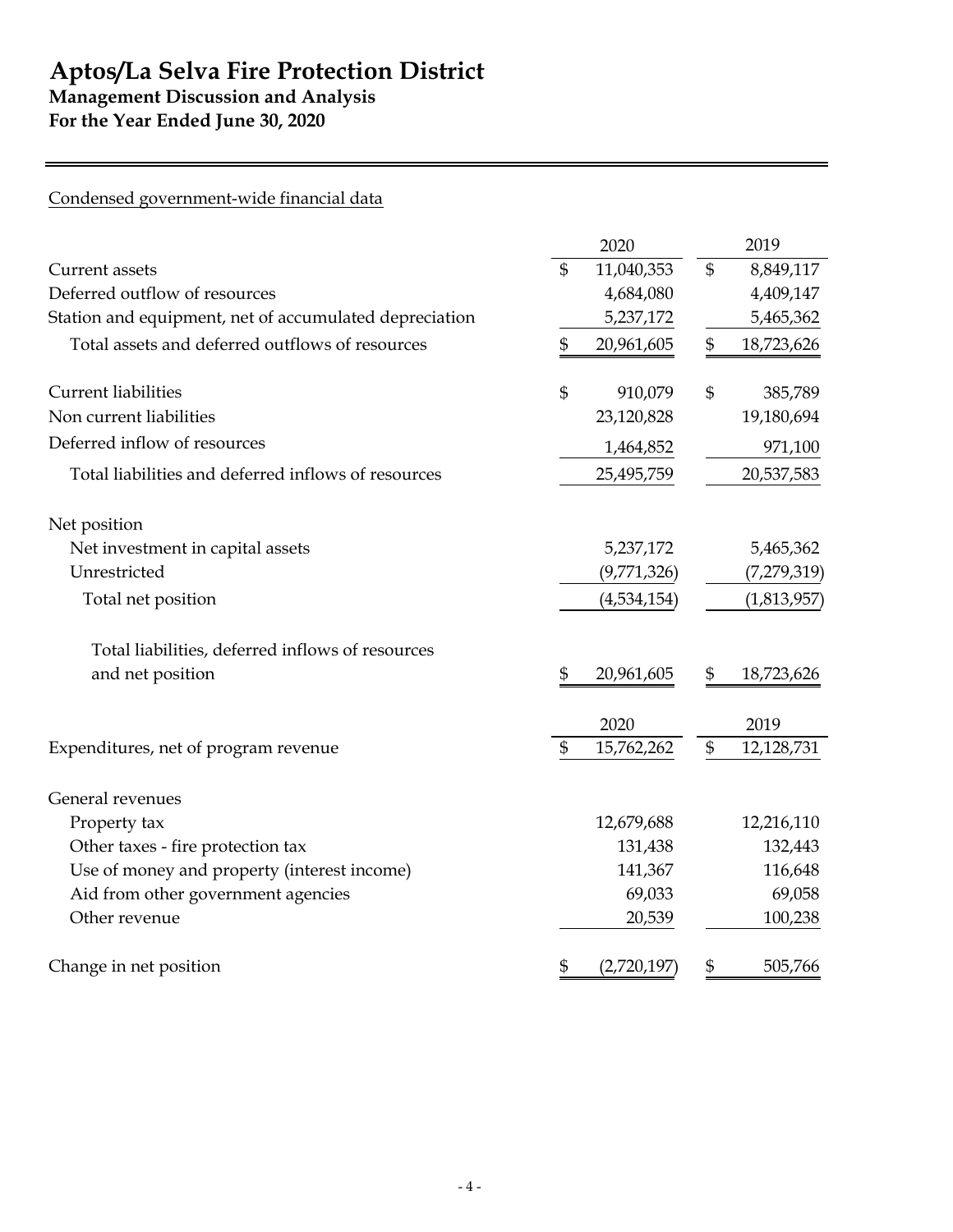**For the Year Ended June 30, 2020**

## Condensed government-wide financial data

|                                                        |                | 2020        |                            | 2019        |
|--------------------------------------------------------|----------------|-------------|----------------------------|-------------|
| <b>Current</b> assets                                  | $\mathfrak{S}$ | 11,040,353  | $\mathfrak{S}$             | 8,849,117   |
| Deferred outflow of resources                          |                | 4,684,080   |                            | 4,409,147   |
| Station and equipment, net of accumulated depreciation |                | 5,237,172   |                            | 5,465,362   |
| Total assets and deferred outflows of resources        | \$             | 20,961,605  | $\boldsymbol{\mathsf{\$}}$ | 18,723,626  |
| <b>Current liabilities</b>                             | \$             | 910,079     | \$                         | 385,789     |
| Non current liabilities                                |                | 23,120,828  |                            | 19,180,694  |
| Deferred inflow of resources                           |                | 1,464,852   |                            | 971,100     |
| Total liabilities and deferred inflows of resources    |                | 25,495,759  |                            | 20,537,583  |
| Net position                                           |                |             |                            |             |
| Net investment in capital assets                       |                | 5,237,172   |                            | 5,465,362   |
| Unrestricted                                           |                | (9,771,326) |                            | (7,279,319) |
| Total net position                                     |                | (4,534,154) |                            | (1,813,957) |
| Total liabilities, deferred inflows of resources       |                |             |                            |             |
| and net position                                       | \$             | 20,961,605  | \$                         | 18,723,626  |
|                                                        |                | 2020        |                            | 2019        |
| Expenditures, net of program revenue                   | \$             | 15,762,262  | \$                         | 12,128,731  |
| General revenues                                       |                |             |                            |             |
| Property tax                                           |                | 12,679,688  |                            | 12,216,110  |
| Other taxes - fire protection tax                      |                | 131,438     |                            | 132,443     |
| Use of money and property (interest income)            |                | 141,367     |                            | 116,648     |
| Aid from other government agencies                     |                | 69,033      |                            | 69,058      |
| Other revenue                                          |                | 20,539      |                            | 100,238     |
| Change in net position                                 | \$             | (2,720,197) | \$                         | 505,766     |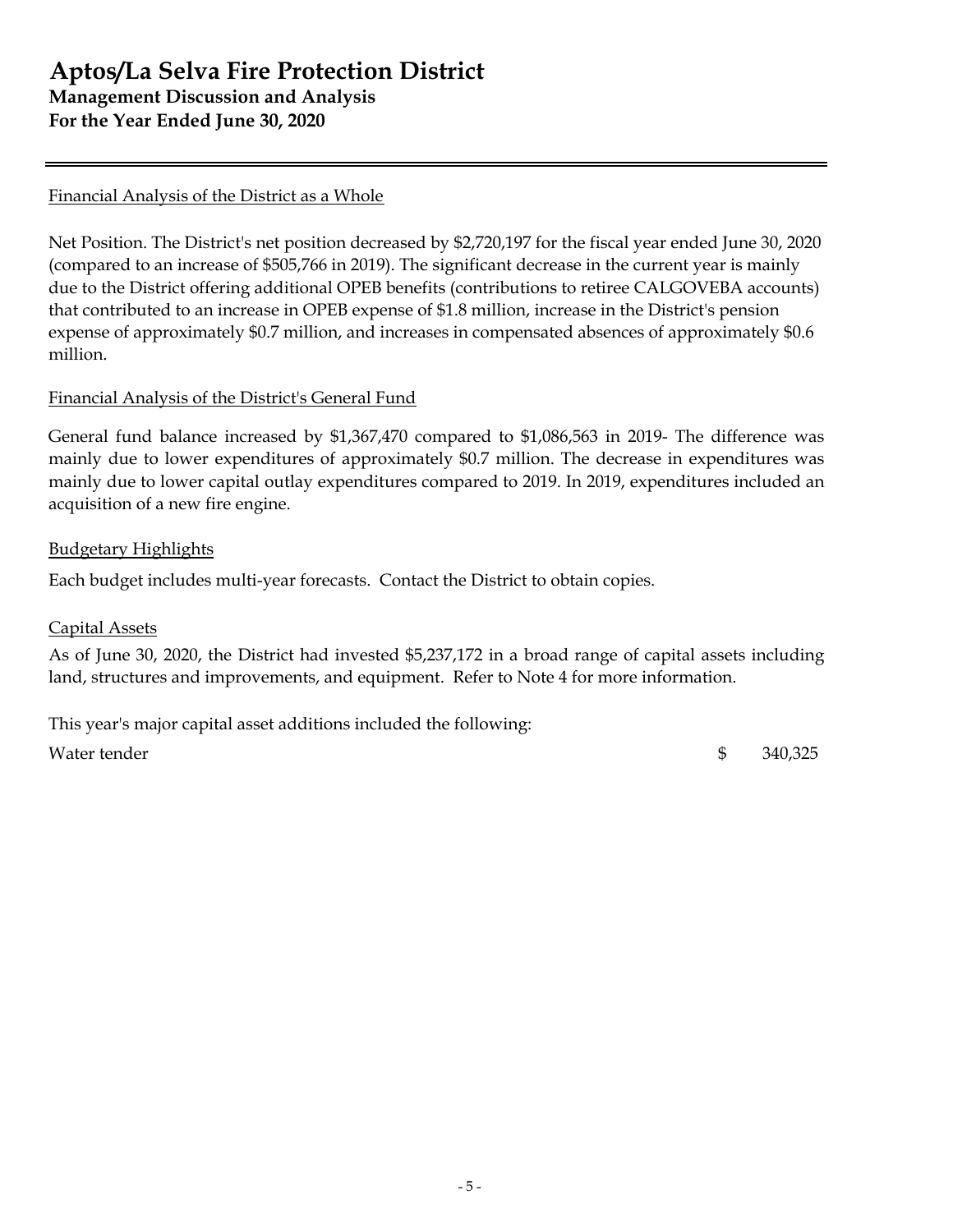### Financial Analysis of the District as a Whole

Net Position. The District's net position decreased by \$2,720,197 for the fiscal year ended June 30, 2020 (compared to an increase of \$505,766 in 2019). The significant decrease in the current year is mainly due to the District offering additional OPEB benefits (contributions to retiree CALGOVEBA accounts) that contributed to an increase in OPEB expense of \$1.8 million, increase in the District's pension expense of approximately \$0.7 million, and increases in compensated absences of approximately \$0.6 million.

#### Financial Analysis of the District's General Fund

General fund balance increased by \$1,367,470 compared to \$1,086,563 in 2019- The difference was mainly due to lower expenditures of approximately \$0.7 million. The decrease in expenditures was mainly due to lower capital outlay expenditures compared to 2019. In 2019, expenditures included an acquisition of a new fire engine.

#### Budgetary Highlights

Each budget includes multi-year forecasts. Contact the District to obtain copies.

#### Capital Assets

As of June 30, 2020, the District had invested \$5,237,172 in a broad range of capital assets including land, structures and improvements, and equipment. Refer to Note 4 for more information.

This year's major capital asset additions included the following:

Water tender  $\qquad \qquad \bullet \qquad \qquad$  340,325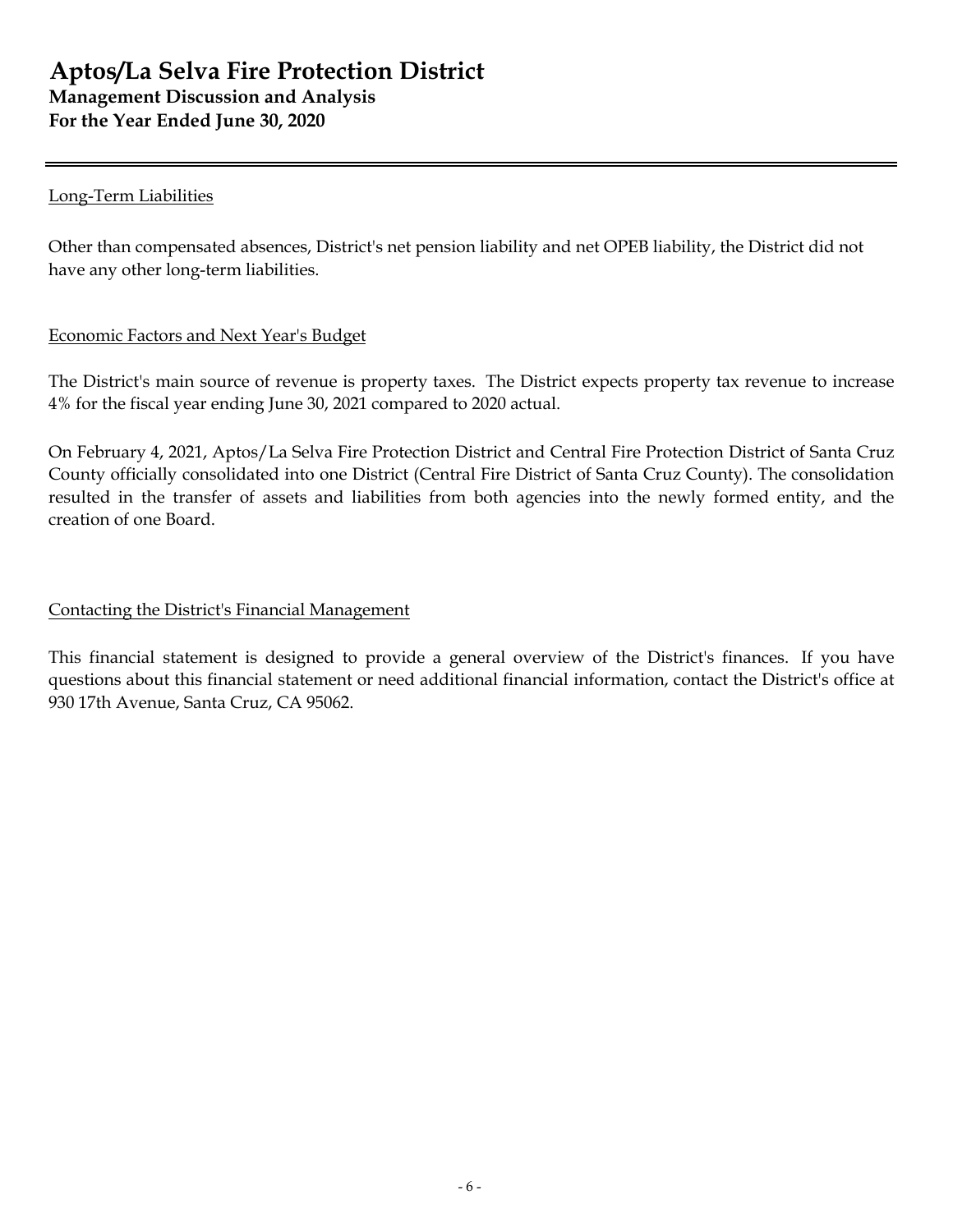### Long-Term Liabilities

Other than compensated absences, District's net pension liability and net OPEB liability, the District did not have any other long-term liabilities.

#### Economic Factors and Next Year's Budget

The District's main source of revenue is property taxes. The District expects property tax revenue to increase 4% for the fiscal year ending June 30, 2021 compared to 2020 actual.

On February 4, 2021, Aptos/La Selva Fire Protection District and Central Fire Protection District of Santa Cruz County officially consolidated into one District (Central Fire District of Santa Cruz County). The consolidation resulted in the transfer of assets and liabilities from both agencies into the newly formed entity, and the creation of one Board.

#### Contacting the District's Financial Management

This financial statement is designed to provide a general overview of the District's finances. If you have questions about this financial statement or need additional financial information, contact the District's office at 930 17th Avenue, Santa Cruz, CA 95062.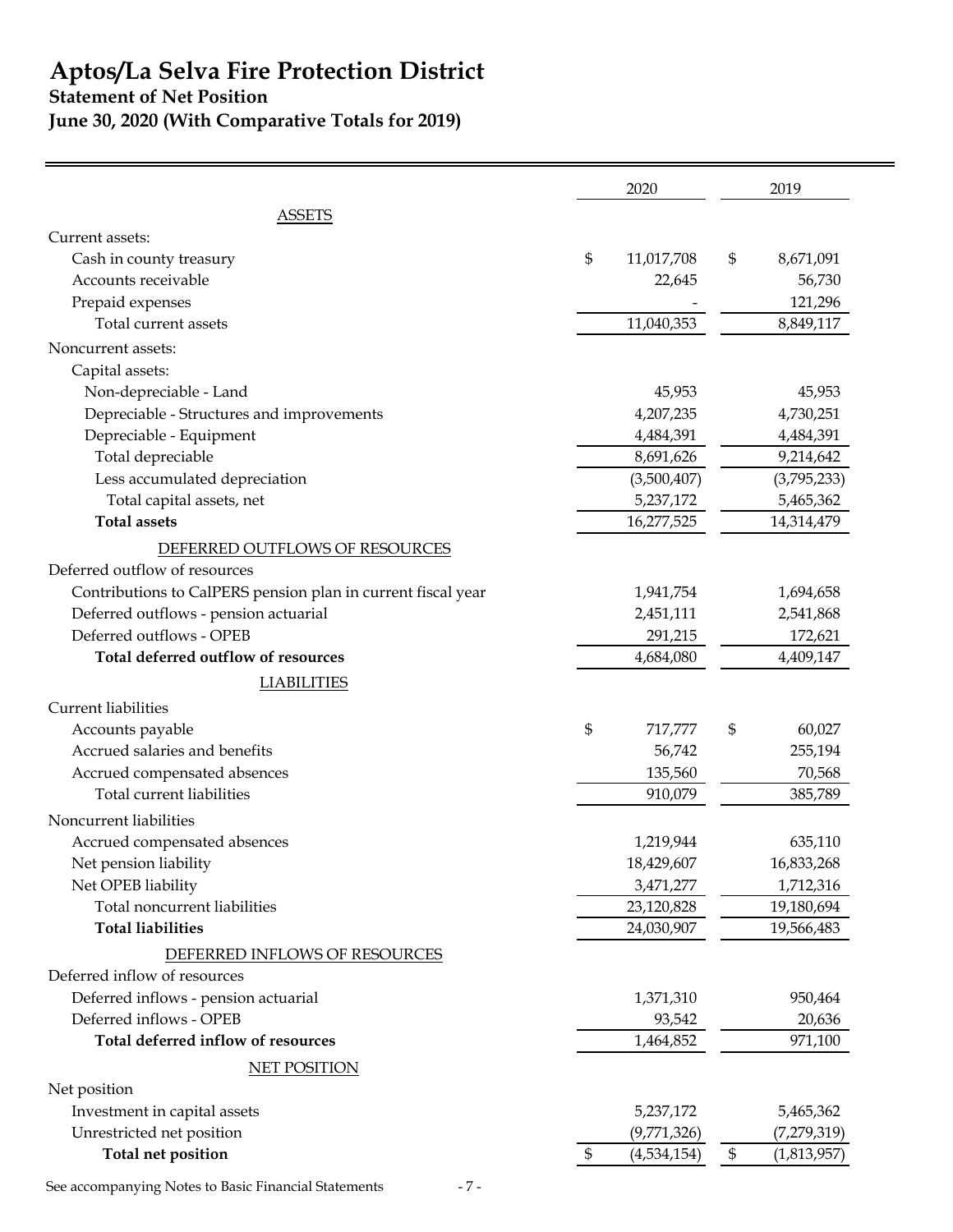**Statement of Net Position**

**June 30, 2020 (With Comparative Totals for 2019)**

|                                                              | 2020           |             |                | 2019        |  |
|--------------------------------------------------------------|----------------|-------------|----------------|-------------|--|
| <b>ASSETS</b>                                                |                |             |                |             |  |
| Current assets:                                              |                |             |                |             |  |
| Cash in county treasury                                      | $\mathfrak{S}$ | 11,017,708  | \$             | 8,671,091   |  |
| Accounts receivable                                          |                | 22,645      |                | 56,730      |  |
| Prepaid expenses                                             |                |             |                | 121,296     |  |
| Total current assets                                         |                | 11,040,353  |                | 8,849,117   |  |
| Noncurrent assets:                                           |                |             |                |             |  |
| Capital assets:                                              |                |             |                |             |  |
| Non-depreciable - Land                                       |                | 45,953      |                | 45,953      |  |
| Depreciable - Structures and improvements                    |                | 4,207,235   |                | 4,730,251   |  |
| Depreciable - Equipment                                      |                | 4,484,391   |                | 4,484,391   |  |
| Total depreciable                                            |                | 8,691,626   |                | 9,214,642   |  |
| Less accumulated depreciation                                |                | (3,500,407) |                | (3,795,233) |  |
| Total capital assets, net                                    |                | 5,237,172   |                | 5,465,362   |  |
| <b>Total assets</b>                                          |                | 16,277,525  |                | 14,314,479  |  |
| DEFERRED OUTFLOWS OF RESOURCES                               |                |             |                |             |  |
| Deferred outflow of resources                                |                |             |                |             |  |
| Contributions to CalPERS pension plan in current fiscal year |                | 1,941,754   |                | 1,694,658   |  |
| Deferred outflows - pension actuarial                        |                | 2,451,111   |                | 2,541,868   |  |
| Deferred outflows - OPEB                                     |                | 291,215     |                | 172,621     |  |
| Total deferred outflow of resources                          |                | 4,684,080   |                | 4,409,147   |  |
| <b>LIABILITIES</b>                                           |                |             |                |             |  |
| <b>Current</b> liabilities                                   |                |             |                |             |  |
| Accounts payable                                             | \$             | 717,777     | \$             | 60,027      |  |
| Accrued salaries and benefits                                |                | 56,742      |                | 255,194     |  |
| Accrued compensated absences                                 |                | 135,560     |                | 70,568      |  |
| Total current liabilities                                    |                | 910,079     |                | 385,789     |  |
| Noncurrent liabilities                                       |                |             |                |             |  |
| Accrued compensated absences                                 |                | 1,219,944   |                | 635,110     |  |
| Net pension liability                                        |                | 18,429,607  |                | 16,833,268  |  |
| Net OPEB liability                                           |                | 3,471,277   |                | 1,712,316   |  |
| Total noncurrent liabilities                                 |                | 23,120,828  |                | 19,180,694  |  |
| <b>Total liabilities</b>                                     |                | 24,030,907  |                | 19,566,483  |  |
| DEFERRED INFLOWS OF RESOURCES                                |                |             |                |             |  |
| Deferred inflow of resources                                 |                |             |                |             |  |
| Deferred inflows - pension actuarial                         |                | 1,371,310   |                | 950,464     |  |
| Deferred inflows - OPEB                                      |                | 93,542      |                | 20,636      |  |
| Total deferred inflow of resources                           |                | 1,464,852   |                | 971,100     |  |
| <b>NET POSITION</b>                                          |                |             |                |             |  |
| Net position                                                 |                |             |                |             |  |
| Investment in capital assets                                 |                | 5,237,172   |                | 5,465,362   |  |
| Unrestricted net position                                    |                | (9,771,326) |                | (7,279,319) |  |
| Total net position                                           | \$             | (4,534,154) | $\mathfrak{S}$ | (1,813,957) |  |

See accompanying Notes to Basic Financial Statements - 7 -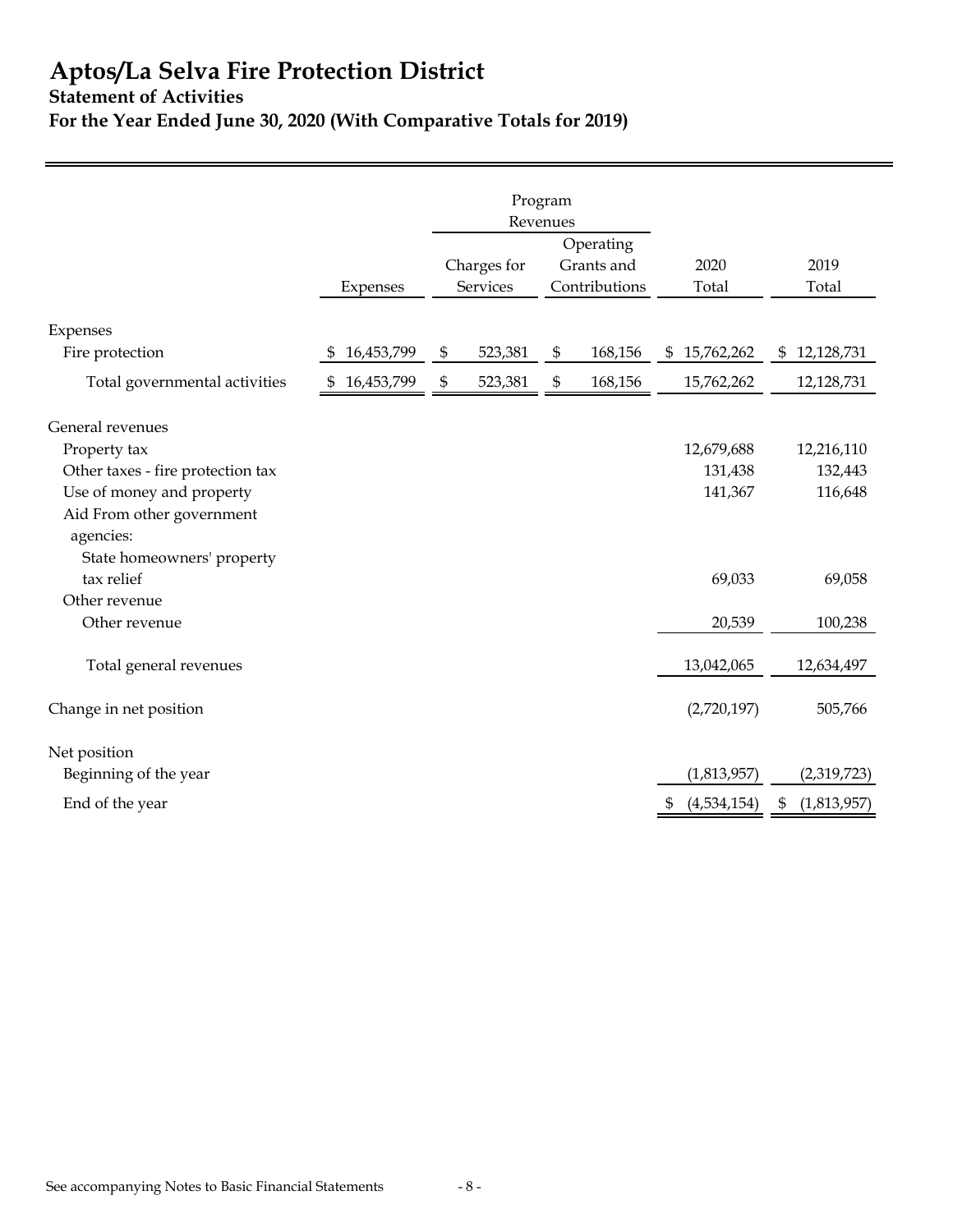## **Statement of Activities**

**For the Year Ended June 30, 2020 (With Comparative Totals for 2019)**

|                                                                                                                                                                                                           | Expenses         |              | Charges for<br>Services | Program<br>Revenues | Operating<br>Grants and<br>Contributions | 2020<br>Total                              | 2019<br>Total                              |
|-----------------------------------------------------------------------------------------------------------------------------------------------------------------------------------------------------------|------------------|--------------|-------------------------|---------------------|------------------------------------------|--------------------------------------------|--------------------------------------------|
| Expenses                                                                                                                                                                                                  |                  |              |                         |                     |                                          |                                            |                                            |
| Fire protection                                                                                                                                                                                           | 16,453,799       | \$           | 523,381                 | \$                  | 168,156                                  | 15,762,262<br>\$                           | 12,128,731<br>\$                           |
| Total governmental activities                                                                                                                                                                             | 16,453,799<br>\$ | $\mathbb{S}$ | 523,381                 | $\mathbb{S}$        | 168,156                                  | 15,762,262                                 | 12,128,731                                 |
| General revenues<br>Property tax<br>Other taxes - fire protection tax<br>Use of money and property<br>Aid From other government<br>agencies:<br>State homeowners' property<br>tax relief<br>Other revenue |                  |              |                         |                     |                                          | 12,679,688<br>131,438<br>141,367<br>69,033 | 12,216,110<br>132,443<br>116,648<br>69,058 |
| Other revenue                                                                                                                                                                                             |                  |              |                         |                     |                                          | 20,539                                     | 100,238                                    |
| Total general revenues                                                                                                                                                                                    |                  |              |                         |                     |                                          | 13,042,065                                 | 12,634,497                                 |
| Change in net position                                                                                                                                                                                    |                  |              |                         |                     |                                          | (2,720,197)                                | 505,766                                    |
| Net position                                                                                                                                                                                              |                  |              |                         |                     |                                          |                                            |                                            |
| Beginning of the year                                                                                                                                                                                     |                  |              |                         |                     |                                          | (1,813,957)                                | (2,319,723)                                |
| End of the year                                                                                                                                                                                           |                  |              |                         |                     |                                          | (4,534,154)<br>ზ                           | (1,813,957)<br>\$                          |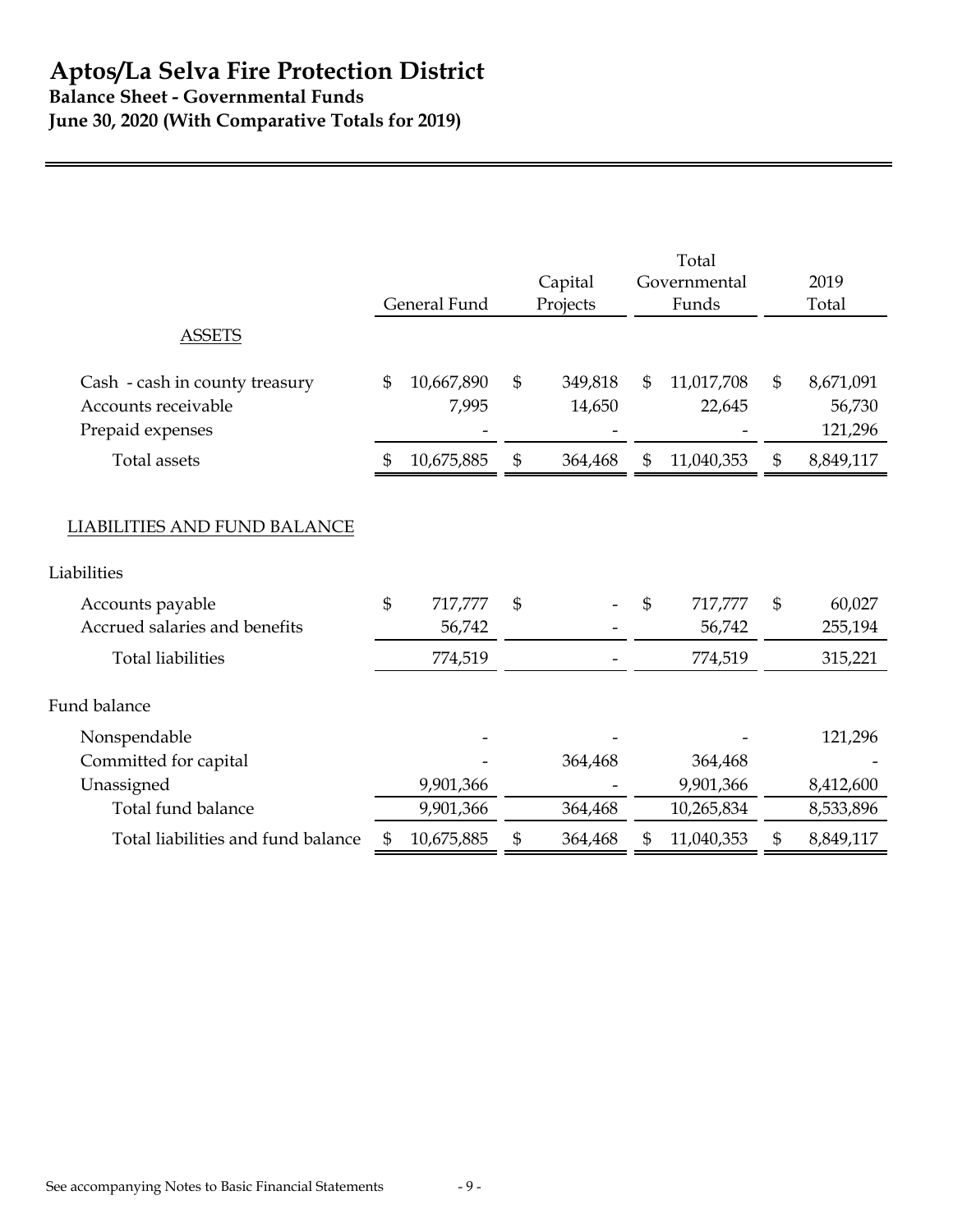## **Balance Sheet - Governmental Funds**

**June 30, 2020 (With Comparative Totals for 2019)**

|                                                                                                  |               | General Fund        |                | Capital<br>Projects |    | Total<br>Governmental<br>Funds |                | 2019<br>Total                  |
|--------------------------------------------------------------------------------------------------|---------------|---------------------|----------------|---------------------|----|--------------------------------|----------------|--------------------------------|
| <b>ASSETS</b>                                                                                    |               |                     |                |                     |    |                                |                |                                |
| Cash - cash in county treasury<br>Accounts receivable<br>Prepaid expenses                        | \$            | 10,667,890<br>7,995 | \$             | 349,818<br>14,650   | S  | 11,017,708<br>22,645           | \$             | 8,671,091<br>56,730<br>121,296 |
| <b>Total</b> assets                                                                              | <sup>\$</sup> | 10,675,885          | \$             | 364,468             | \$ | 11,040,353                     | \$             | 8,849,117                      |
| LIABILITIES AND FUND BALANCE<br>Liabilities<br>Accounts payable<br>Accrued salaries and benefits | \$            | 717,777<br>56,742   | $\mathfrak{S}$ |                     | \$ | 717,777<br>56,742              | $\mathfrak{S}$ | 60,027<br>255,194              |
| <b>Total liabilities</b>                                                                         |               | 774,519             |                |                     |    | 774,519                        |                | 315,221                        |
| Fund balance                                                                                     |               |                     |                |                     |    |                                |                |                                |
| Nonspendable                                                                                     |               |                     |                |                     |    |                                |                | 121,296                        |
| Committed for capital                                                                            |               |                     |                | 364,468             |    | 364,468                        |                |                                |
| Unassigned                                                                                       |               | 9,901,366           |                |                     |    | 9,901,366                      |                | 8,412,600                      |
| Total fund balance                                                                               |               | 9,901,366           |                | 364,468             |    | 10,265,834                     |                | 8,533,896                      |
| Total liabilities and fund balance                                                               | \$            | 10,675,885          | \$             | 364,468             | S  | 11,040,353                     | \$             | 8,849,117                      |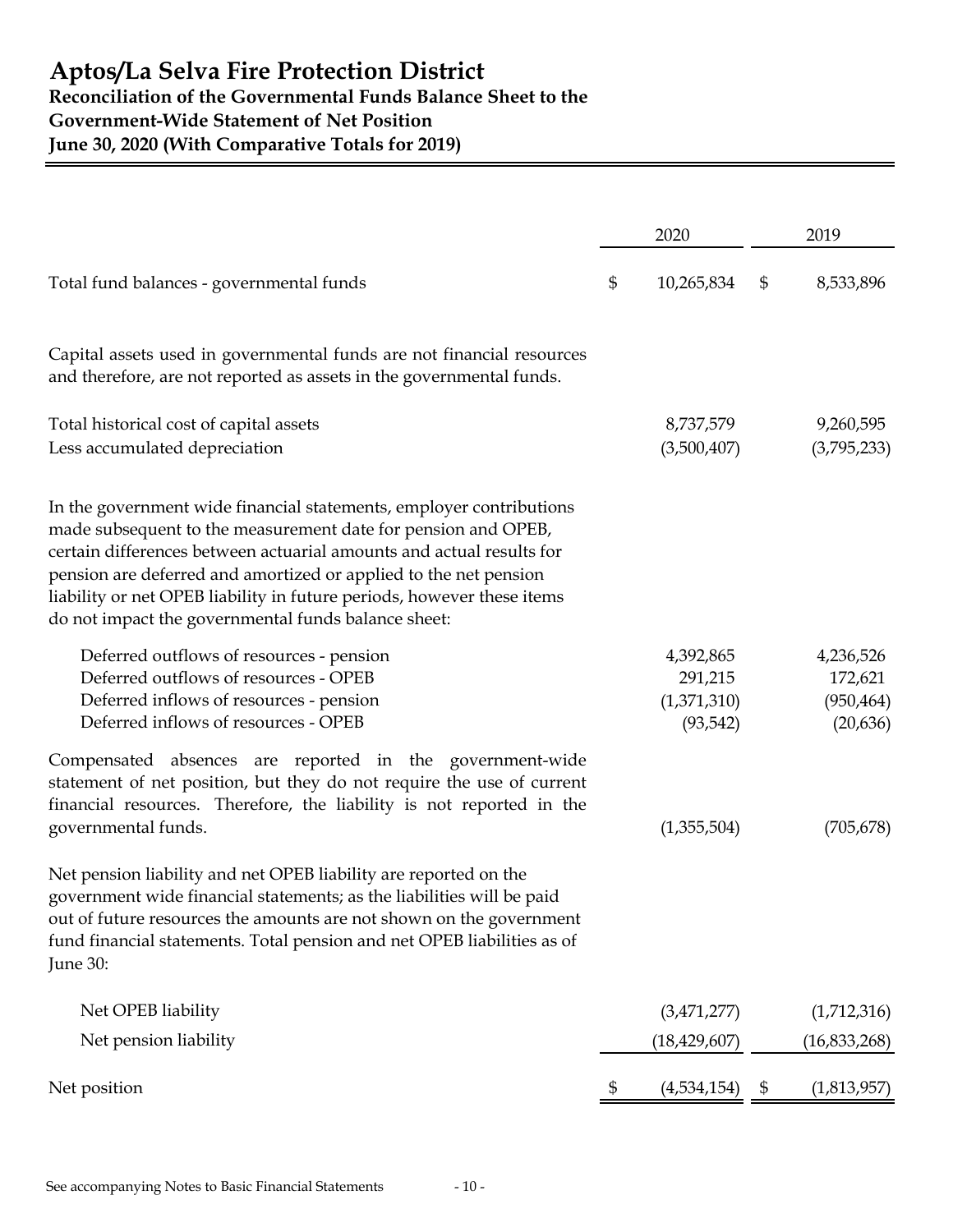## **Reconciliation of the Governmental Funds Balance Sheet to the**

**Government-Wide Statement of Net Position**

**June 30, 2020 (With Comparative Totals for 2019)**

|                                                                                                                                                                                                                                                                                                                                                                                                                   | 2020                                             |                | 2019                                            |
|-------------------------------------------------------------------------------------------------------------------------------------------------------------------------------------------------------------------------------------------------------------------------------------------------------------------------------------------------------------------------------------------------------------------|--------------------------------------------------|----------------|-------------------------------------------------|
| Total fund balances - governmental funds                                                                                                                                                                                                                                                                                                                                                                          | \$<br>10,265,834                                 | \$             | 8,533,896                                       |
| Capital assets used in governmental funds are not financial resources<br>and therefore, are not reported as assets in the governmental funds.                                                                                                                                                                                                                                                                     |                                                  |                |                                                 |
| Total historical cost of capital assets<br>Less accumulated depreciation                                                                                                                                                                                                                                                                                                                                          | 8,737,579<br>(3,500,407)                         |                | 9,260,595<br>(3,795,233)                        |
| In the government wide financial statements, employer contributions<br>made subsequent to the measurement date for pension and OPEB,<br>certain differences between actuarial amounts and actual results for<br>pension are deferred and amortized or applied to the net pension<br>liability or net OPEB liability in future periods, however these items<br>do not impact the governmental funds balance sheet: |                                                  |                |                                                 |
| Deferred outflows of resources - pension<br>Deferred outflows of resources - OPEB<br>Deferred inflows of resources - pension<br>Deferred inflows of resources - OPEB                                                                                                                                                                                                                                              | 4,392,865<br>291,215<br>(1,371,310)<br>(93, 542) |                | 4,236,526<br>172,621<br>(950, 464)<br>(20, 636) |
| Compensated absences are reported in the government-wide<br>statement of net position, but they do not require the use of current<br>financial resources. Therefore, the liability is not reported in the<br>governmental funds.                                                                                                                                                                                  | (1,355,504)                                      |                | (705, 678)                                      |
| Net pension liability and net OPEB liability are reported on the<br>government wide financial statements; as the liabilities will be paid<br>out of future resources the amounts are not shown on the government<br>fund financial statements. Total pension and net OPEB liabilities as of<br>June 30:                                                                                                           |                                                  |                |                                                 |
| Net OPEB liability                                                                                                                                                                                                                                                                                                                                                                                                | (3,471,277)                                      |                | (1,712,316)                                     |
| Net pension liability                                                                                                                                                                                                                                                                                                                                                                                             | (18, 429, 607)                                   |                | (16,833,268)                                    |
| Net position                                                                                                                                                                                                                                                                                                                                                                                                      | \$<br>(4,534,154)                                | $\mathfrak{p}$ | (1,813,957)                                     |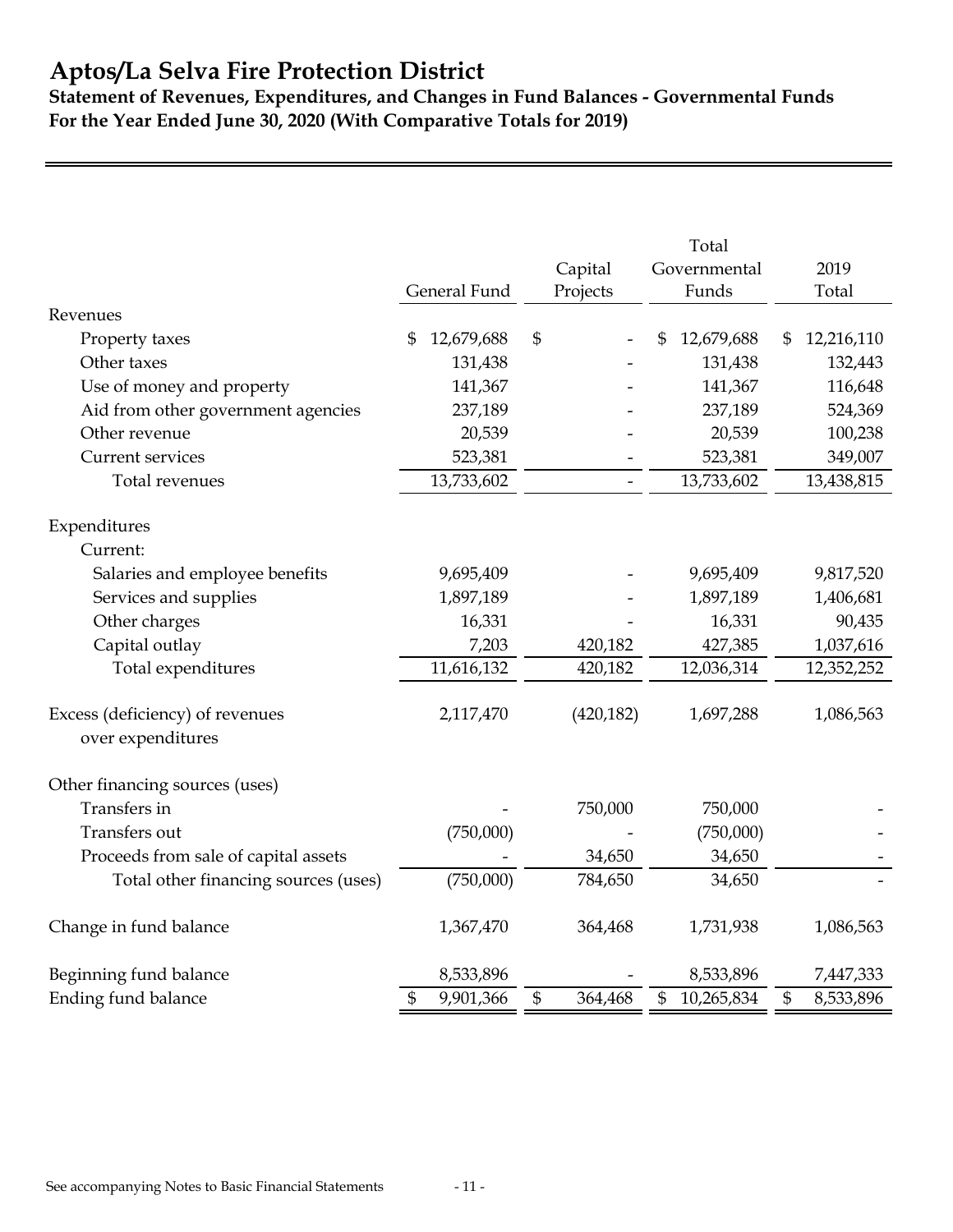**Statement of Revenues, Expenditures, and Changes in Fund Balances - Governmental Funds For the Year Ended June 30, 2020 (With Comparative Totals for 2019)**

|                                                      | General Fund     | Capital<br>Projects       | Total<br>Governmental<br>Funds | 2019<br>Total                           |
|------------------------------------------------------|------------------|---------------------------|--------------------------------|-----------------------------------------|
| Revenues                                             |                  |                           |                                |                                         |
| Property taxes                                       | 12,679,688<br>\$ | \$                        | 12,679,688<br>\$               | 12,216,110<br>\$                        |
| Other taxes                                          | 131,438          |                           | 131,438                        | 132,443                                 |
| Use of money and property                            | 141,367          |                           | 141,367                        | 116,648                                 |
| Aid from other government agencies                   | 237,189          |                           | 237,189                        | 524,369                                 |
| Other revenue                                        | 20,539           |                           | 20,539                         | 100,238                                 |
| Current services                                     | 523,381          |                           | 523,381                        | 349,007                                 |
| Total revenues                                       | 13,733,602       |                           | 13,733,602                     | 13,438,815                              |
| Expenditures                                         |                  |                           |                                |                                         |
| Current:                                             |                  |                           |                                |                                         |
| Salaries and employee benefits                       | 9,695,409        |                           | 9,695,409                      | 9,817,520                               |
| Services and supplies                                | 1,897,189        |                           | 1,897,189                      | 1,406,681                               |
| Other charges                                        | 16,331           |                           | 16,331                         | 90,435                                  |
| Capital outlay                                       | 7,203            | 420,182                   | 427,385                        | 1,037,616                               |
| Total expenditures                                   | 11,616,132       | 420,182                   | 12,036,314                     | 12,352,252                              |
| Excess (deficiency) of revenues<br>over expenditures | 2,117,470        | (420, 182)                | 1,697,288                      | 1,086,563                               |
| Other financing sources (uses)                       |                  |                           |                                |                                         |
| Transfers in                                         |                  | 750,000                   | 750,000                        |                                         |
| Transfers out                                        | (750,000)        |                           | (750,000)                      |                                         |
| Proceeds from sale of capital assets                 |                  | 34,650                    | 34,650                         |                                         |
| Total other financing sources (uses)                 | (750,000)        | 784,650                   | 34,650                         |                                         |
| Change in fund balance                               | 1,367,470        | 364,468                   | 1,731,938                      | 1,086,563                               |
| Beginning fund balance                               | 8,533,896        |                           | 8,533,896                      | 7,447,333                               |
| Ending fund balance                                  | \$<br>9,901,366  | $\mathfrak{S}$<br>364,468 | \$<br>10,265,834               | $\boldsymbol{\mathsf{\$}}$<br>8,533,896 |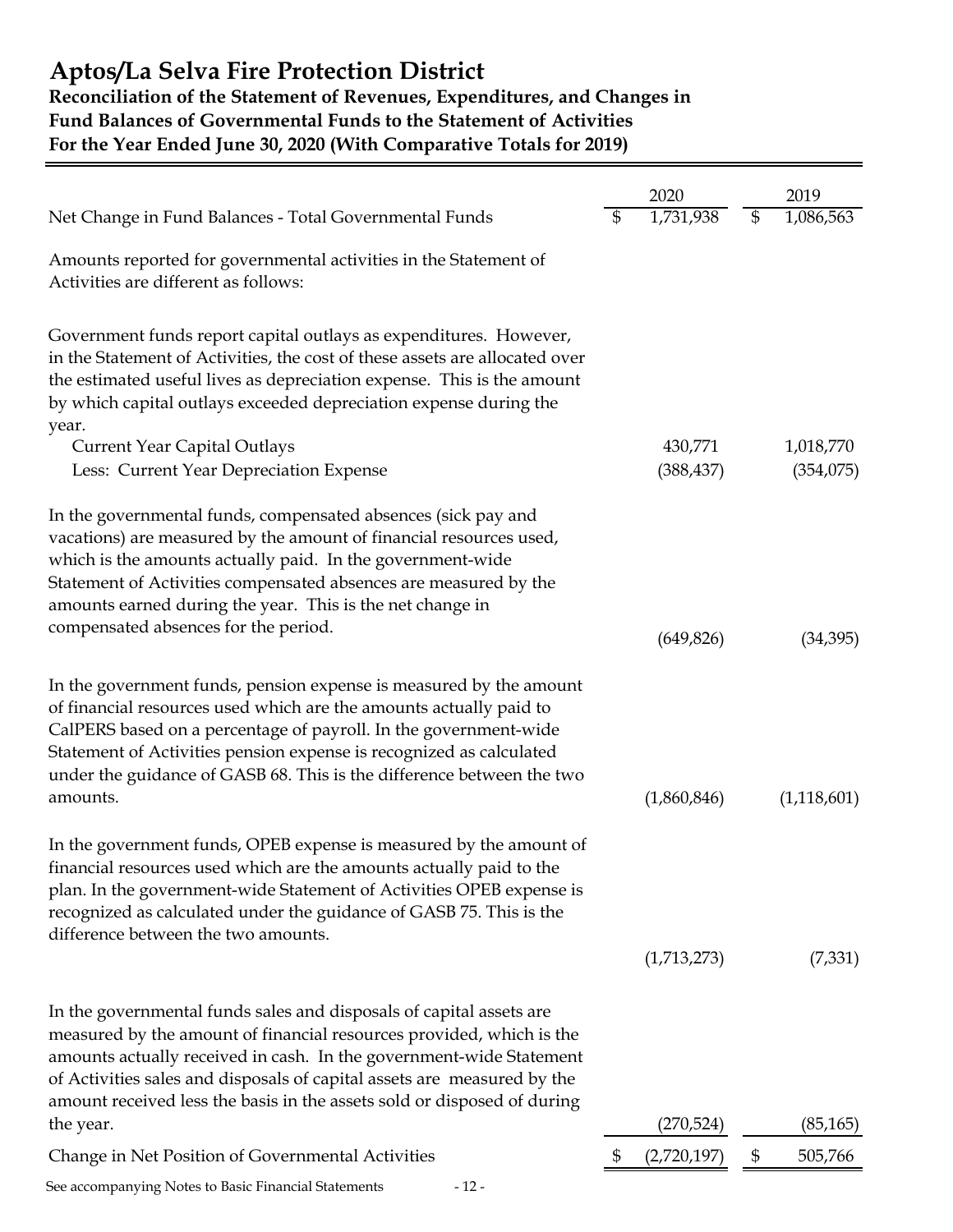**Reconciliation of the Statement of Revenues, Expenditures, and Changes in Fund Balances of Governmental Funds to the Statement of Activities For the Year Ended June 30, 2020 (With Comparative Totals for 2019)**

|                                                                                                                                                                                                                                                                                                                                                                            | 2020            |                         | 2019        |
|----------------------------------------------------------------------------------------------------------------------------------------------------------------------------------------------------------------------------------------------------------------------------------------------------------------------------------------------------------------------------|-----------------|-------------------------|-------------|
| Net Change in Fund Balances - Total Governmental Funds                                                                                                                                                                                                                                                                                                                     | \$<br>1,731,938 | $\overline{\mathbb{S}}$ | 1,086,563   |
| Amounts reported for governmental activities in the Statement of<br>Activities are different as follows:                                                                                                                                                                                                                                                                   |                 |                         |             |
| Government funds report capital outlays as expenditures. However,<br>in the Statement of Activities, the cost of these assets are allocated over<br>the estimated useful lives as depreciation expense. This is the amount<br>by which capital outlays exceeded depreciation expense during the                                                                            |                 |                         |             |
| year.<br><b>Current Year Capital Outlays</b>                                                                                                                                                                                                                                                                                                                               | 430,771         |                         | 1,018,770   |
| Less: Current Year Depreciation Expense                                                                                                                                                                                                                                                                                                                                    | (388, 437)      |                         | (354, 075)  |
| In the governmental funds, compensated absences (sick pay and<br>vacations) are measured by the amount of financial resources used,<br>which is the amounts actually paid. In the government-wide<br>Statement of Activities compensated absences are measured by the<br>amounts earned during the year. This is the net change in<br>compensated absences for the period. | (649, 826)      |                         | (34, 395)   |
| In the government funds, pension expense is measured by the amount<br>of financial resources used which are the amounts actually paid to<br>CalPERS based on a percentage of payroll. In the government-wide<br>Statement of Activities pension expense is recognized as calculated<br>under the guidance of GASB 68. This is the difference between the two<br>amounts.   | (1,860,846)     |                         | (1,118,601) |
| In the government funds, OPEB expense is measured by the amount of<br>financial resources used which are the amounts actually paid to the<br>plan. In the government-wide Statement of Activities OPEB expense is<br>recognized as calculated under the guidance of GASB 75. This is the<br>difference between the two amounts.                                            |                 |                         |             |
|                                                                                                                                                                                                                                                                                                                                                                            | (1,713,273)     |                         | (7,331)     |
| In the governmental funds sales and disposals of capital assets are<br>measured by the amount of financial resources provided, which is the<br>amounts actually received in cash. In the government-wide Statement<br>of Activities sales and disposals of capital assets are measured by the<br>amount received less the basis in the assets sold or disposed of during   |                 |                         |             |
| the year.                                                                                                                                                                                                                                                                                                                                                                  | (270,524)       |                         | (85, 165)   |
| Change in Net Position of Governmental Activities                                                                                                                                                                                                                                                                                                                          | (2,720,197)     | \$                      | 505,766     |
|                                                                                                                                                                                                                                                                                                                                                                            |                 |                         |             |

See accompanying Notes to Basic Financial Statements - 12 -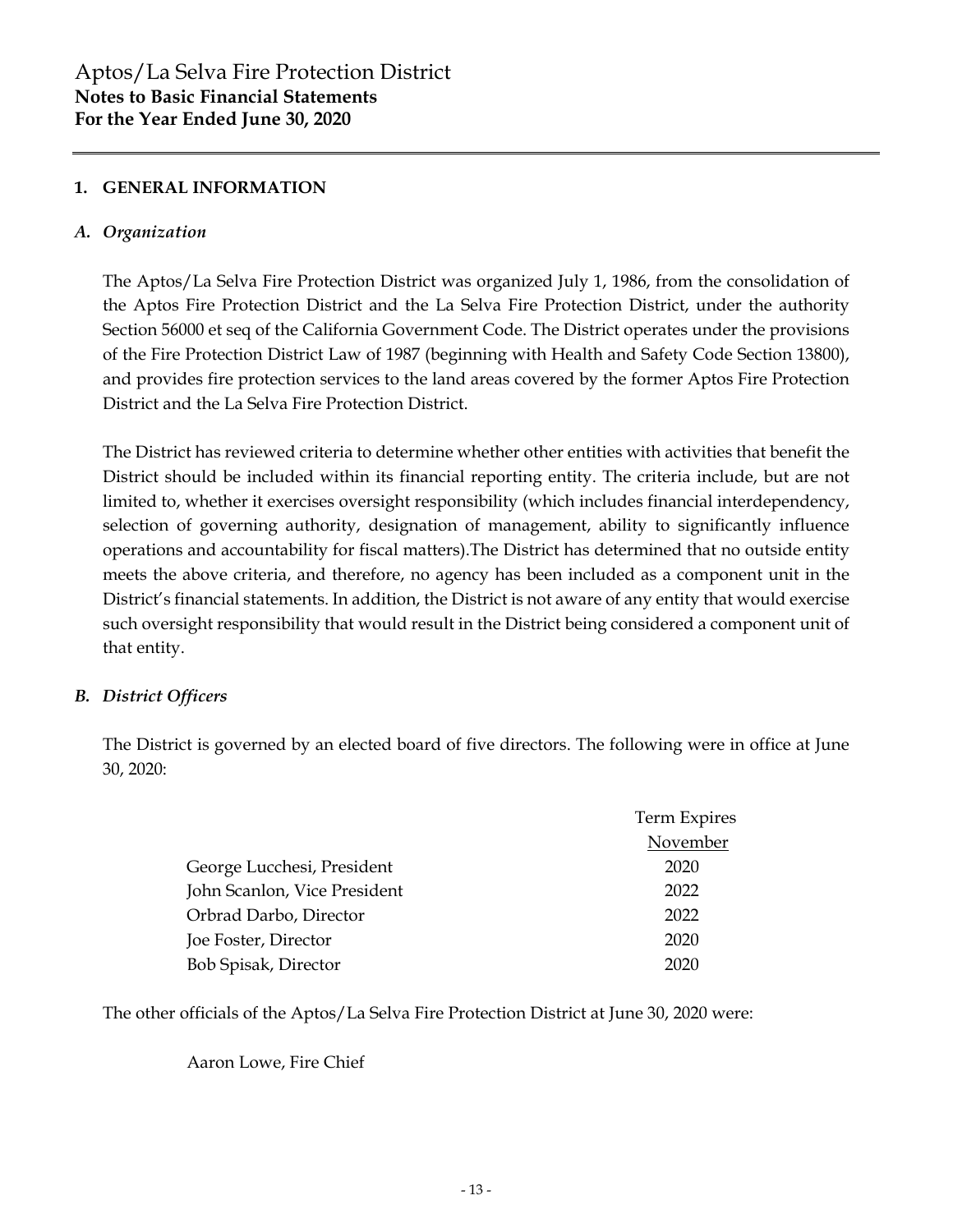#### **1. GENERAL INFORMATION**

#### *A. Organization*

The Aptos/La Selva Fire Protection District was organized July 1, 1986, from the consolidation of the Aptos Fire Protection District and the La Selva Fire Protection District, under the authority Section 56000 et seq of the California Government Code. The District operates under the provisions of the Fire Protection District Law of 1987 (beginning with Health and Safety Code Section 13800), and provides fire protection services to the land areas covered by the former Aptos Fire Protection District and the La Selva Fire Protection District.

The District has reviewed criteria to determine whether other entities with activities that benefit the District should be included within its financial reporting entity. The criteria include, but are not limited to, whether it exercises oversight responsibility (which includes financial interdependency, selection of governing authority, designation of management, ability to significantly influence operations and accountability for fiscal matters).The District has determined that no outside entity meets the above criteria, and therefore, no agency has been included as a component unit in the District's financial statements. In addition, the District is not aware of any entity that would exercise such oversight responsibility that would result in the District being considered a component unit of that entity.

#### *B. District Officers*

The District is governed by an elected board of five directors. The following were in office at June 30, 2020:

|                              | Term Expires |
|------------------------------|--------------|
|                              | November     |
| George Lucchesi, President   | 2020         |
| John Scanlon, Vice President | 2022         |
| Orbrad Darbo, Director       | 2022         |
| Joe Foster, Director         | 2020         |
| Bob Spisak, Director         | 2020         |

The other officials of the Aptos/La Selva Fire Protection District at June 30, 2020 were:

Aaron Lowe, Fire Chief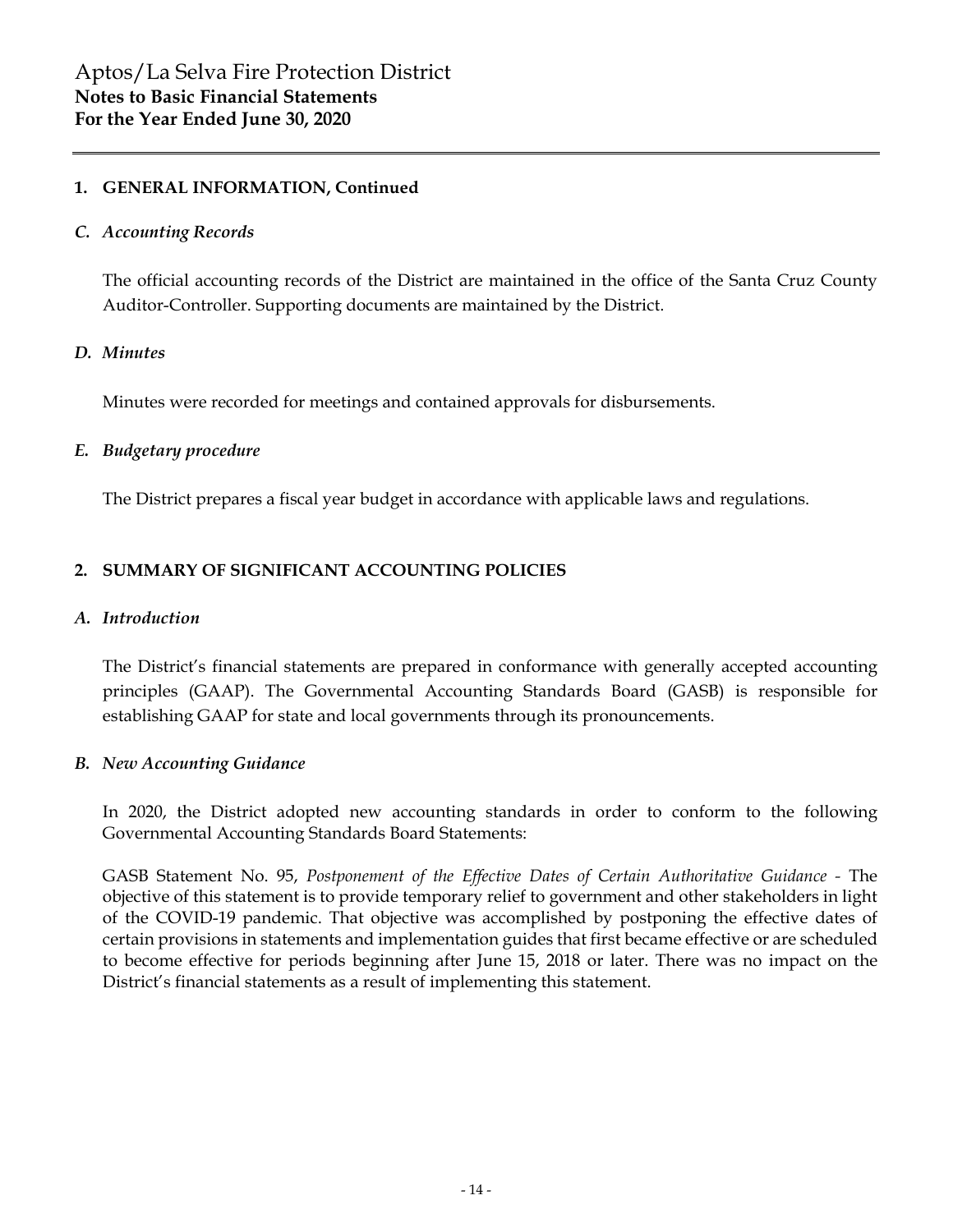#### **1. GENERAL INFORMATION, Continued**

#### *C. Accounting Records*

The official accounting records of the District are maintained in the office of the Santa Cruz County Auditor-Controller. Supporting documents are maintained by the District.

#### *D. Minutes*

Minutes were recorded for meetings and contained approvals for disbursements.

#### *E. Budgetary procedure*

The District prepares a fiscal year budget in accordance with applicable laws and regulations.

#### **2. SUMMARY OF SIGNIFICANT ACCOUNTING POLICIES**

#### *A. Introduction*

The District's financial statements are prepared in conformance with generally accepted accounting principles (GAAP). The Governmental Accounting Standards Board (GASB) is responsible for establishing GAAP for state and local governments through its pronouncements.

#### *B. New Accounting Guidance*

In 2020, the District adopted new accounting standards in order to conform to the following Governmental Accounting Standards Board Statements:

GASB Statement No. 95, *Postponement of the Effective Dates of Certain Authoritative Guidance -* The objective of this statement is to provide temporary relief to government and other stakeholders in light of the COVID-19 pandemic. That objective was accomplished by postponing the effective dates of certain provisions in statements and implementation guides that first became effective or are scheduled to become effective for periods beginning after June 15, 2018 or later. There was no impact on the District's financial statements as a result of implementing this statement.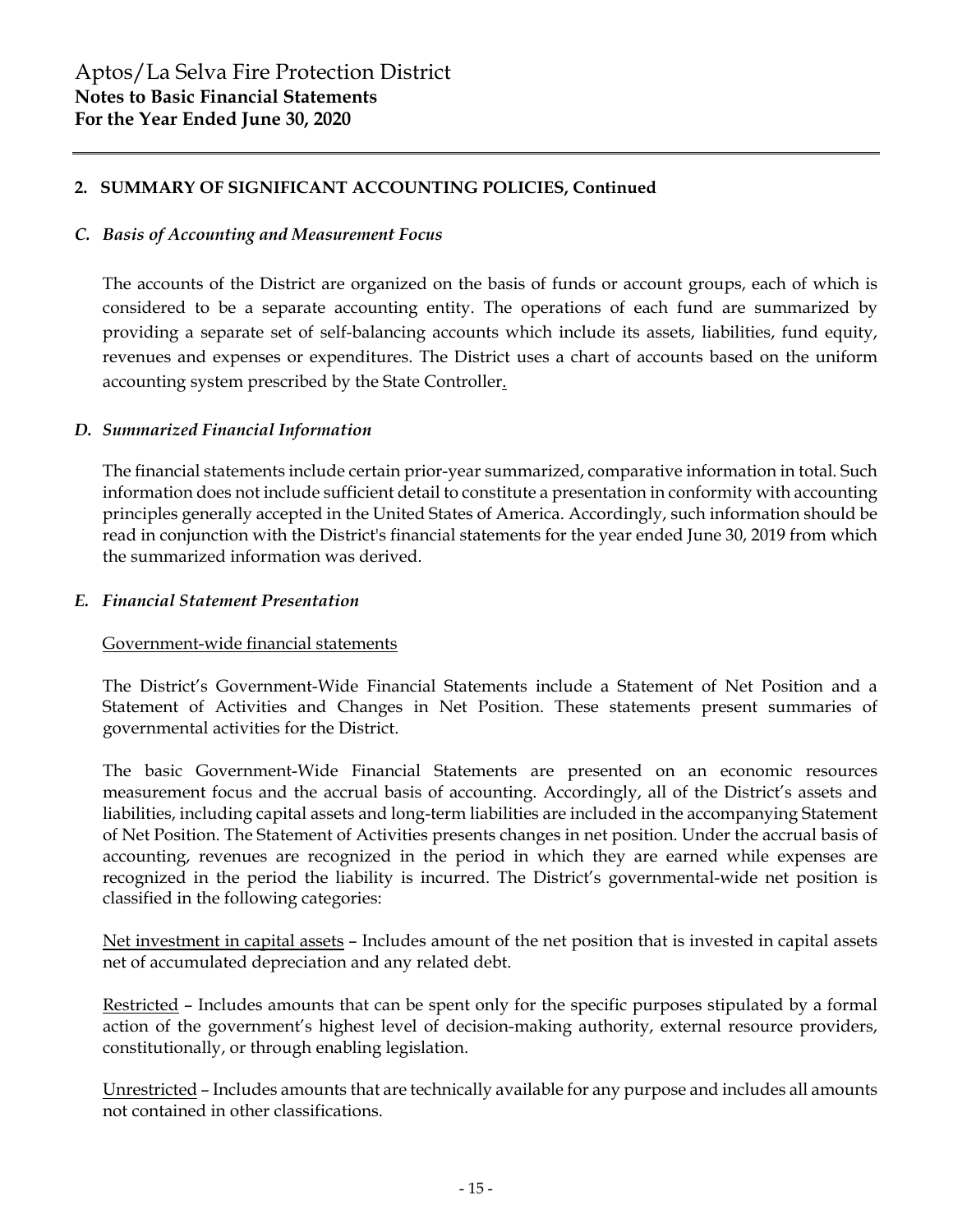#### *C. Basis of Accounting and Measurement Focus*

The accounts of the District are organized on the basis of funds or account groups, each of which is considered to be a separate accounting entity. The operations of each fund are summarized by providing a separate set of self-balancing accounts which include its assets, liabilities, fund equity, revenues and expenses or expenditures. The District uses a chart of accounts based on the uniform accounting system prescribed by the State Controller.

#### *D. Summarized Financial Information*

The financial statements include certain prior-year summarized, comparative information in total. Such information does not include sufficient detail to constitute a presentation in conformity with accounting principles generally accepted in the United States of America. Accordingly, such information should be read in conjunction with the District's financial statements for the year ended June 30, 2019 from which the summarized information was derived.

#### *E. Financial Statement Presentation*

#### Government-wide financial statements

The District's Government-Wide Financial Statements include a Statement of Net Position and a Statement of Activities and Changes in Net Position. These statements present summaries of governmental activities for the District.

The basic Government-Wide Financial Statements are presented on an economic resources measurement focus and the accrual basis of accounting. Accordingly, all of the District's assets and liabilities, including capital assets and long-term liabilities are included in the accompanying Statement of Net Position. The Statement of Activities presents changes in net position. Under the accrual basis of accounting, revenues are recognized in the period in which they are earned while expenses are recognized in the period the liability is incurred. The District's governmental-wide net position is classified in the following categories:

Net investment in capital assets – Includes amount of the net position that is invested in capital assets net of accumulated depreciation and any related debt.

Restricted – Includes amounts that can be spent only for the specific purposes stipulated by a formal action of the government's highest level of decision-making authority, external resource providers, constitutionally, or through enabling legislation.

Unrestricted – Includes amounts that are technically available for any purpose and includes all amounts not contained in other classifications.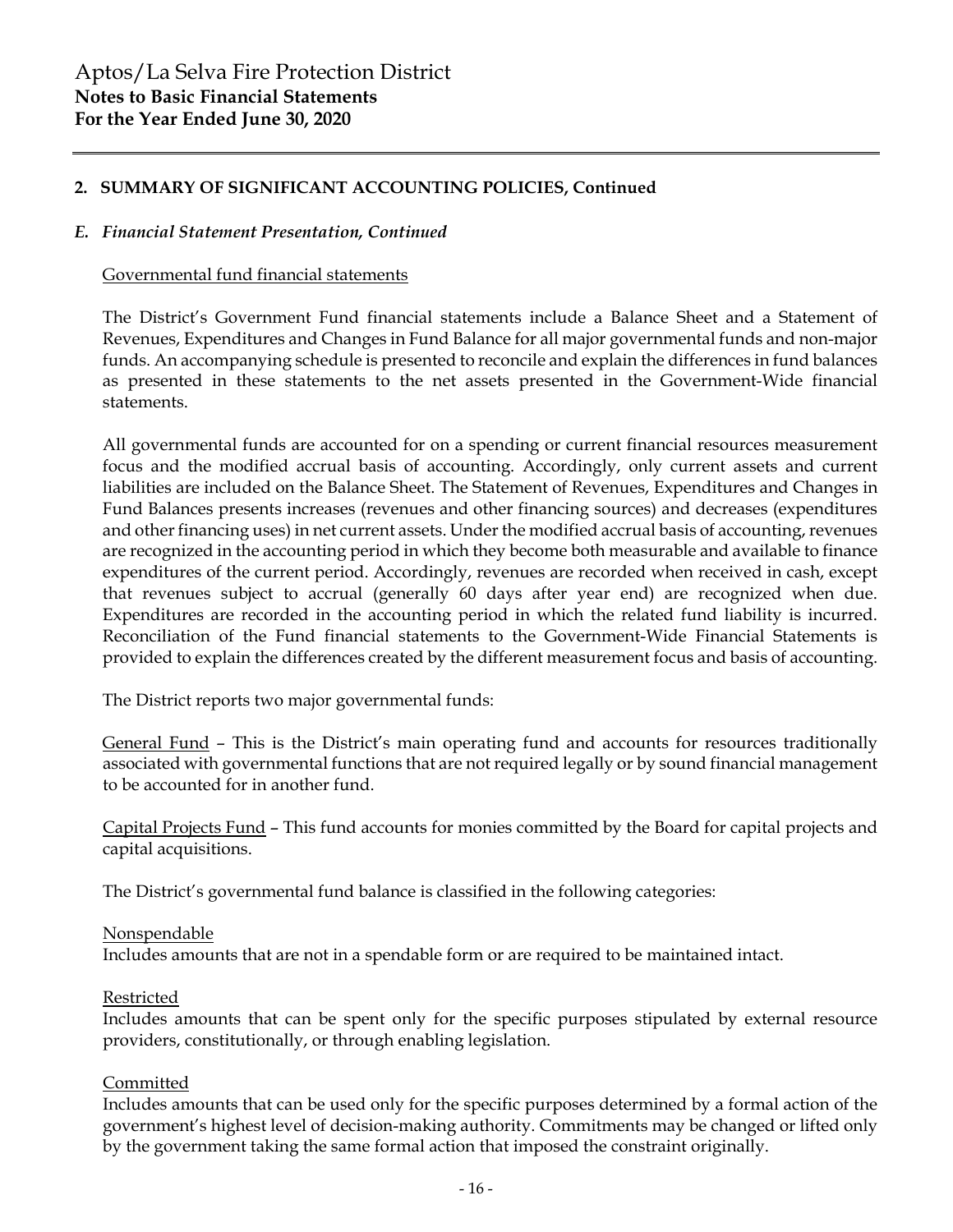#### *E. Financial Statement Presentation, Continued*

#### Governmental fund financial statements

The District's Government Fund financial statements include a Balance Sheet and a Statement of Revenues, Expenditures and Changes in Fund Balance for all major governmental funds and non-major funds. An accompanying schedule is presented to reconcile and explain the differences in fund balances as presented in these statements to the net assets presented in the Government-Wide financial statements.

All governmental funds are accounted for on a spending or current financial resources measurement focus and the modified accrual basis of accounting. Accordingly, only current assets and current liabilities are included on the Balance Sheet. The Statement of Revenues, Expenditures and Changes in Fund Balances presents increases (revenues and other financing sources) and decreases (expenditures and other financing uses) in net current assets. Under the modified accrual basis of accounting, revenues are recognized in the accounting period in which they become both measurable and available to finance expenditures of the current period. Accordingly, revenues are recorded when received in cash, except that revenues subject to accrual (generally 60 days after year end) are recognized when due. Expenditures are recorded in the accounting period in which the related fund liability is incurred. Reconciliation of the Fund financial statements to the Government-Wide Financial Statements is provided to explain the differences created by the different measurement focus and basis of accounting.

The District reports two major governmental funds:

General Fund – This is the District's main operating fund and accounts for resources traditionally associated with governmental functions that are not required legally or by sound financial management to be accounted for in another fund.

Capital Projects Fund – This fund accounts for monies committed by the Board for capital projects and capital acquisitions.

The District's governmental fund balance is classified in the following categories:

#### Nonspendable

Includes amounts that are not in a spendable form or are required to be maintained intact.

#### Restricted

Includes amounts that can be spent only for the specific purposes stipulated by external resource providers, constitutionally, or through enabling legislation.

#### Committed

Includes amounts that can be used only for the specific purposes determined by a formal action of the government's highest level of decision-making authority. Commitments may be changed or lifted only by the government taking the same formal action that imposed the constraint originally.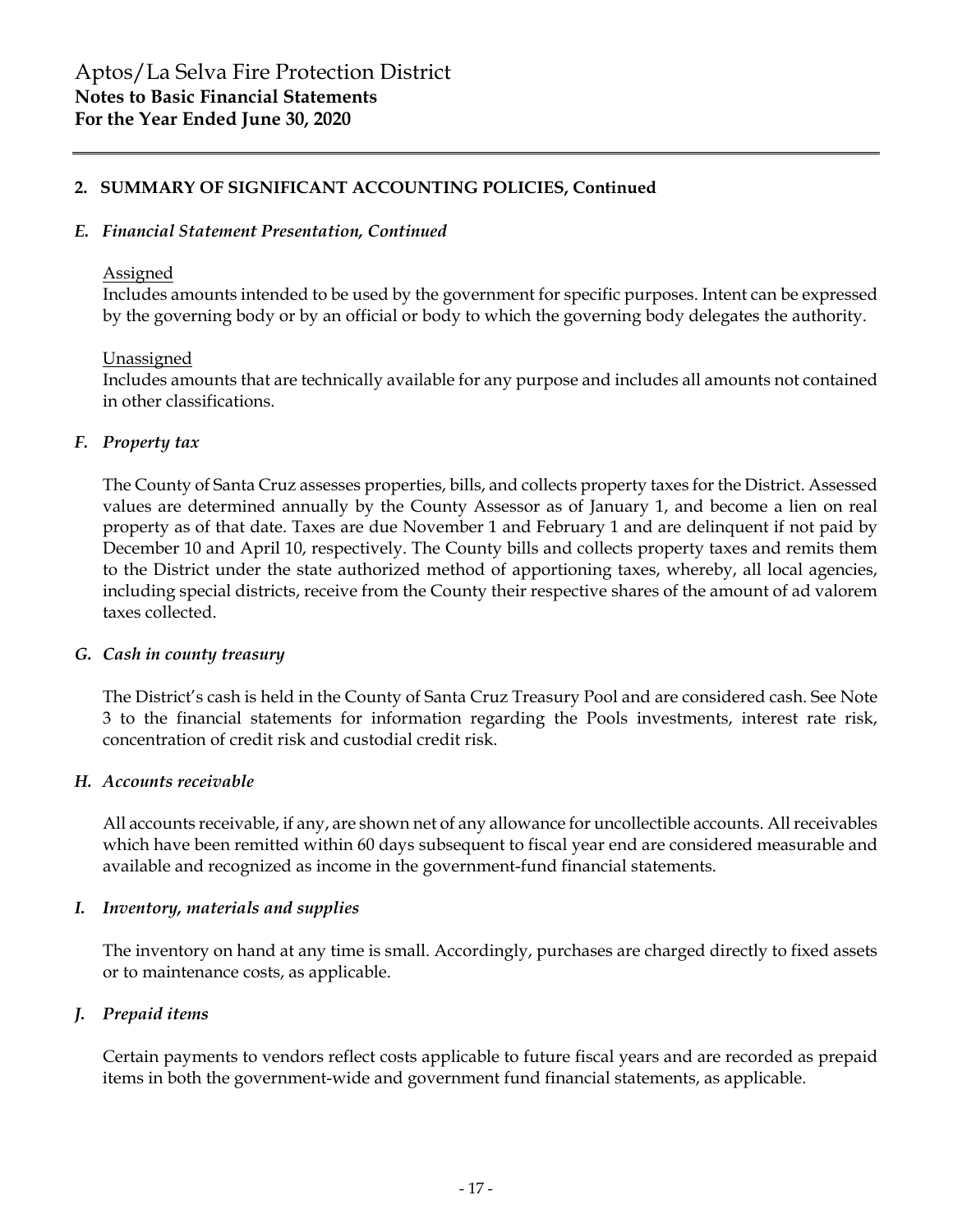#### *E. Financial Statement Presentation, Continued*

#### Assigned

Includes amounts intended to be used by the government for specific purposes. Intent can be expressed by the governing body or by an official or body to which the governing body delegates the authority.

#### Unassigned

Includes amounts that are technically available for any purpose and includes all amounts not contained in other classifications.

#### *F. Property tax*

The County of Santa Cruz assesses properties, bills, and collects property taxes for the District. Assessed values are determined annually by the County Assessor as of January 1, and become a lien on real property as of that date. Taxes are due November 1 and February 1 and are delinquent if not paid by December 10 and April 10, respectively. The County bills and collects property taxes and remits them to the District under the state authorized method of apportioning taxes, whereby, all local agencies, including special districts, receive from the County their respective shares of the amount of ad valorem taxes collected.

#### *G. Cash in county treasury*

The District's cash is held in the County of Santa Cruz Treasury Pool and are considered cash. See Note 3 to the financial statements for information regarding the Pools investments, interest rate risk, concentration of credit risk and custodial credit risk.

#### *H. Accounts receivable*

All accounts receivable, if any, are shown net of any allowance for uncollectible accounts. All receivables which have been remitted within 60 days subsequent to fiscal year end are considered measurable and available and recognized as income in the government-fund financial statements.

#### *I. Inventory, materials and supplies*

The inventory on hand at any time is small. Accordingly, purchases are charged directly to fixed assets or to maintenance costs, as applicable.

#### *J. Prepaid items*

Certain payments to vendors reflect costs applicable to future fiscal years and are recorded as prepaid items in both the government-wide and government fund financial statements, as applicable.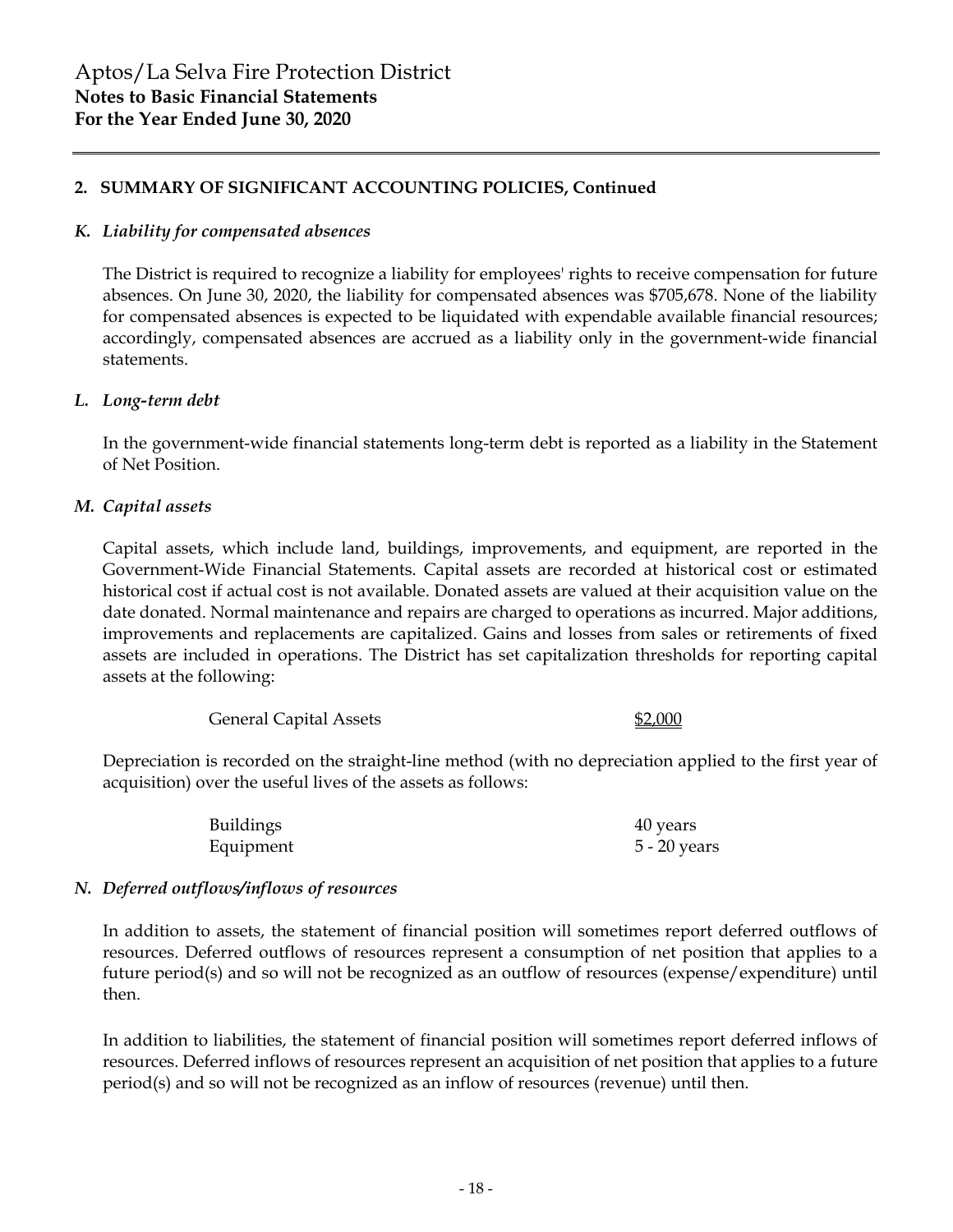#### *K. Liability for compensated absences*

The District is required to recognize a liability for employees' rights to receive compensation for future absences. On June 30, 2020, the liability for compensated absences was \$705,678. None of the liability for compensated absences is expected to be liquidated with expendable available financial resources; accordingly, compensated absences are accrued as a liability only in the government-wide financial statements.

#### *L. Long-term debt*

In the government-wide financial statements long-term debt is reported as a liability in the Statement of Net Position.

#### *M. Capital assets*

Capital assets, which include land, buildings, improvements, and equipment, are reported in the Government-Wide Financial Statements. Capital assets are recorded at historical cost or estimated historical cost if actual cost is not available. Donated assets are valued at their acquisition value on the date donated. Normal maintenance and repairs are charged to operations as incurred. Major additions, improvements and replacements are capitalized. Gains and losses from sales or retirements of fixed assets are included in operations. The District has set capitalization thresholds for reporting capital assets at the following:

| <b>General Capital Assets</b> | \$2,000 |
|-------------------------------|---------|
|-------------------------------|---------|

Depreciation is recorded on the straight-line method (with no depreciation applied to the first year of acquisition) over the useful lives of the assets as follows:

| <b>Buildings</b> | 40 years     |
|------------------|--------------|
| Equipment        | 5 - 20 years |

#### *N. Deferred outflows/inflows of resources*

In addition to assets, the statement of financial position will sometimes report deferred outflows of resources. Deferred outflows of resources represent a consumption of net position that applies to a future period(s) and so will not be recognized as an outflow of resources (expense/expenditure) until then.

In addition to liabilities, the statement of financial position will sometimes report deferred inflows of resources. Deferred inflows of resources represent an acquisition of net position that applies to a future period(s) and so will not be recognized as an inflow of resources (revenue) until then.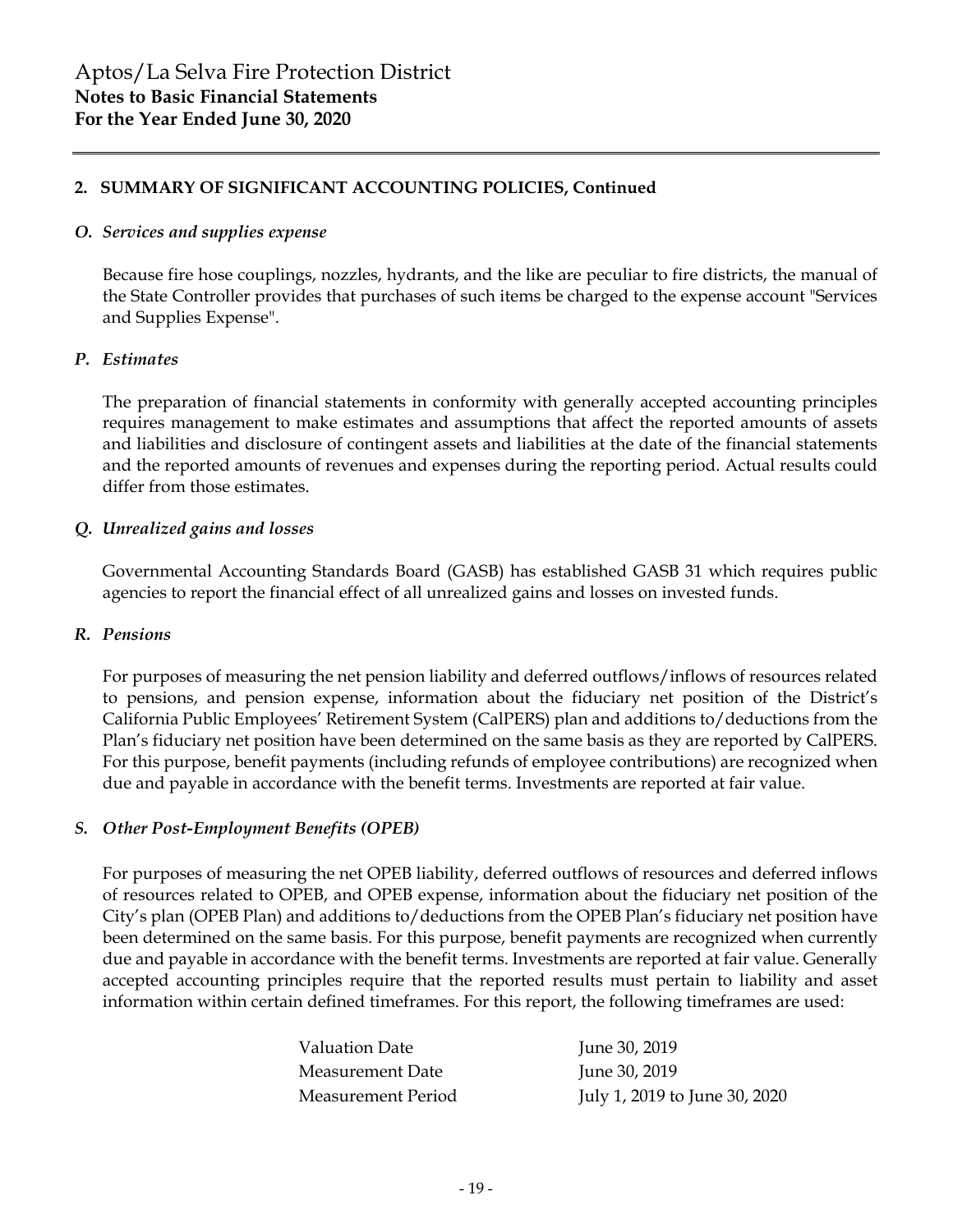#### *O. Services and supplies expense*

Because fire hose couplings, nozzles, hydrants, and the like are peculiar to fire districts, the manual of the State Controller provides that purchases of such items be charged to the expense account "Services and Supplies Expense".

#### *P. Estimates*

The preparation of financial statements in conformity with generally accepted accounting principles requires management to make estimates and assumptions that affect the reported amounts of assets and liabilities and disclosure of contingent assets and liabilities at the date of the financial statements and the reported amounts of revenues and expenses during the reporting period. Actual results could differ from those estimates.

#### *Q. Unrealized gains and losses*

Governmental Accounting Standards Board (GASB) has established GASB 31 which requires public agencies to report the financial effect of all unrealized gains and losses on invested funds.

#### *R. Pensions*

For purposes of measuring the net pension liability and deferred outflows/inflows of resources related to pensions, and pension expense, information about the fiduciary net position of the District's California Public Employees' Retirement System (CalPERS) plan and additions to/deductions from the Plan's fiduciary net position have been determined on the same basis as they are reported by CalPERS. For this purpose, benefit payments (including refunds of employee contributions) are recognized when due and payable in accordance with the benefit terms. Investments are reported at fair value.

#### *S. Other Post-Employment Benefits (OPEB)*

For purposes of measuring the net OPEB liability, deferred outflows of resources and deferred inflows of resources related to OPEB, and OPEB expense, information about the fiduciary net position of the City's plan (OPEB Plan) and additions to/deductions from the OPEB Plan's fiduciary net position have been determined on the same basis. For this purpose, benefit payments are recognized when currently due and payable in accordance with the benefit terms. Investments are reported at fair value. Generally accepted accounting principles require that the reported results must pertain to liability and asset information within certain defined timeframes. For this report, the following timeframes are used:

| Valuation Date     | June 30, 2019                 |
|--------------------|-------------------------------|
| Measurement Date   | June 30, 2019                 |
| Measurement Period | July 1, 2019 to June 30, 2020 |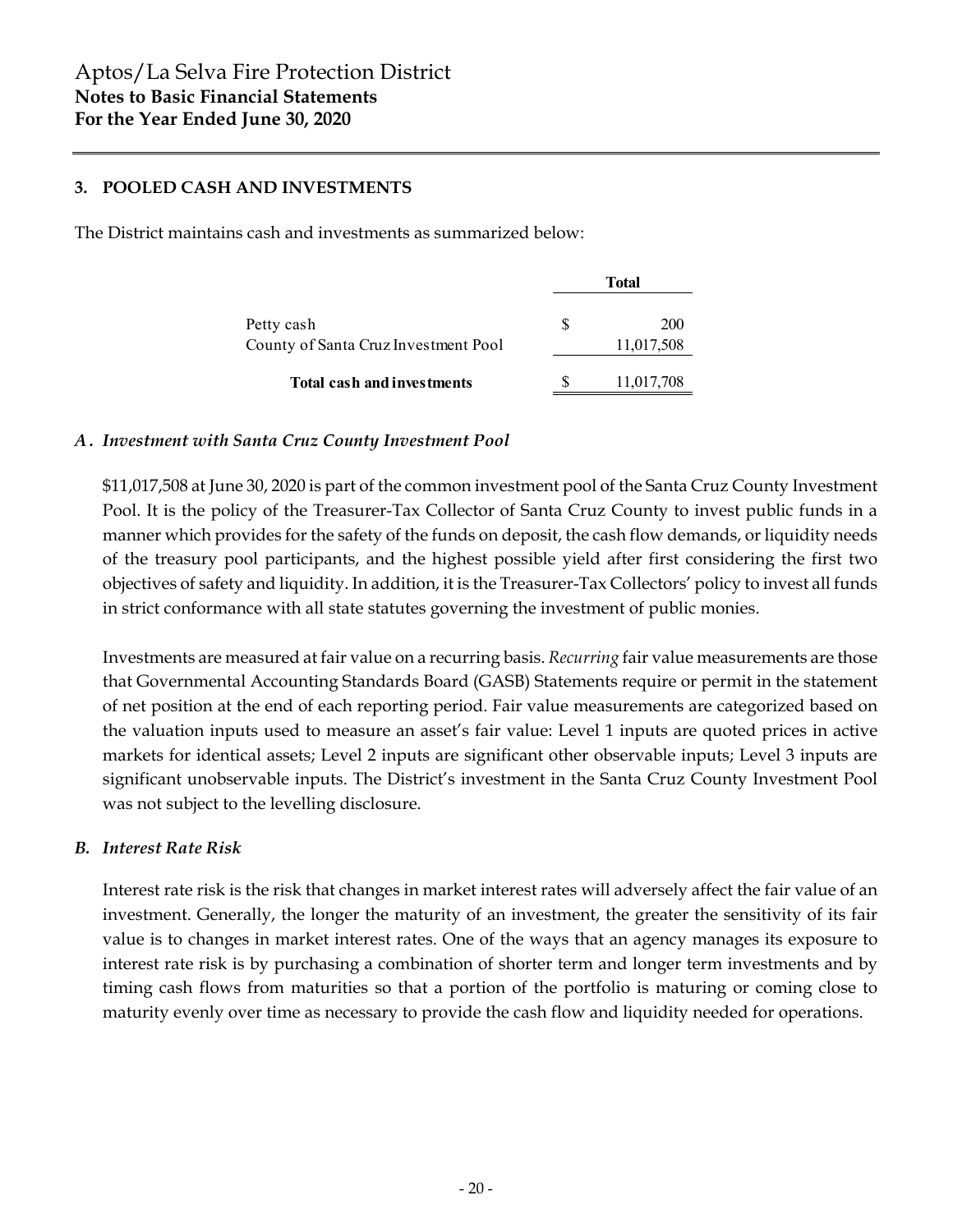#### **3. POOLED CASH AND INVESTMENTS**

The District maintains cash and investments as summarized below:

|                                                    | Total             |
|----------------------------------------------------|-------------------|
| Petty cash<br>County of Santa Cruz Investment Pool | 200<br>11,017,508 |
| <b>Total cash and investments</b>                  | 11,017,708        |

#### *A . Investment with Santa Cruz County Investment Pool*

\$11,017,508 at June 30, 2020 is part of the common investment pool of the Santa Cruz County Investment Pool. It is the policy of the Treasurer-Tax Collector of Santa Cruz County to invest public funds in a manner which provides for the safety of the funds on deposit, the cash flow demands, or liquidity needs of the treasury pool participants, and the highest possible yield after first considering the first two objectives of safety and liquidity. In addition, it is the Treasurer-Tax Collectors' policy to invest all funds in strict conformance with all state statutes governing the investment of public monies.

Investments are measured at fair value on a recurring basis. *Recurring* fair value measurements are those that Governmental Accounting Standards Board (GASB) Statements require or permit in the statement of net position at the end of each reporting period. Fair value measurements are categorized based on the valuation inputs used to measure an asset's fair value: Level 1 inputs are quoted prices in active markets for identical assets; Level 2 inputs are significant other observable inputs; Level 3 inputs are significant unobservable inputs. The District's investment in the Santa Cruz County Investment Pool was not subject to the levelling disclosure.

#### *B. Interest Rate Risk*

Interest rate risk is the risk that changes in market interest rates will adversely affect the fair value of an investment. Generally, the longer the maturity of an investment, the greater the sensitivity of its fair value is to changes in market interest rates. One of the ways that an agency manages its exposure to interest rate risk is by purchasing a combination of shorter term and longer term investments and by timing cash flows from maturities so that a portion of the portfolio is maturing or coming close to maturity evenly over time as necessary to provide the cash flow and liquidity needed for operations.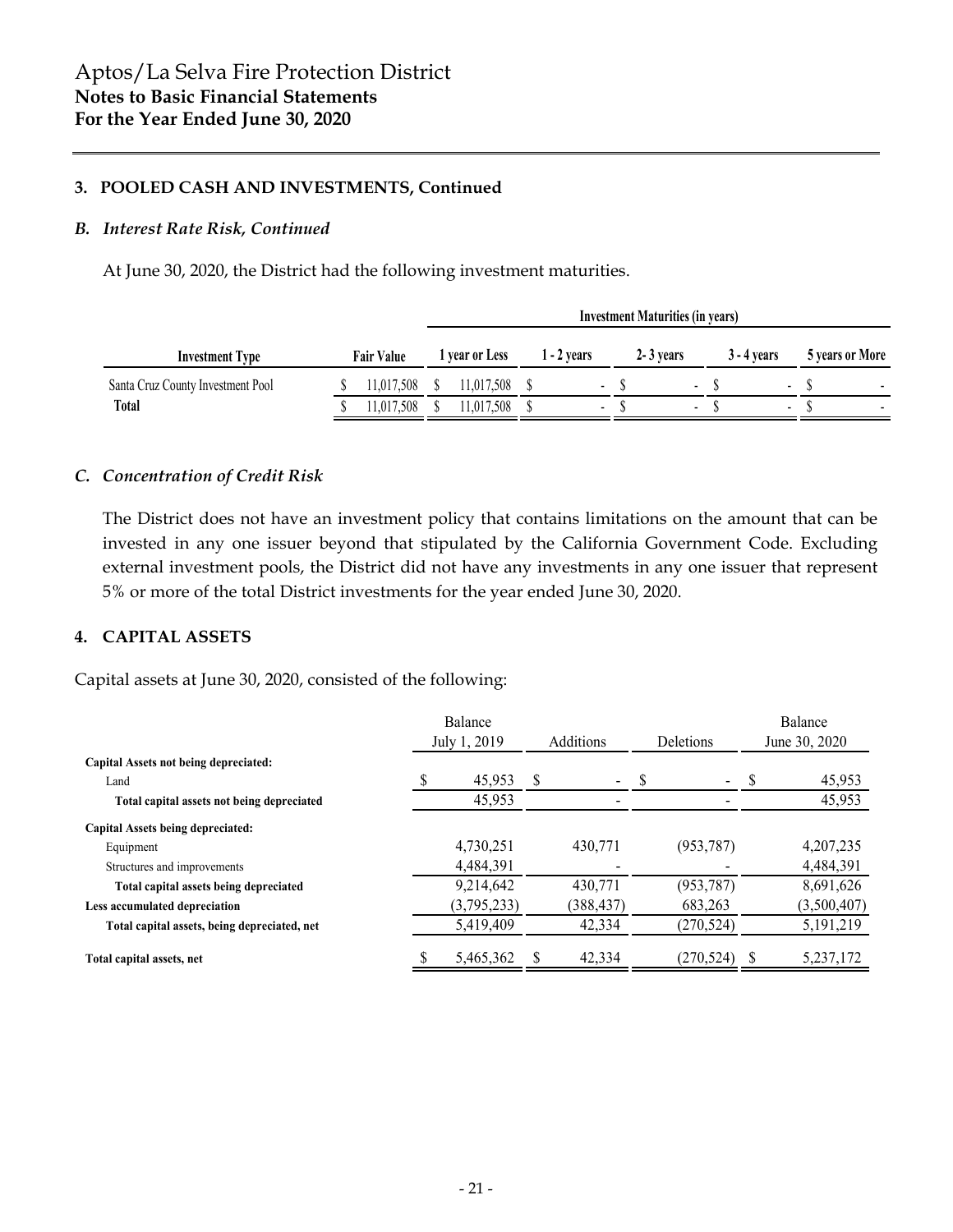#### **3. POOLED CASH AND INVESTMENTS, Continued**

#### *B. Interest Rate Risk, Continued*

At June 30, 2020, the District had the following investment maturities.

|                                   |                   | <b>Investment Maturities (in years)</b> |                |  |                          |  |                          |                          |  |                 |
|-----------------------------------|-------------------|-----------------------------------------|----------------|--|--------------------------|--|--------------------------|--------------------------|--|-----------------|
| <b>Investment Type</b>            | <b>Fair Value</b> |                                         | l vear or Less |  | 1 - 2 years              |  | 2-3 years                | $3 - 4$ vears            |  | 5 years or More |
| Santa Cruz County Investment Pool | 1.017.508         |                                         | 11.017.508     |  |                          |  | ۰.                       | $\blacksquare$           |  |                 |
| <b>Total</b>                      | 1,017,508         |                                         | 11,017,508     |  | $\overline{\phantom{a}}$ |  | $\overline{\phantom{a}}$ | $\overline{\phantom{a}}$ |  |                 |

#### *C. Concentration of Credit Risk*

The District does not have an investment policy that contains limitations on the amount that can be invested in any one issuer beyond that stipulated by the California Government Code. Excluding external investment pools, the District did not have any investments in any one issuer that represent 5% or more of the total District investments for the year ended June 30, 2020.

### **4. CAPITAL ASSETS**

Capital assets at June 30, 2020, consisted of the following:

|                                              |   | Balance      |   |                          |                  |            |     | Balance       |  |
|----------------------------------------------|---|--------------|---|--------------------------|------------------|------------|-----|---------------|--|
|                                              |   | July 1, 2019 |   | <b>Additions</b>         | <b>Deletions</b> |            |     | June 30, 2020 |  |
| Capital Assets not being depreciated:        |   |              |   |                          |                  |            |     |               |  |
| Land                                         | S | 45,953       | S | $\overline{\phantom{0}}$ | \$.              | Ξ.         | - D | 45,953        |  |
| Total capital assets not being depreciated   |   | 45,953       |   |                          |                  |            |     | 45,953        |  |
| Capital Assets being depreciated:            |   |              |   |                          |                  |            |     |               |  |
| Equipment                                    |   | 4,730,251    |   | 430.771                  |                  | (953, 787) |     | 4,207,235     |  |
| Structures and improvements                  |   | 4,484,391    |   |                          |                  |            |     | 4,484,391     |  |
| Total capital assets being depreciated       |   | 9,214,642    |   | 430.771                  |                  | (953, 787) |     | 8,691,626     |  |
| Less accumulated depreciation                |   | (3,795,233)  |   | (388, 437)               |                  | 683,263    |     | (3,500,407)   |  |
| Total capital assets, being depreciated, net |   | 5,419,409    |   | 42,334                   |                  | (270, 524) |     | 5, 191, 219   |  |
| Total capital assets, net                    |   | 5,465,362    |   | 42,334                   |                  | (270, 524) |     | 5, 237, 172   |  |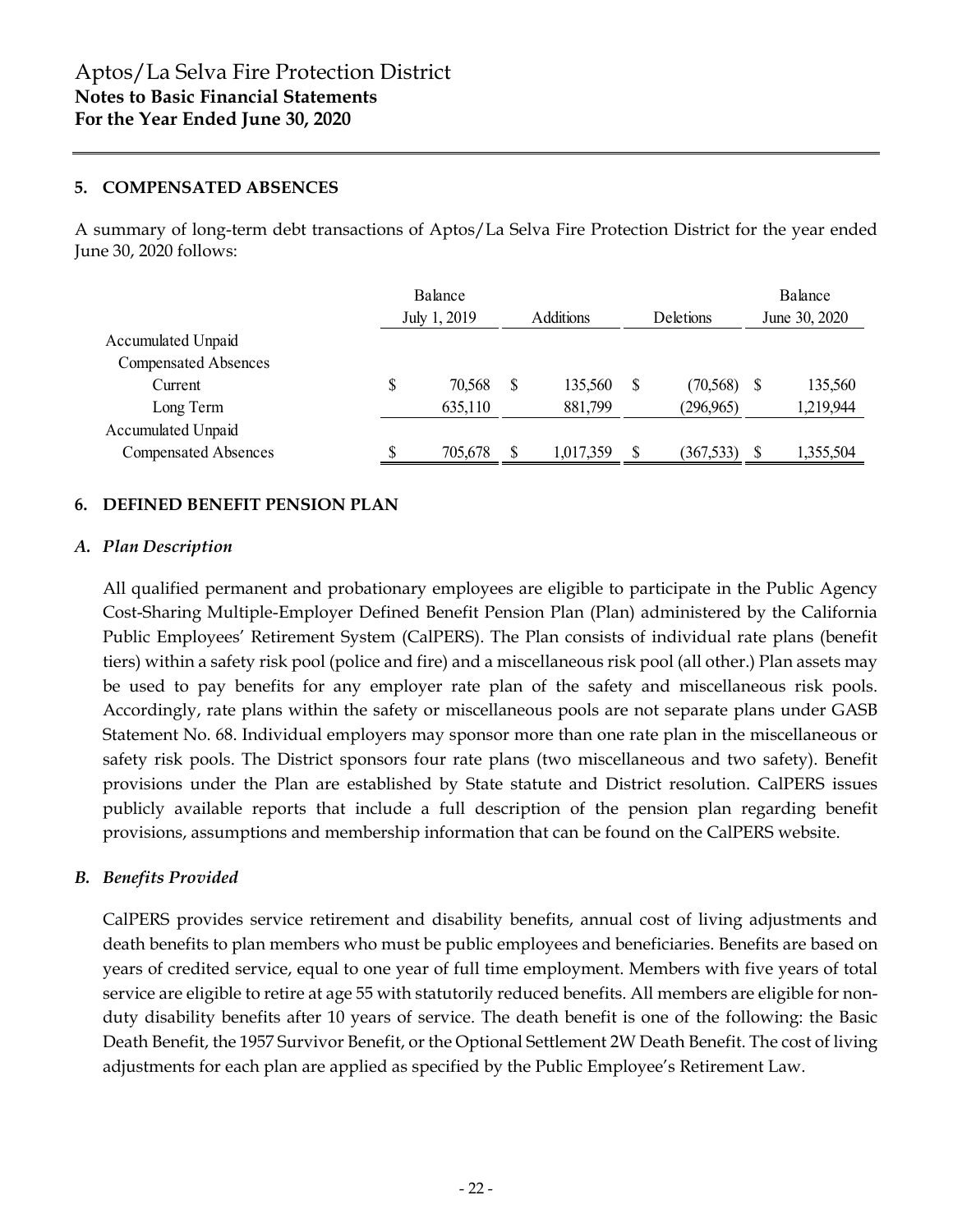#### **5. COMPENSATED ABSENCES**

A summary of long-term debt transactions of Aptos/La Selva Fire Protection District for the year ended June 30, 2020 follows:

|                             | Balance<br>July 1, 2019 |    | <b>Additions</b> | <b>Deletions</b> |   | Balance<br>June 30, 2020 |
|-----------------------------|-------------------------|----|------------------|------------------|---|--------------------------|
| Accumulated Unpaid          |                         |    |                  |                  |   |                          |
| <b>Compensated Absences</b> |                         |    |                  |                  |   |                          |
| Current                     | \$<br>70,568            | \$ | 135,560          | \$<br>(70, 568)  | S | 135,560                  |
| Long Term                   | 635,110                 |    | 881,799          | (296,965)        |   | 1,219,944                |
| Accumulated Unpaid          |                         |    |                  |                  |   |                          |
| <b>Compensated Absences</b> | \$<br>705,678           | S  | 1,017,359        | \$<br>(367, 533) |   | 1,355,504                |

#### **6. DEFINED BENEFIT PENSION PLAN**

#### *A. Plan Description*

All qualified permanent and probationary employees are eligible to participate in the Public Agency Cost-Sharing Multiple-Employer Defined Benefit Pension Plan (Plan) administered by the California Public Employees' Retirement System (CalPERS). The Plan consists of individual rate plans (benefit tiers) within a safety risk pool (police and fire) and a miscellaneous risk pool (all other.) Plan assets may be used to pay benefits for any employer rate plan of the safety and miscellaneous risk pools. Accordingly, rate plans within the safety or miscellaneous pools are not separate plans under GASB Statement No. 68. Individual employers may sponsor more than one rate plan in the miscellaneous or safety risk pools. The District sponsors four rate plans (two miscellaneous and two safety). Benefit provisions under the Plan are established by State statute and District resolution. CalPERS issues publicly available reports that include a full description of the pension plan regarding benefit provisions, assumptions and membership information that can be found on the CalPERS website.

#### *B. Benefits Provided*

CalPERS provides service retirement and disability benefits, annual cost of living adjustments and death benefits to plan members who must be public employees and beneficiaries. Benefits are based on years of credited service, equal to one year of full time employment. Members with five years of total service are eligible to retire at age 55 with statutorily reduced benefits. All members are eligible for nonduty disability benefits after 10 years of service. The death benefit is one of the following: the Basic Death Benefit, the 1957 Survivor Benefit, or the Optional Settlement 2W Death Benefit. The cost of living adjustments for each plan are applied as specified by the Public Employee's Retirement Law.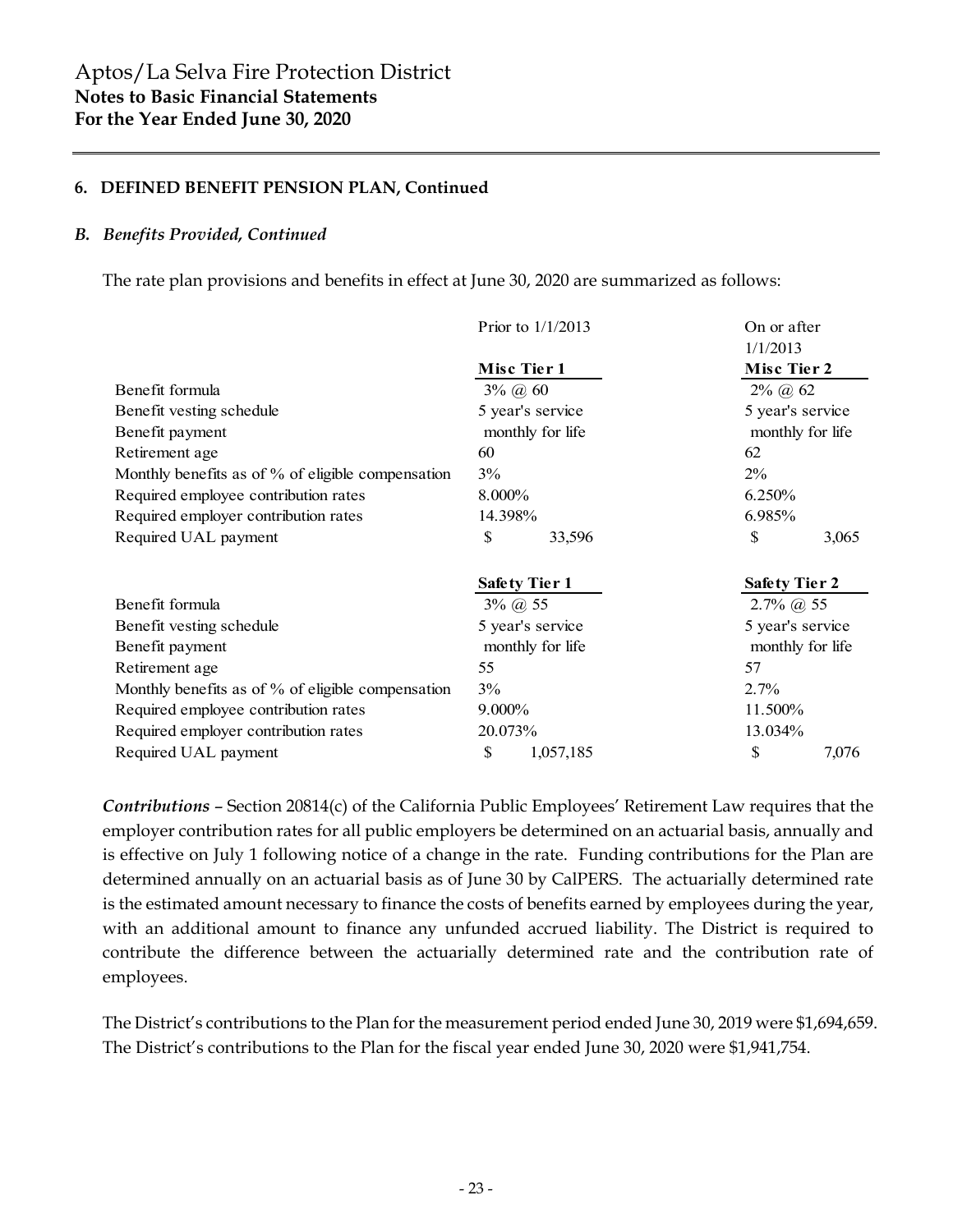#### *B. Benefits Provided, Continued*

The rate plan provisions and benefits in effect at June 30, 2020 are summarized as follows:

|                                                   | Prior to $1/1/2013$  | On or after          |  |  |  |
|---------------------------------------------------|----------------------|----------------------|--|--|--|
|                                                   |                      | 1/1/2013             |  |  |  |
|                                                   | Misc Tier 1          | Misc Tier 2          |  |  |  |
| Benefit formula                                   | $3\%$ (a) 60         | $2\%$ @ 62           |  |  |  |
| Benefit vesting schedule                          | 5 year's service     | 5 year's service     |  |  |  |
| Benefit payment                                   | monthly for life     | monthly for life     |  |  |  |
| Retirement age                                    | 60                   | 62                   |  |  |  |
| Monthly benefits as of % of eligible compensation | 3%                   | 2%                   |  |  |  |
| Required employee contribution rates              | 8.000%               | 6.250%               |  |  |  |
| Required employer contribution rates              | 14.398%              | 6.985%               |  |  |  |
| Required UAL payment                              | \$<br>33,596         | \$<br>3,065          |  |  |  |
|                                                   | <b>Safety Tier 1</b> | <b>Safety Tier 2</b> |  |  |  |
| Benefit formula                                   | $3\%$ (a) 55         | $2.7\%$ (a) 55       |  |  |  |
| Benefit vesting schedule                          | 5 year's service     | 5 year's service     |  |  |  |
| Benefit payment                                   | monthly for life     | monthly for life     |  |  |  |
| Retirement age                                    | 55                   | 57                   |  |  |  |
| Monthly benefits as of % of eligible compensation | 3%                   | 2.7%                 |  |  |  |
| Required employee contribution rates              | $9.000\%$            | 11.500%              |  |  |  |
| Required employer contribution rates              | 20.073%              | 13.034%              |  |  |  |
| Required UAL payment                              | \$<br>1,057,185      | \$<br>7,076          |  |  |  |

*Contributions* – Section 20814(c) of the California Public Employees' Retirement Law requires that the employer contribution rates for all public employers be determined on an actuarial basis, annually and is effective on July 1 following notice of a change in the rate. Funding contributions for the Plan are determined annually on an actuarial basis as of June 30 by CalPERS. The actuarially determined rate is the estimated amount necessary to finance the costs of benefits earned by employees during the year, with an additional amount to finance any unfunded accrued liability. The District is required to contribute the difference between the actuarially determined rate and the contribution rate of employees.

The District's contributions to the Plan for the measurement period ended June 30, 2019 were \$1,694,659. The District's contributions to the Plan for the fiscal year ended June 30, 2020 were \$1,941,754.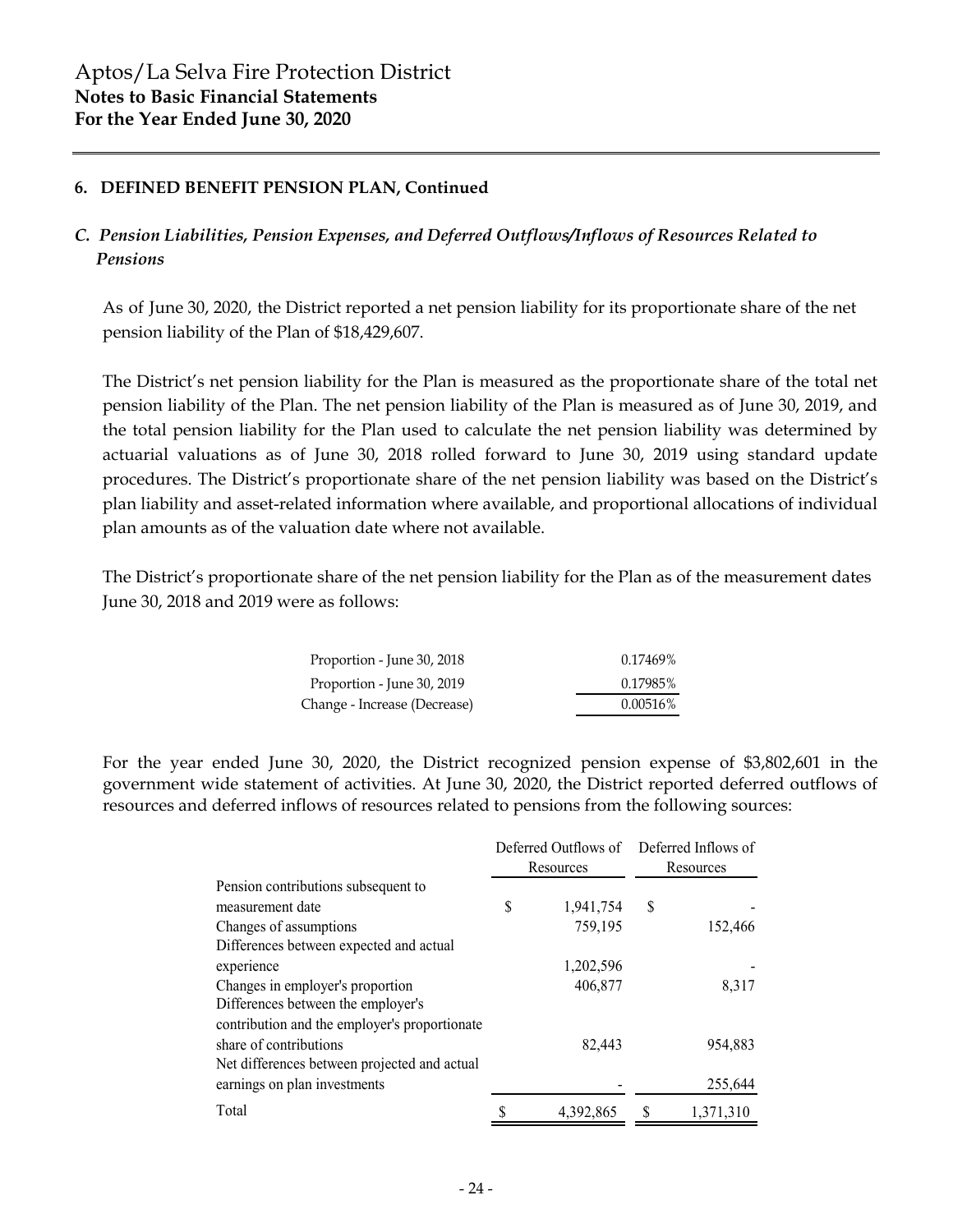### *C. Pension Liabilities, Pension Expenses, and Deferred Outflows/Inflows of Resources Related to Pensions*

As of June 30, 2020, the District reported a net pension liability for its proportionate share of the net pension liability of the Plan of \$18,429,607.

The District's net pension liability for the Plan is measured as the proportionate share of the total net pension liability of the Plan. The net pension liability of the Plan is measured as of June 30, 2019, and the total pension liability for the Plan used to calculate the net pension liability was determined by actuarial valuations as of June 30, 2018 rolled forward to June 30, 2019 using standard update procedures. The District's proportionate share of the net pension liability was based on the District's plan liability and asset-related information where available, and proportional allocations of individual plan amounts as of the valuation date where not available.

The District's proportionate share of the net pension liability for the Plan as of the measurement dates June 30, 2018 and 2019 were as follows:

| Proportion - June 30, 2018   | 0.17469% |
|------------------------------|----------|
| Proportion - June 30, 2019   | 0.17985% |
| Change - Increase (Decrease) | 0.00516% |

For the year ended June 30, 2020, the District recognized pension expense of \$3,802,601 in the government wide statement of activities. At June 30, 2020, the District reported deferred outflows of resources and deferred inflows of resources related to pensions from the following sources:

|                                               | Deferred Outflows of Deferred Inflows of |           |           |           |  |
|-----------------------------------------------|------------------------------------------|-----------|-----------|-----------|--|
|                                               |                                          | Resources | Resources |           |  |
| Pension contributions subsequent to           |                                          |           |           |           |  |
| measurement date                              | \$                                       | 1,941,754 | \$        |           |  |
| Changes of assumptions                        |                                          | 759,195   |           | 152,466   |  |
| Differences between expected and actual       |                                          |           |           |           |  |
| experience                                    |                                          | 1,202,596 |           |           |  |
| Changes in employer's proportion              |                                          | 406,877   |           | 8,317     |  |
| Differences between the employer's            |                                          |           |           |           |  |
| contribution and the employer's proportionate |                                          |           |           |           |  |
| share of contributions                        |                                          | 82.443    |           | 954,883   |  |
| Net differences between projected and actual  |                                          |           |           |           |  |
| earnings on plan investments                  |                                          |           |           | 255,644   |  |
| Total                                         |                                          | 4.392.865 |           | 1.371.310 |  |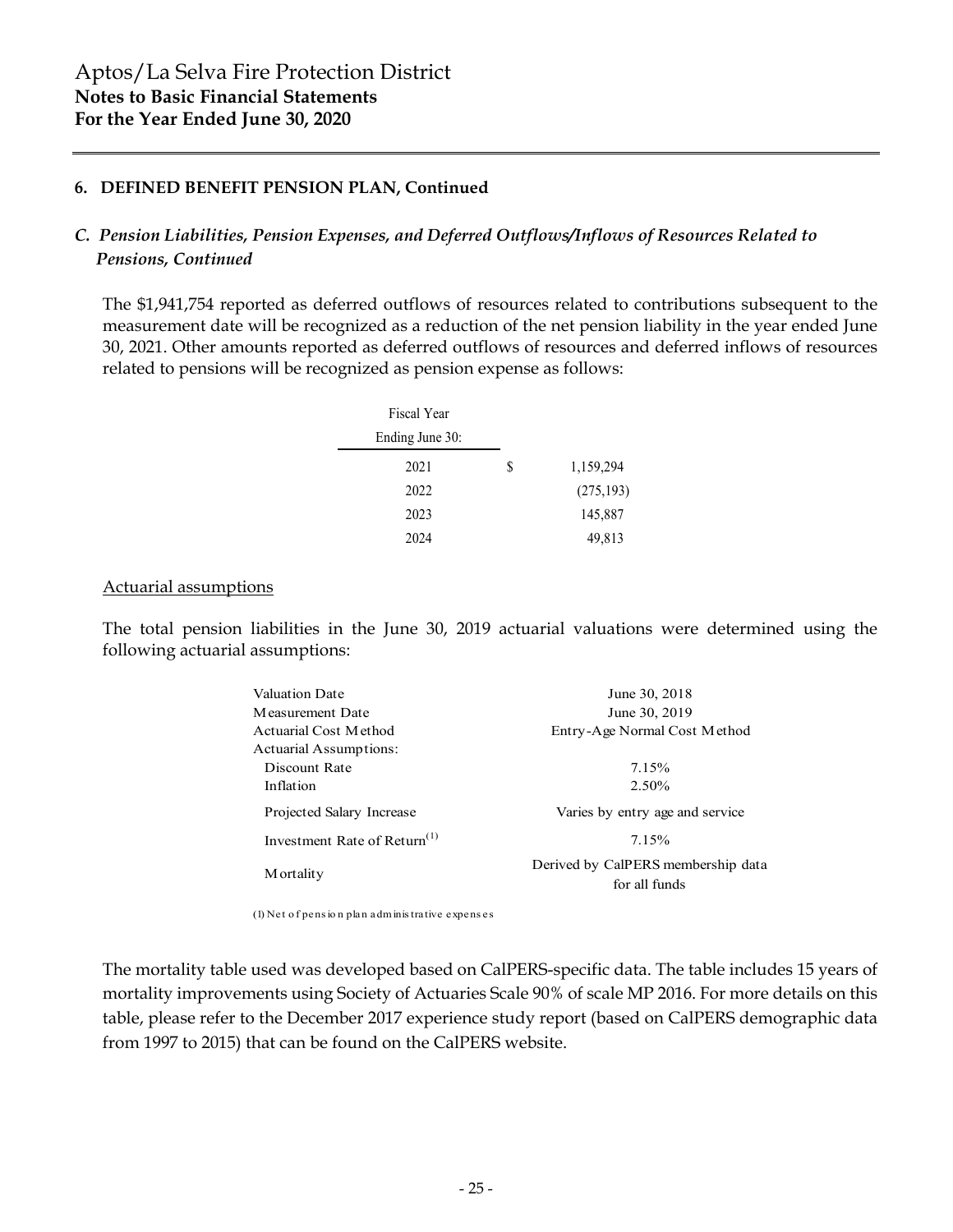### *C. Pension Liabilities, Pension Expenses, and Deferred Outflows/Inflows of Resources Related to Pensions, Continued*

The \$1,941,754 reported as deferred outflows of resources related to contributions subsequent to the measurement date will be recognized as a reduction of the net pension liability in the year ended June 30, 2021. Other amounts reported as deferred outflows of resources and deferred inflows of resources related to pensions will be recognized as pension expense as follows:

| S | 1,159,294  |
|---|------------|
|   | (275, 193) |
|   | 145,887    |
|   | 49,813     |
|   |            |

#### Actuarial assumptions

The total pension liabilities in the June 30, 2019 actuarial valuations were determined using the following actuarial assumptions:

| Valuation Date                           | June 30, 2018                                       |
|------------------------------------------|-----------------------------------------------------|
| Measurement Date                         | June 30, 2019                                       |
| Actuarial Cost Method                    | Entry-Age Normal Cost Method                        |
| <b>Actuarial Assumptions:</b>            |                                                     |
| Discount Rate                            | 7.15%                                               |
| Inflation                                | 2.50%                                               |
| Projected Salary Increase                | Varies by entry age and service                     |
| Investment Rate of Return <sup>(1)</sup> | 7.15%                                               |
| M ortality                               | Derived by CalPERS membership data<br>for all funds |

(1) Net o f pens io n plan adminis trative expens es

The mortality table used was developed based on CalPERS-specific data. The table includes 15 years of mortality improvements using Society of Actuaries Scale 90% of scale MP 2016. For more details on this table, please refer to the December 2017 experience study report (based on CalPERS demographic data from 1997 to 2015) that can be found on the CalPERS website.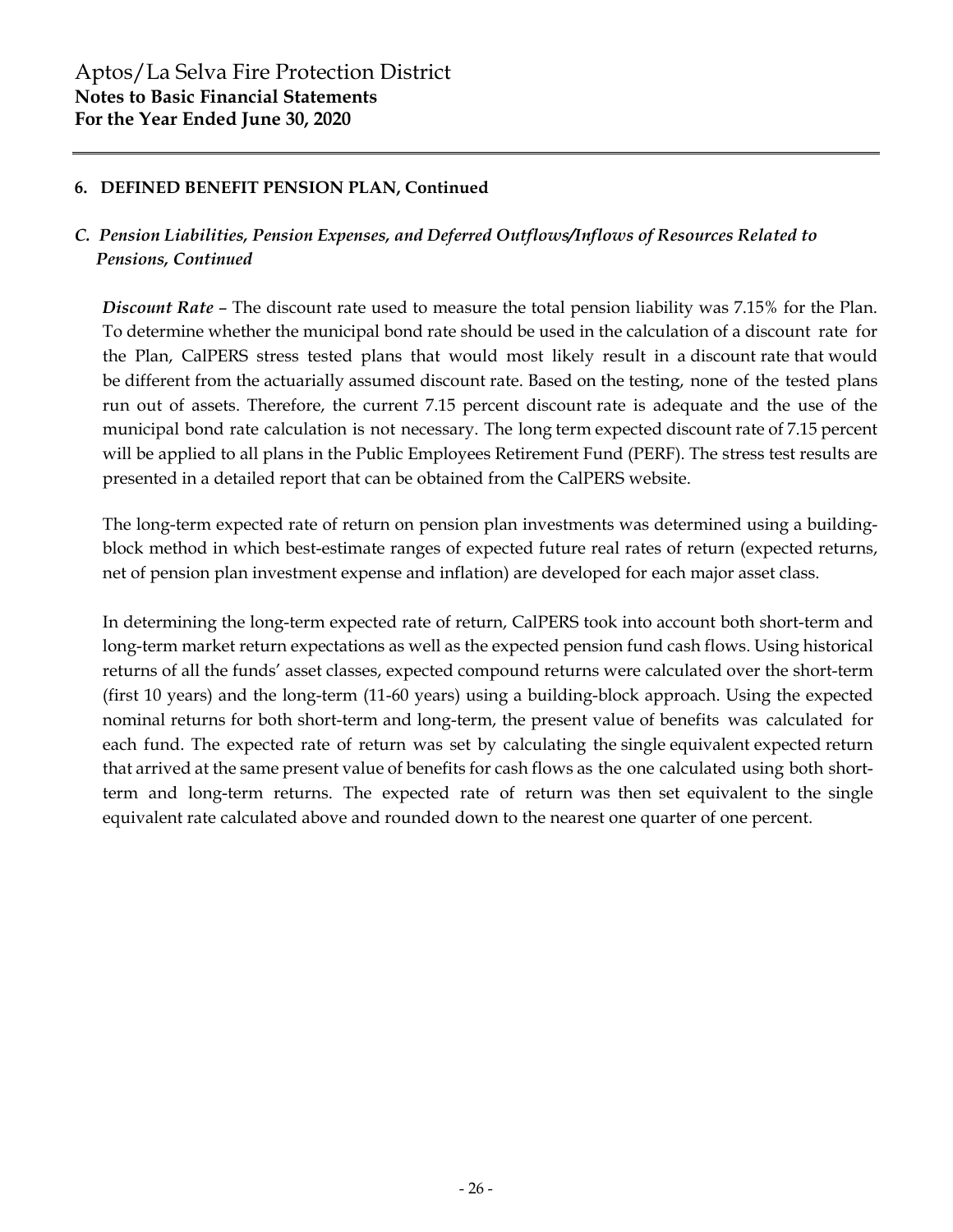### *C. Pension Liabilities, Pension Expenses, and Deferred Outflows/Inflows of Resources Related to Pensions, Continued*

*Discount Rate* – The discount rate used to measure the total pension liability was 7.15% for the Plan. To determine whether the municipal bond rate should be used in the calculation of a discount rate for the Plan, CalPERS stress tested plans that would most likely result in a discount rate that would be different from the actuarially assumed discount rate. Based on the testing, none of the tested plans run out of assets. Therefore, the current 7.15 percent discount rate is adequate and the use of the municipal bond rate calculation is not necessary. The long term expected discount rate of 7.15 percent will be applied to all plans in the Public Employees Retirement Fund (PERF). The stress test results are presented in a detailed report that can be obtained from the CalPERS website.

The long-term expected rate of return on pension plan investments was determined using a buildingblock method in which best-estimate ranges of expected future real rates of return (expected returns, net of pension plan investment expense and inflation) are developed for each major asset class.

In determining the long-term expected rate of return, CalPERS took into account both short-term and long-term market return expectations as well as the expected pension fund cash flows. Using historical returns of all the funds' asset classes, expected compound returns were calculated over the short-term (first 10 years) and the long-term (11-60 years) using a building-block approach. Using the expected nominal returns for both short-term and long-term, the present value of benefits was calculated for each fund. The expected rate of return was set by calculating the single equivalent expected return that arrived at the same present value of benefits for cash flows as the one calculated using both shortterm and long-term returns. The expected rate of return was then set equivalent to the single equivalent rate calculated above and rounded down to the nearest one quarter of one percent.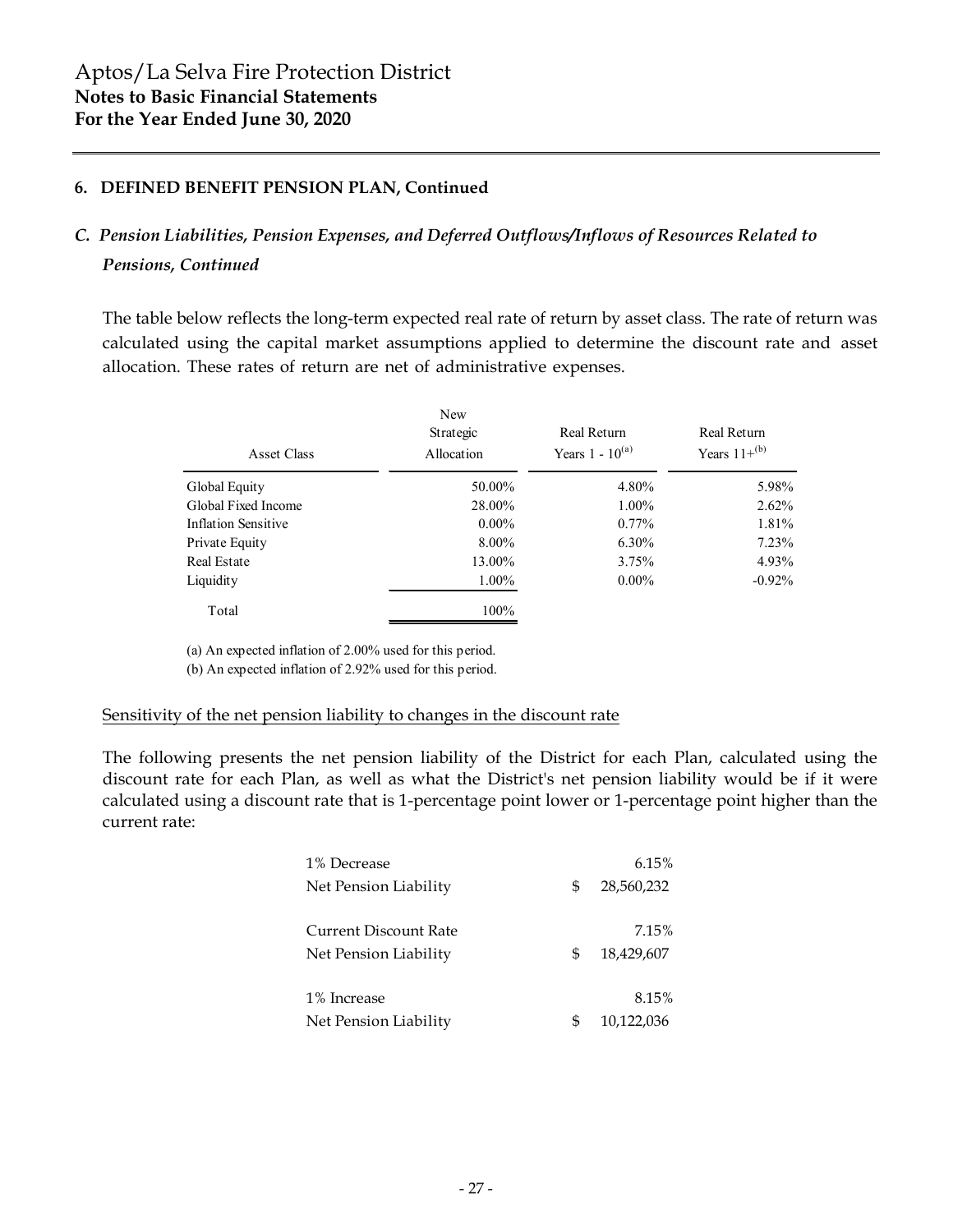## *C. Pension Liabilities, Pension Expenses, and Deferred Outflows/Inflows of Resources Related to Pensions, Continued*

The table below reflects the long-term expected real rate of return by asset class. The rate of return was calculated using the capital market assumptions applied to determine the discount rate and asset allocation. These rates of return are net of administrative expenses.

| Asset Class         | New<br>Strategic<br>Allocation | Real Return<br>Years 1 - $10^{(a)}$ | Real Return<br>Years $11^{+(b)}$ |
|---------------------|--------------------------------|-------------------------------------|----------------------------------|
| Global Equity       | 50.00%                         | 4.80%                               | 5.98%                            |
| Global Fixed Income | 28.00%                         | $1.00\%$                            | $2.62\%$                         |
| Inflation Sensitive | $0.00\%$                       | $0.77\%$                            | 1.81%                            |
| Private Equity      | 8.00%                          | $6.30\%$                            | 7.23%                            |
| Real Estate         | 13.00%                         | 3.75%                               | 4.93%                            |
| Liquidity           | $1.00\%$                       | $0.00\%$                            | $-0.92\%$                        |
| Total               | 100%                           |                                     |                                  |

(a) An expected inflation of 2.00% used for this period.

(b) An expected inflation of 2.92% used for this period.

#### Sensitivity of the net pension liability to changes in the discount rate

The following presents the net pension liability of the District for each Plan, calculated using the discount rate for each Plan, as well as what the District's net pension liability would be if it were calculated using a discount rate that is 1-percentage point lower or 1-percentage point higher than the current rate:

| 1% Decrease           |   | 6.15%      |
|-----------------------|---|------------|
| Net Pension Liability | S | 28,560,232 |
| Current Discount Rate |   | 7.15%      |
| Net Pension Liability | S | 18,429,607 |
| 1% Increase           |   | 8.15%      |
| Net Pension Liability | S | 10,122,036 |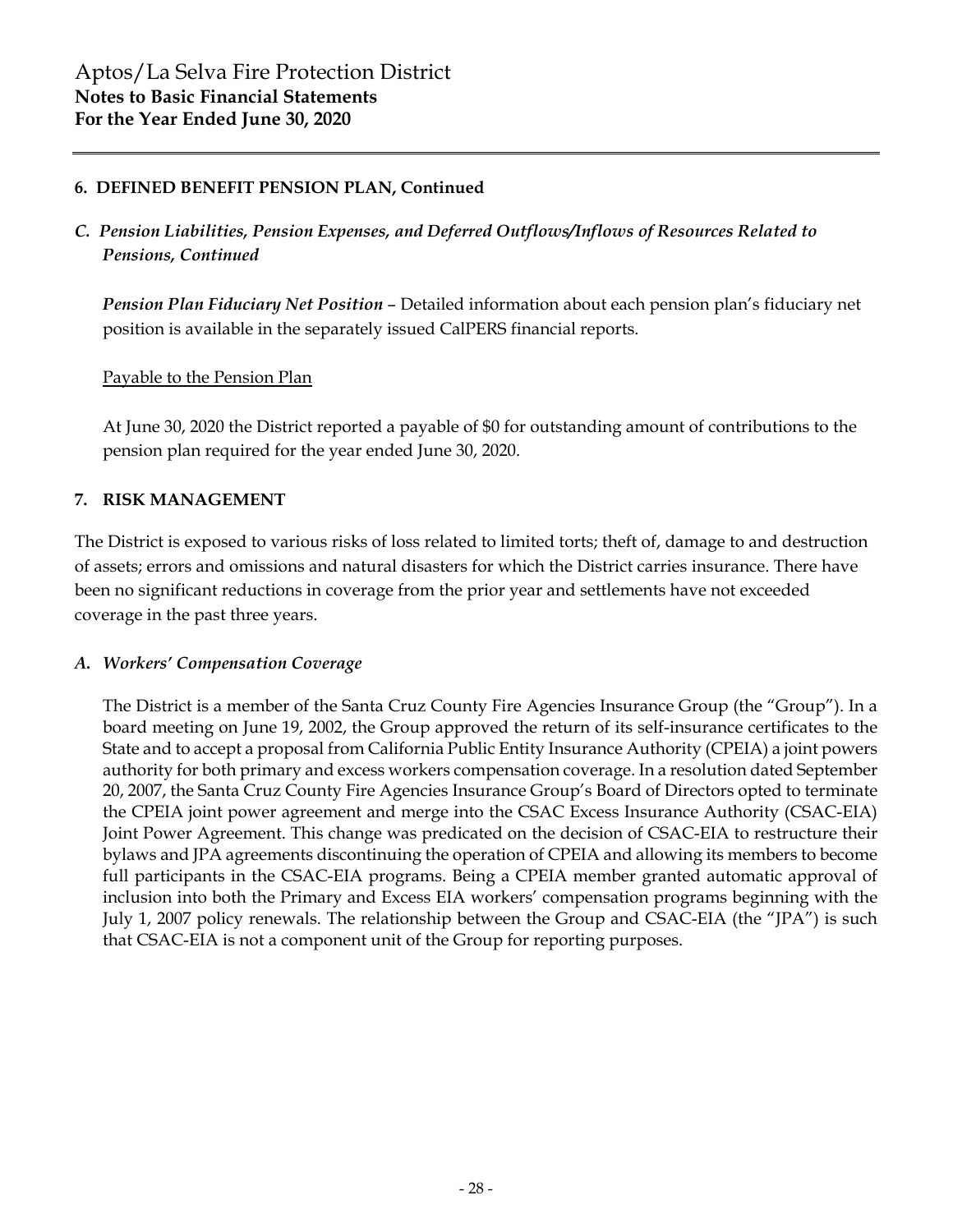## *C. Pension Liabilities, Pension Expenses, and Deferred Outflows/Inflows of Resources Related to Pensions, Continued*

*Pension Plan Fiduciary Net Position* – Detailed information about each pension plan's fiduciary net position is available in the separately issued CalPERS financial reports.

#### Payable to the Pension Plan

At June 30, 2020 the District reported a payable of \$0 for outstanding amount of contributions to the pension plan required for the year ended June 30, 2020.

#### **7. RISK MANAGEMENT**

The District is exposed to various risks of loss related to limited torts; theft of, damage to and destruction of assets; errors and omissions and natural disasters for which the District carries insurance. There have been no significant reductions in coverage from the prior year and settlements have not exceeded coverage in the past three years.

#### *A. Workers' Compensation Coverage*

The District is a member of the Santa Cruz County Fire Agencies Insurance Group (the "Group"). In a board meeting on June 19, 2002, the Group approved the return of its self-insurance certificates to the State and to accept a proposal from California Public Entity Insurance Authority (CPEIA) a joint powers authority for both primary and excess workers compensation coverage. In a resolution dated September 20, 2007, the Santa Cruz County Fire Agencies Insurance Group's Board of Directors opted to terminate the CPEIA joint power agreement and merge into the CSAC Excess Insurance Authority (CSAC-EIA) Joint Power Agreement. This change was predicated on the decision of CSAC-EIA to restructure their bylaws and JPA agreements discontinuing the operation of CPEIA and allowing its members to become full participants in the CSAC-EIA programs. Being a CPEIA member granted automatic approval of inclusion into both the Primary and Excess EIA workers' compensation programs beginning with the July 1, 2007 policy renewals. The relationship between the Group and CSAC-EIA (the "JPA") is such that CSAC-EIA is not a component unit of the Group for reporting purposes.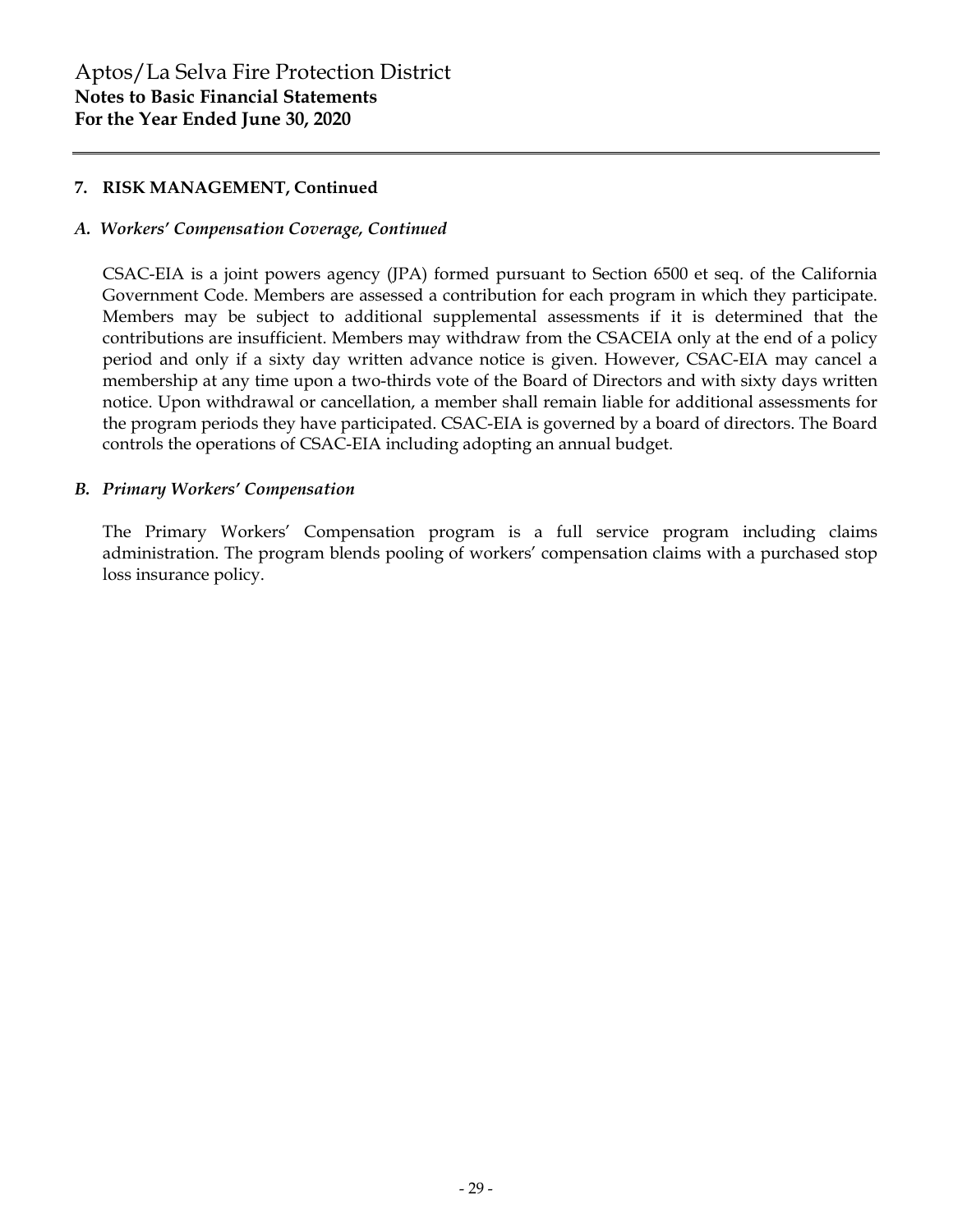#### **7. RISK MANAGEMENT, Continued**

#### *A. Workers' Compensation Coverage, Continued*

CSAC-EIA is a joint powers agency (JPA) formed pursuant to Section 6500 et seq. of the California Government Code. Members are assessed a contribution for each program in which they participate. Members may be subject to additional supplemental assessments if it is determined that the contributions are insufficient. Members may withdraw from the CSACEIA only at the end of a policy period and only if a sixty day written advance notice is given. However, CSAC-EIA may cancel a membership at any time upon a two-thirds vote of the Board of Directors and with sixty days written notice. Upon withdrawal or cancellation, a member shall remain liable for additional assessments for the program periods they have participated. CSAC-EIA is governed by a board of directors. The Board controls the operations of CSAC-EIA including adopting an annual budget.

#### *B. Primary Workers' Compensation*

The Primary Workers' Compensation program is a full service program including claims administration. The program blends pooling of workers' compensation claims with a purchased stop loss insurance policy.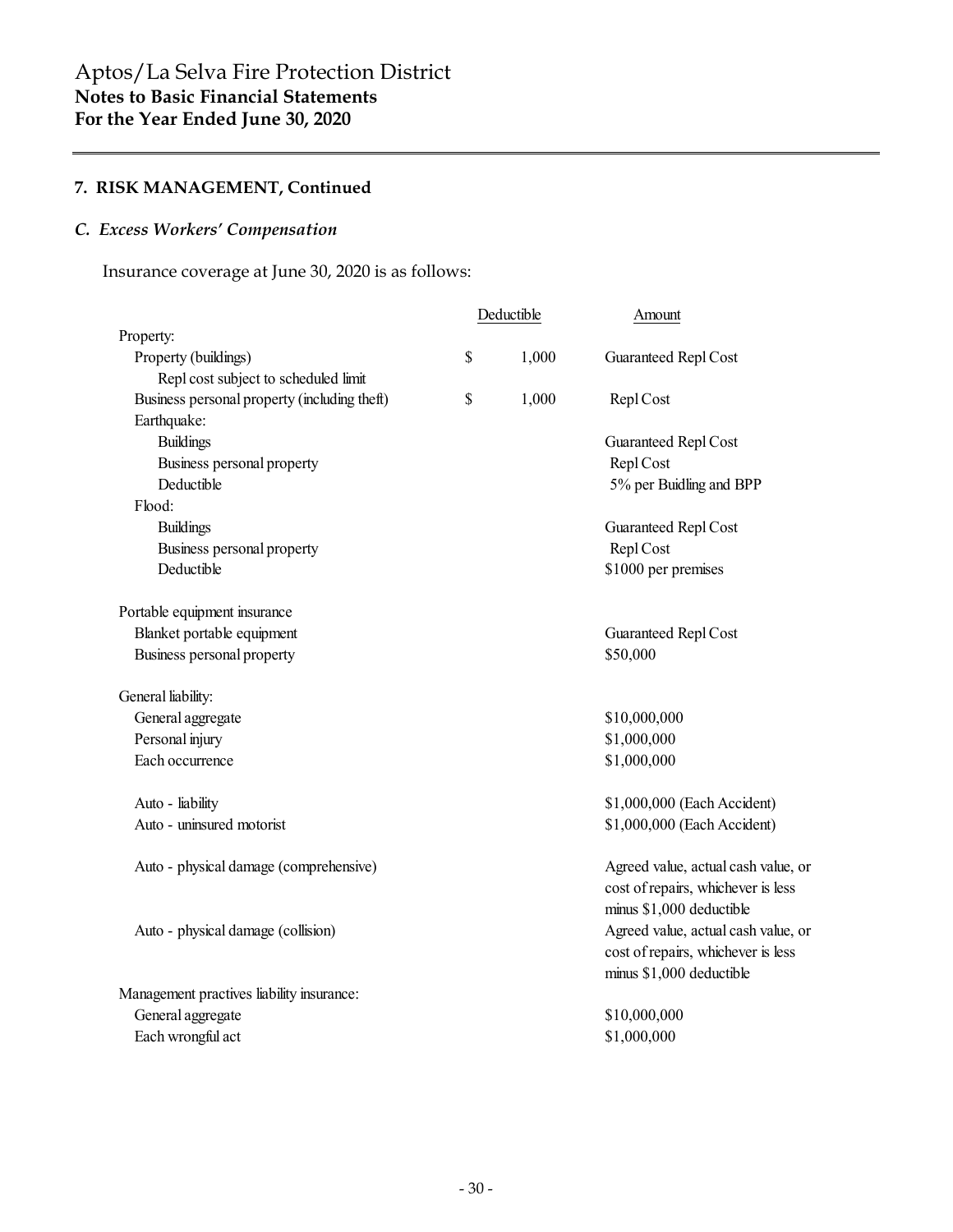### **7. RISK MANAGEMENT, Continued**

#### *C. Excess Workers' Compensation*

Insurance coverage at June 30, 2020 is as follows:

|                                              | Deductible |       | Amount                                                                                                |
|----------------------------------------------|------------|-------|-------------------------------------------------------------------------------------------------------|
| Property:                                    |            |       |                                                                                                       |
| Property (buildings)                         | \$         | 1,000 | Guaranteed Repl Cost                                                                                  |
| Repl cost subject to scheduled limit         |            |       |                                                                                                       |
| Business personal property (including theft) | \$         | 1,000 | Repl Cost                                                                                             |
| Earthquake:                                  |            |       |                                                                                                       |
| <b>Buildings</b>                             |            |       | Guaranteed Repl Cost                                                                                  |
| Business personal property                   |            |       | Repl Cost                                                                                             |
| Deductible                                   |            |       | 5% per Buidling and BPP                                                                               |
| Flood:                                       |            |       |                                                                                                       |
| <b>Buildings</b>                             |            |       | Guaranteed Repl Cost                                                                                  |
| Business personal property                   |            |       | Repl Cost                                                                                             |
| Deductible                                   |            |       | \$1000 per premises                                                                                   |
| Portable equipment insurance                 |            |       |                                                                                                       |
| Blanket portable equipment                   |            |       | Guaranteed Repl Cost                                                                                  |
| Business personal property                   |            |       | \$50,000                                                                                              |
| General liability:                           |            |       |                                                                                                       |
| General aggregate                            |            |       | \$10,000,000                                                                                          |
| Personal injury                              |            |       | \$1,000,000                                                                                           |
| Each occurrence                              |            |       | \$1,000,000                                                                                           |
| Auto - liability                             |            |       | \$1,000,000 (Each Accident)                                                                           |
| Auto - uninsured motorist                    |            |       | \$1,000,000 (Each Accident)                                                                           |
| Auto - physical damage (comprehensive)       |            |       | Agreed value, actual cash value, or<br>cost of repairs, whichever is less<br>minus \$1,000 deductible |
| Auto - physical damage (collision)           |            |       | Agreed value, actual cash value, or<br>cost of repairs, whichever is less<br>minus \$1,000 deductible |
| Management practives liability insurance:    |            |       |                                                                                                       |
| General aggregate                            |            |       | \$10,000,000                                                                                          |
| Each wrongful act                            |            |       | \$1,000,000                                                                                           |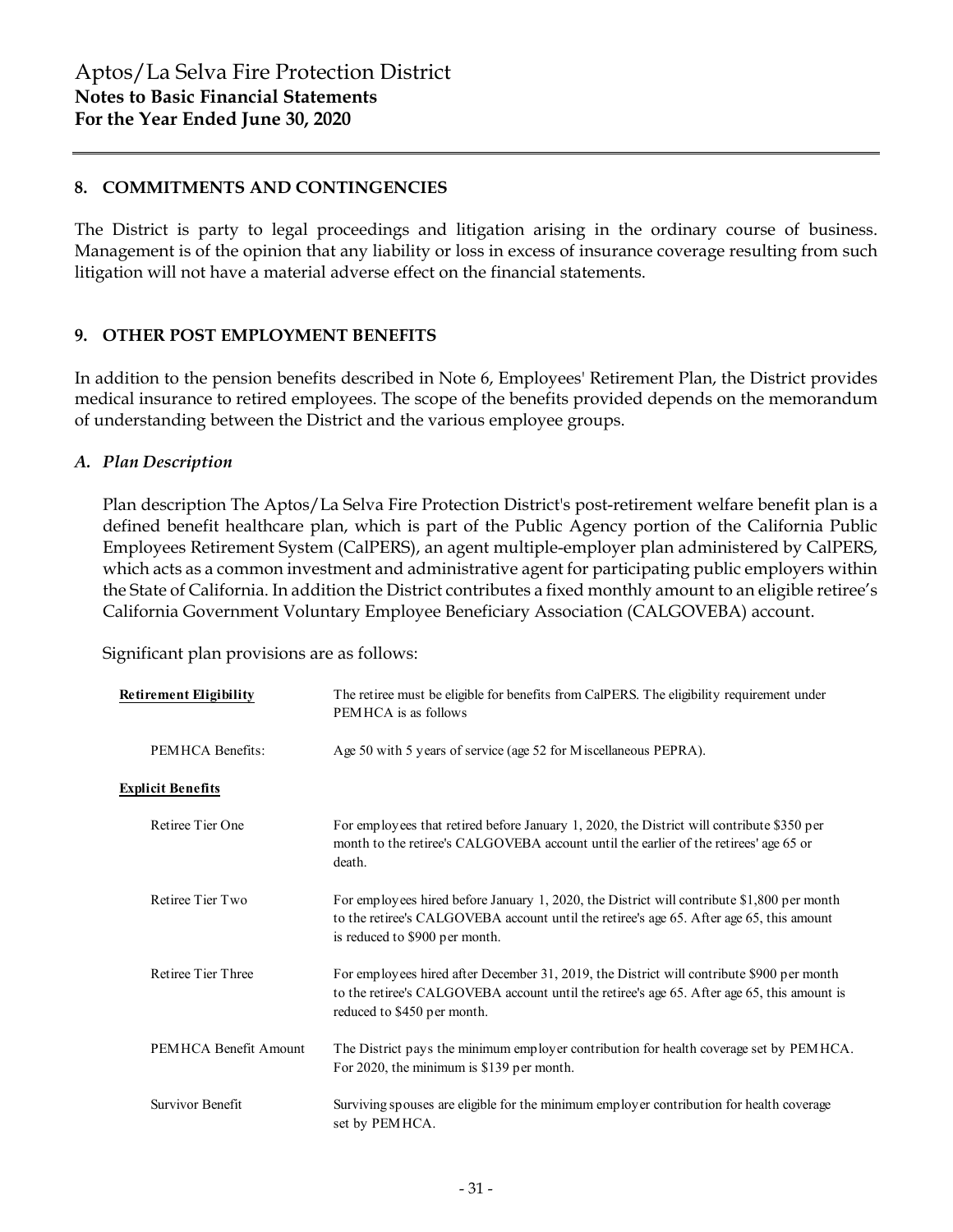#### **8. COMMITMENTS AND CONTINGENCIES**

The District is party to legal proceedings and litigation arising in the ordinary course of business. Management is of the opinion that any liability or loss in excess of insurance coverage resulting from such litigation will not have a material adverse effect on the financial statements.

#### **9. OTHER POST EMPLOYMENT BENEFITS**

In addition to the pension benefits described in Note 6, Employees' Retirement Plan, the District provides medical insurance to retired employees. The scope of the benefits provided depends on the memorandum of understanding between the District and the various employee groups.

#### *A. Plan Description*

Plan description The Aptos/La Selva Fire Protection District's post-retirement welfare benefit plan is a defined benefit healthcare plan, which is part of the Public Agency portion of the California Public Employees Retirement System (CalPERS), an agent multiple-employer plan administered by CalPERS, which acts as a common investment and administrative agent for participating public employers within the State of California. In addition the District contributes a fixed monthly amount to an eligible retiree's California Government Voluntary Employee Beneficiary Association (CALGOVEBA) account.

Significant plan provisions are as follows:

| <b>Retirement Eligibility</b> | The retiree must be eligible for benefits from CalPERS. The eligibility requirement under<br>PEMHCA is as follows                                                                                                        |  |  |  |
|-------------------------------|--------------------------------------------------------------------------------------------------------------------------------------------------------------------------------------------------------------------------|--|--|--|
| <b>PEMHCA Benefits:</b>       | Age 50 with 5 years of service (age 52 for M iscellaneous PEPRA).                                                                                                                                                        |  |  |  |
| <b>Explicit Benefits</b>      |                                                                                                                                                                                                                          |  |  |  |
| Retiree Tier One              | For employees that retired before January 1, 2020, the District will contribute \$350 per<br>month to the retiree's CALGOVEBA account until the earlier of the retirees' age 65 or<br>death.                             |  |  |  |
| Retiree Tier Two              | For employees hired before January 1, 2020, the District will contribute \$1,800 per month<br>to the retiree's CALGOVEBA account until the retiree's age 65. After age 65, this amount<br>is reduced to \$900 per month. |  |  |  |
| Retiree Tier Three            | For employees hired after December 31, 2019, the District will contribute \$900 per month<br>to the retiree's CALGOVEBA account until the retiree's age 65. After age 65, this amount is<br>reduced to \$450 per month.  |  |  |  |
| PEMHCA Benefit Amount         | The District pays the minimum employer contribution for health coverage set by PEMHCA.<br>For 2020, the minimum is \$139 per month.                                                                                      |  |  |  |
| Survivor Benefit              | Surviving spouses are eligible for the minimum employer contribution for health coverage<br>set by PEMHCA.                                                                                                               |  |  |  |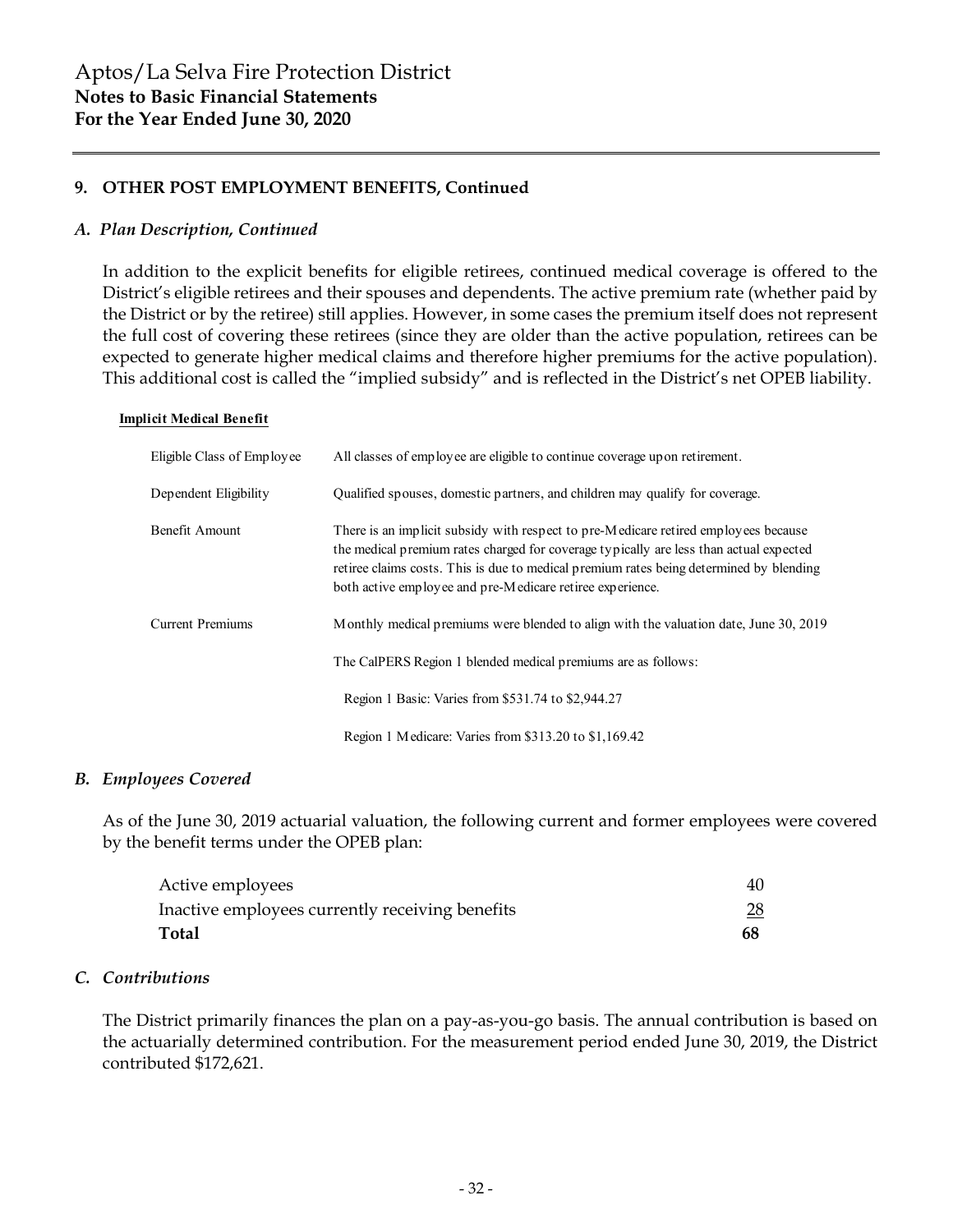#### *A. Plan Description, Continued*

In addition to the explicit benefits for eligible retirees, continued medical coverage is offered to the District's eligible retirees and their spouses and dependents. The active premium rate (whether paid by the District or by the retiree) still applies. However, in some cases the premium itself does not represent the full cost of covering these retirees (since they are older than the active population, retirees can be expected to generate higher medical claims and therefore higher premiums for the active population). This additional cost is called the "implied subsidy" and is reflected in the District's net OPEB liability.

#### **Implicit Medical Benefit**

| Eligible Class of Employee | All classes of employee are eligible to continue coverage upon retirement.                                                                                                                                                                                                                                                            |
|----------------------------|---------------------------------------------------------------------------------------------------------------------------------------------------------------------------------------------------------------------------------------------------------------------------------------------------------------------------------------|
| Dependent Eligibility      | Qualified spouses, domestic partners, and children may qualify for coverage.                                                                                                                                                                                                                                                          |
| Benefit Amount             | There is an implicit subsidy with respect to pre-Medicare retired employees because<br>the medical premium rates charged for coverage typically are less than actual expected<br>retiree claims costs. This is due to medical premium rates being determined by blending<br>both active employee and pre-Medicare retiree experience. |
| <b>Current Premiums</b>    | Monthly medical premiums were blended to align with the valuation date, June 30, 2019                                                                                                                                                                                                                                                 |
|                            | The CalPERS Region 1 blended medical premiums are as follows:                                                                                                                                                                                                                                                                         |
|                            | Region 1 Basic: Varies from \$531.74 to \$2,944.27                                                                                                                                                                                                                                                                                    |
|                            | Region 1 Medicare: Varies from \$313.20 to \$1,169.42                                                                                                                                                                                                                                                                                 |

#### *B. Employees Covered*

As of the June 30, 2019 actuarial valuation, the following current and former employees were covered by the benefit terms under the OPEB plan:

| Active employees                                | 40 |
|-------------------------------------------------|----|
| Inactive employees currently receiving benefits |    |
| Total                                           | 68 |

#### *C. Contributions*

The District primarily finances the plan on a pay-as-you-go basis. The annual contribution is based on the actuarially determined contribution. For the measurement period ended June 30, 2019, the District contributed \$172,621.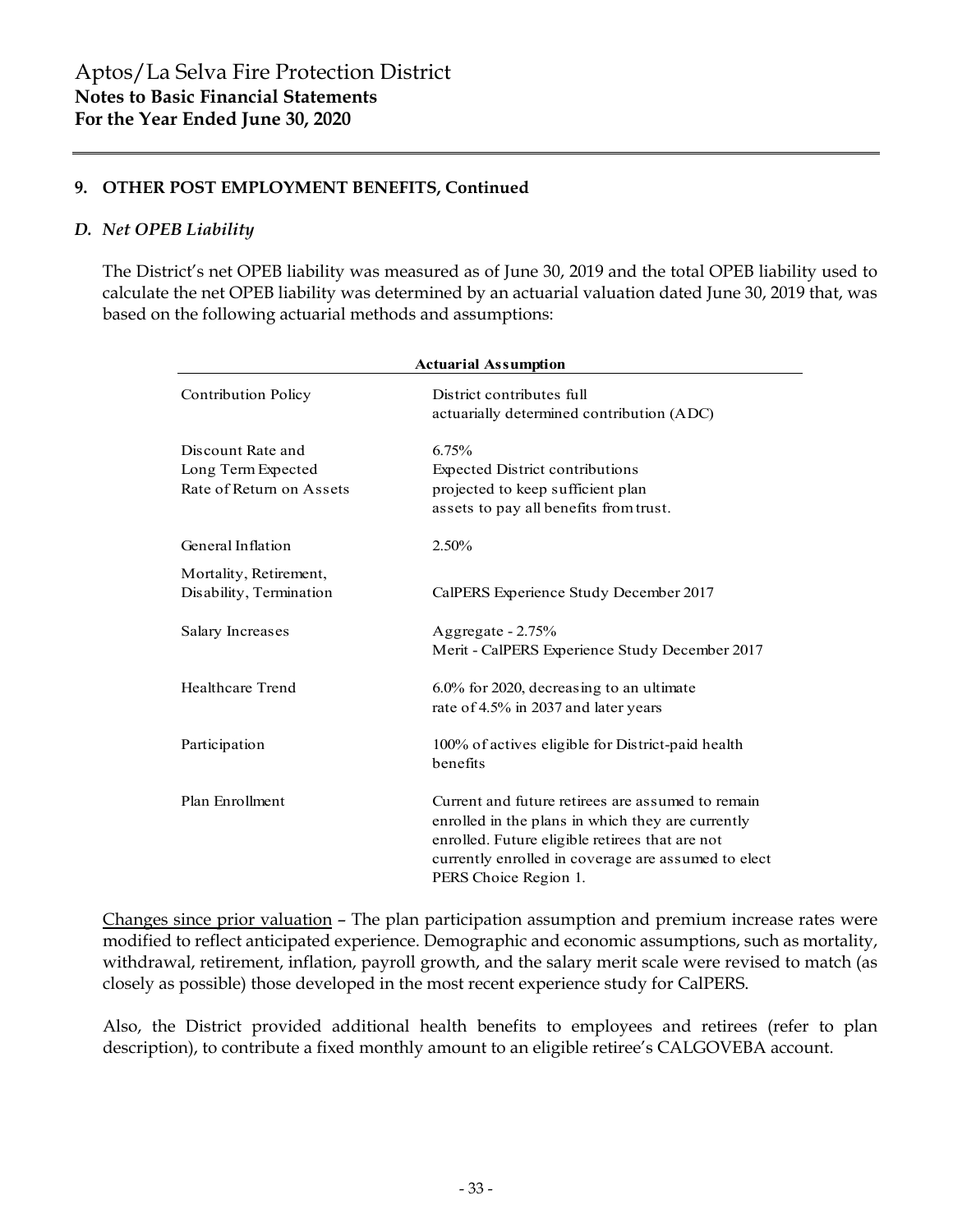#### *D. Net OPEB Liability*

The District's net OPEB liability was measured as of June 30, 2019 and the total OPEB liability used to calculate the net OPEB liability was determined by an actuarial valuation dated June 30, 2019 that, was based on the following actuarial methods and assumptions:

|                                                                     | <b>Actuarial Assumption</b>                                                                                                                                                                                                               |
|---------------------------------------------------------------------|-------------------------------------------------------------------------------------------------------------------------------------------------------------------------------------------------------------------------------------------|
| <b>Contribution Policy</b>                                          | District contributes full<br>actuarially determined contribution (ADC)                                                                                                                                                                    |
| Discount Rate and<br>Long Term Expected<br>Rate of Return on Assets | 6.75%<br><b>Expected District contributions</b><br>projected to keep sufficient plan<br>assets to pay all benefits from trust.                                                                                                            |
| General Inflation                                                   | 2.50%                                                                                                                                                                                                                                     |
| Mortality, Retirement,<br>Disability, Termination                   | CalPERS Experience Study December 2017                                                                                                                                                                                                    |
| Salary Increases                                                    | Aggregate $-2.75%$<br>Merit - CalPERS Experience Study December 2017                                                                                                                                                                      |
| Healthcare Trend                                                    | $6.0\%$ for 2020, decreasing to an ultimate<br>rate of 4.5% in 2037 and later years                                                                                                                                                       |
| Participation                                                       | 100% of actives eligible for District-paid health<br>benefits                                                                                                                                                                             |
| Plan Enrollment                                                     | Current and future retirees are assumed to remain<br>enrolled in the plans in which they are currently<br>enrolled. Future eligible retirees that are not<br>currently enrolled in coverage are assumed to elect<br>PERS Choice Region 1. |

Changes since prior valuation – The plan participation assumption and premium increase rates were modified to reflect anticipated experience. Demographic and economic assumptions, such as mortality, withdrawal, retirement, inflation, payroll growth, and the salary merit scale were revised to match (as closely as possible) those developed in the most recent experience study for CalPERS.

Also, the District provided additional health benefits to employees and retirees (refer to plan description), to contribute a fixed monthly amount to an eligible retiree's CALGOVEBA account.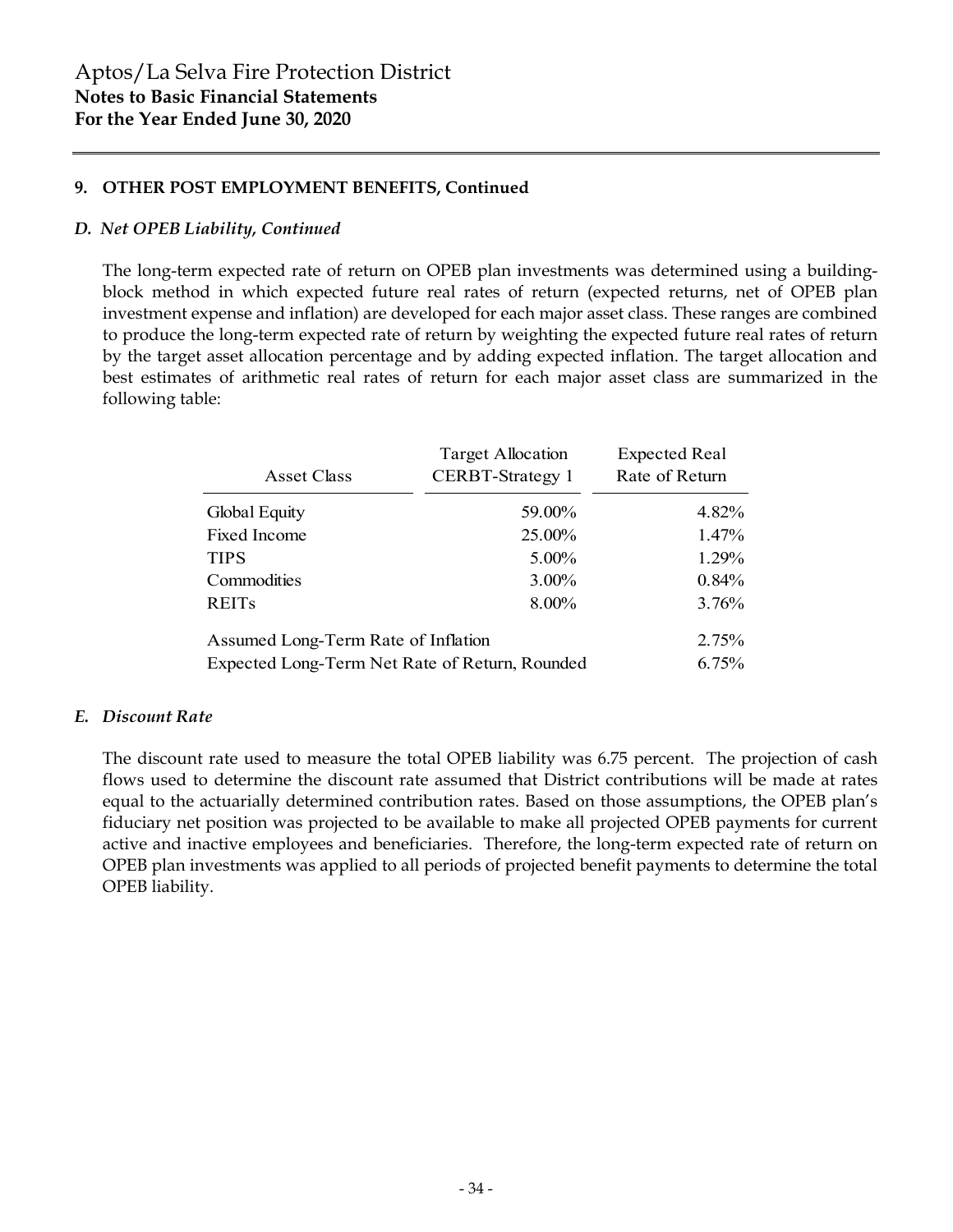#### *D. Net OPEB Liability, Continued*

The long-term expected rate of return on OPEB plan investments was determined using a buildingblock method in which expected future real rates of return (expected returns, net of OPEB plan investment expense and inflation) are developed for each major asset class. These ranges are combined to produce the long-term expected rate of return by weighting the expected future real rates of return by the target asset allocation percentage and by adding expected inflation. The target allocation and best estimates of arithmetic real rates of return for each major asset class are summarized in the following table:

| <b>Asset Class</b>                  | <b>Target Allocation</b><br><b>CERBT-Strategy 1</b> | <b>Expected Real</b><br>Rate of Return |  |  |
|-------------------------------------|-----------------------------------------------------|----------------------------------------|--|--|
|                                     |                                                     |                                        |  |  |
| Global Equity                       | 59.00%                                              | 4.82%                                  |  |  |
| Fixed Income                        | 25.00%                                              | $1.47\%$                               |  |  |
| <b>TIPS</b>                         | $5.00\%$                                            | 1.29%                                  |  |  |
| Commodities                         | 3.00%                                               | 0.84%                                  |  |  |
| <b>REITs</b>                        | 8.00%                                               | 3.76%                                  |  |  |
| Assumed Long-Term Rate of Inflation | 2.75%                                               |                                        |  |  |
|                                     | Expected Long-Term Net Rate of Return, Rounded      | 6.75%                                  |  |  |

#### *E. Discount Rate*

The discount rate used to measure the total OPEB liability was 6.75 percent. The projection of cash flows used to determine the discount rate assumed that District contributions will be made at rates equal to the actuarially determined contribution rates. Based on those assumptions, the OPEB plan's fiduciary net position was projected to be available to make all projected OPEB payments for current active and inactive employees and beneficiaries. Therefore, the long-term expected rate of return on OPEB plan investments was applied to all periods of projected benefit payments to determine the total OPEB liability.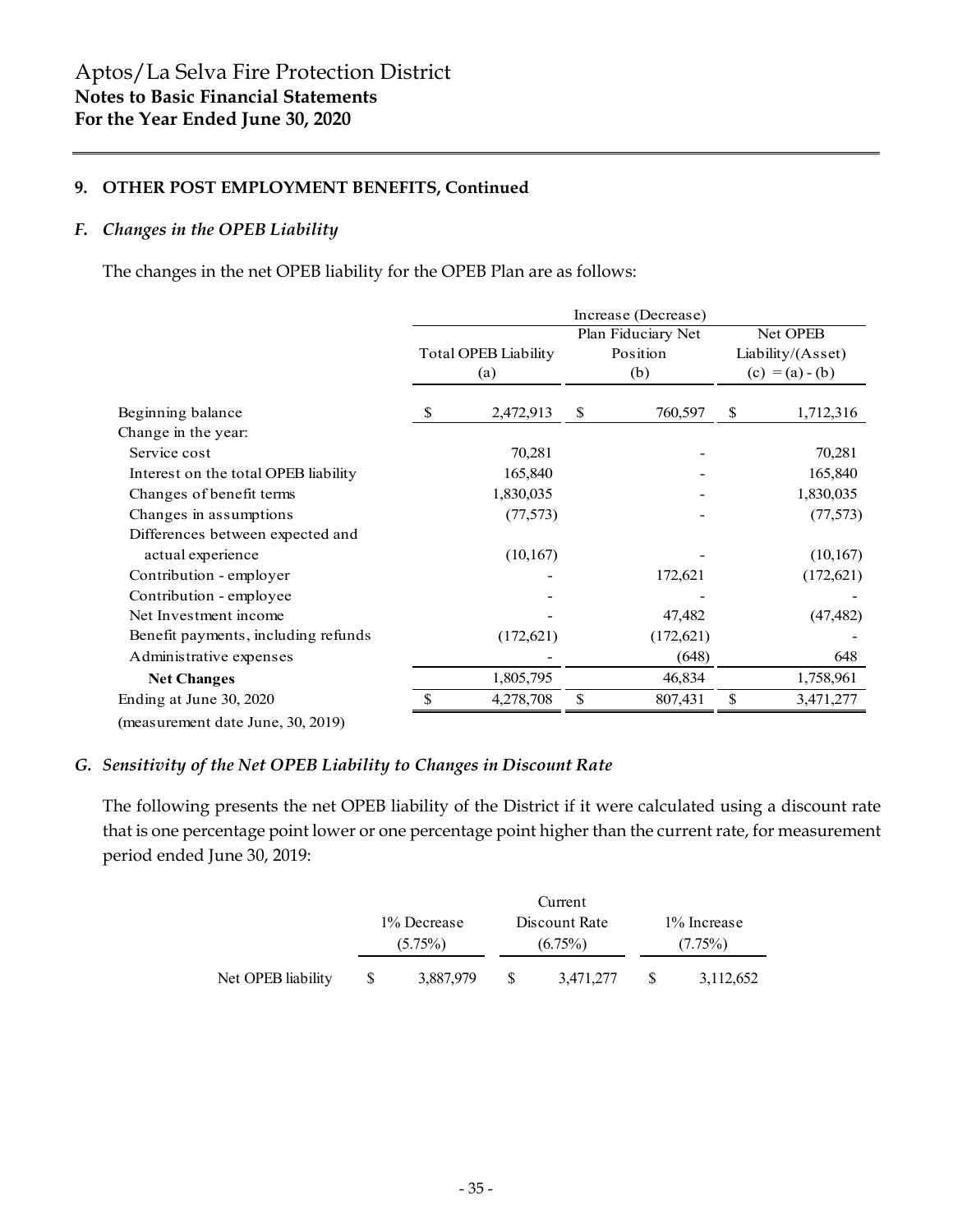#### *F. Changes in the OPEB Liability*

The changes in the net OPEB liability for the OPEB Plan are as follows:

|                                      |                                    |            |                                       | Increase (Decrease) |                                                    |            |
|--------------------------------------|------------------------------------|------------|---------------------------------------|---------------------|----------------------------------------------------|------------|
|                                      | <b>Total OPEB Liability</b><br>(a) |            | Plan Fiduciary Net<br>Position<br>(b) |                     | Net OPEB<br>Liability/(Asset)<br>$(c) = (a) - (b)$ |            |
| Beginning balance                    | -S                                 | 2,472,913  | \$                                    | 760,597             | \$                                                 | 1,712,316  |
| Change in the year:                  |                                    |            |                                       |                     |                                                    |            |
| Service cost                         |                                    | 70,281     |                                       |                     |                                                    | 70,281     |
| Interest on the total OPEB liability |                                    | 165,840    |                                       |                     |                                                    | 165,840    |
| Changes of benefit terms             |                                    | 1,830,035  |                                       |                     |                                                    | 1,830,035  |
| Changes in assumptions               |                                    | (77, 573)  |                                       |                     |                                                    | (77, 573)  |
| Differences between expected and     |                                    |            |                                       |                     |                                                    |            |
| actual experience                    |                                    | (10, 167)  |                                       |                     |                                                    | (10, 167)  |
| Contribution - employer              |                                    |            |                                       | 172,621             |                                                    | (172, 621) |
| Contribution - employee              |                                    |            |                                       |                     |                                                    |            |
| Net Investment income                |                                    |            |                                       | 47,482              |                                                    | (47, 482)  |
| Benefit payments, including refunds  |                                    | (172, 621) |                                       | (172,621)           |                                                    |            |
| Administrative expenses              |                                    |            |                                       | (648)               |                                                    | 648        |
| <b>Net Changes</b>                   |                                    | 1,805,795  |                                       | 46,834              |                                                    | 1,758,961  |
| Ending at June 30, 2020              |                                    | 4,278,708  | \$                                    | 807,431             | \$                                                 | 3,471,277  |
| (measurement date June, 30, 2019)    |                                    |            |                                       |                     |                                                    |            |

#### *G. Sensitivity of the Net OPEB Liability to Changes in Discount Rate*

The following presents the net OPEB liability of the District if it were calculated using a discount rate that is one percentage point lower or one percentage point higher than the current rate, for measurement period ended June 30, 2019:

|                    |  | Current                   |                             |           |                           |           |  |  |
|--------------------|--|---------------------------|-----------------------------|-----------|---------------------------|-----------|--|--|
|                    |  | 1% Decrease<br>$(5.75\%)$ | Discount Rate<br>$(6.75\%)$ |           | 1% Increase<br>$(7.75\%)$ |           |  |  |
| Net OPEB liability |  | 3,887,979                 |                             | 3,471,277 |                           | 3,112,652 |  |  |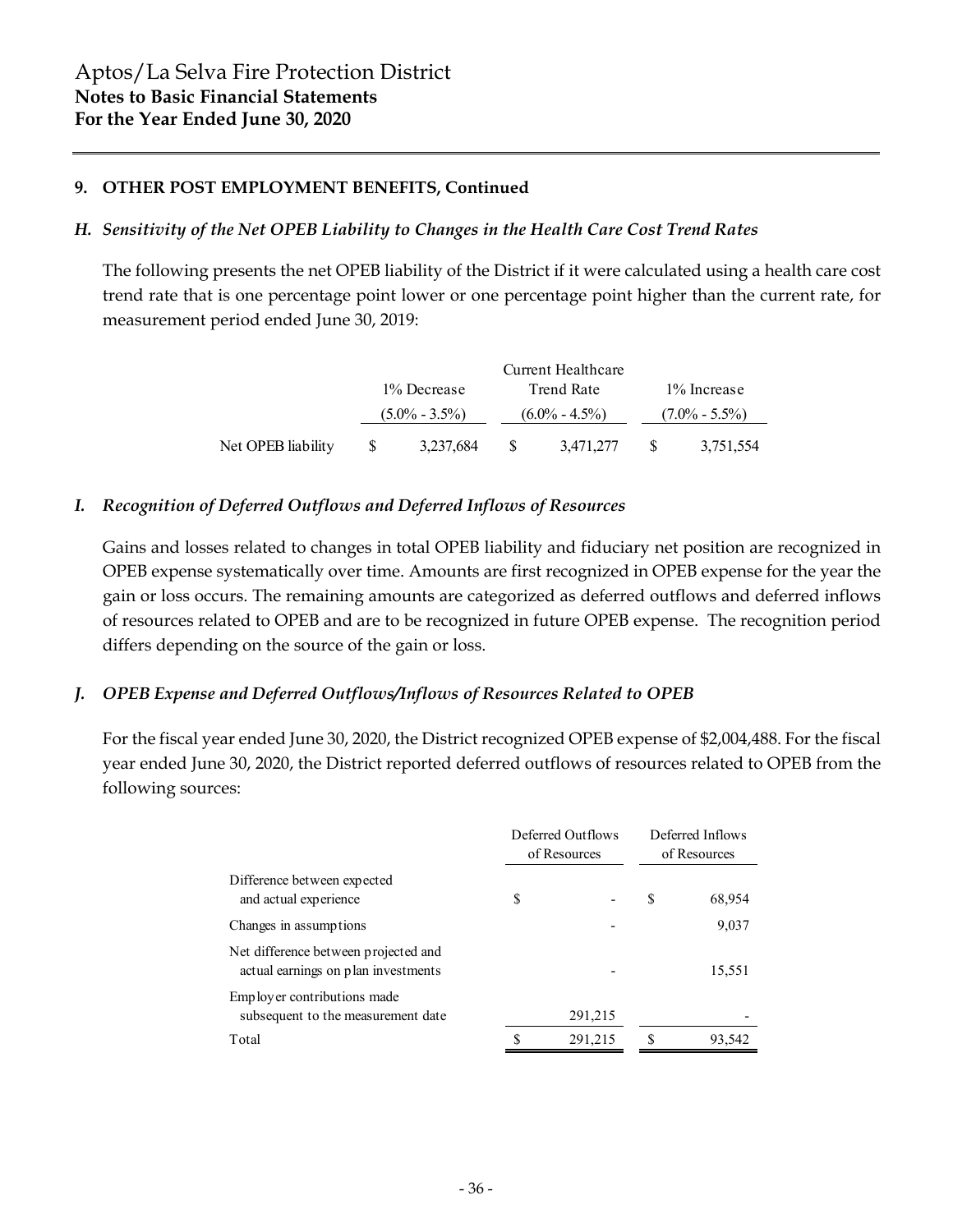#### *H. Sensitivity of the Net OPEB Liability to Changes in the Health Care Cost Trend Rates*

The following presents the net OPEB liability of the District if it were calculated using a health care cost trend rate that is one percentage point lower or one percentage point higher than the current rate, for measurement period ended June 30, 2019:

|                    | Current Healthcare |                   |            |                   |             |                   |
|--------------------|--------------------|-------------------|------------|-------------------|-------------|-------------------|
|                    | 1% Decrease        |                   | Trend Rate |                   | 1% Increase |                   |
|                    |                    | $(5.0\% - 3.5\%)$ |            | $(6.0\% - 4.5\%)$ |             | $(7.0\% - 5.5\%)$ |
| Net OPEB liability | -SS                | 3,237,684         |            | 3.471.277         |             | 3,751,554         |

#### *I. Recognition of Deferred Outflows and Deferred Inflows of Resources*

Gains and losses related to changes in total OPEB liability and fiduciary net position are recognized in OPEB expense systematically over time. Amounts are first recognized in OPEB expense for the year the gain or loss occurs. The remaining amounts are categorized as deferred outflows and deferred inflows of resources related to OPEB and are to be recognized in future OPEB expense. The recognition period differs depending on the source of the gain or loss.

### *J. OPEB Expense and Deferred Outflows/Inflows of Resources Related to OPEB*

For the fiscal year ended June 30, 2020, the District recognized OPEB expense of \$2,004,488. For the fiscal year ended June 30, 2020, the District reported deferred outflows of resources related to OPEB from the following sources:

|                                                                             |   | Deferred Outflows<br>of Resources | Deferred Inflows<br>of Resources |        |
|-----------------------------------------------------------------------------|---|-----------------------------------|----------------------------------|--------|
| Difference between expected<br>and actual experience                        | S |                                   | S                                | 68,954 |
| Changes in assumptions                                                      |   |                                   |                                  | 9,037  |
| Net difference between projected and<br>actual earnings on plan investments |   |                                   |                                  | 15,551 |
| Employer contributions made<br>subsequent to the measurement date           |   | 291,215                           |                                  |        |
| Total                                                                       |   | 291,215                           |                                  | 93,542 |
|                                                                             |   |                                   |                                  |        |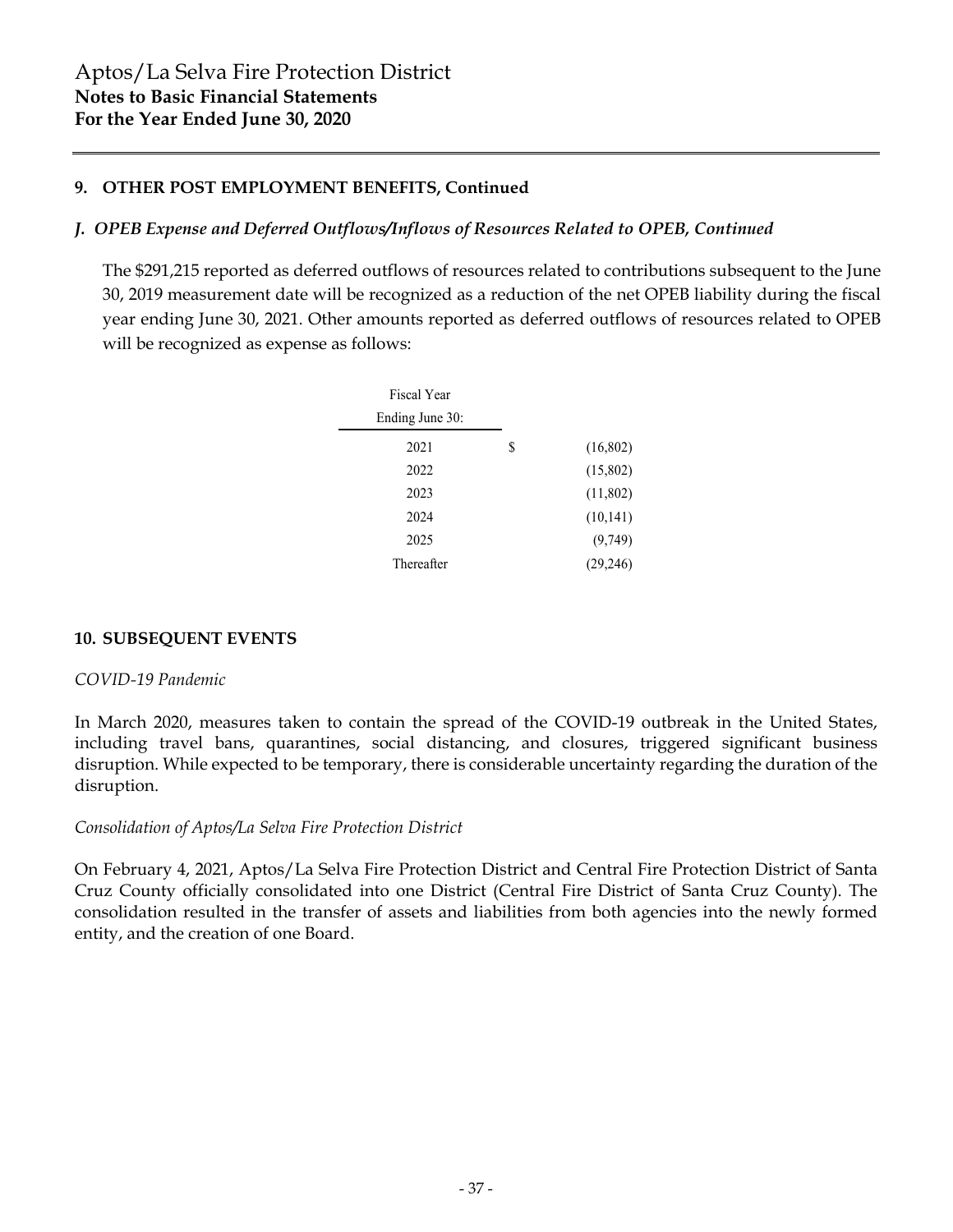#### *J. OPEB Expense and Deferred Outflows/Inflows of Resources Related to OPEB, Continued*

The \$291,215 reported as deferred outflows of resources related to contributions subsequent to the June 30, 2019 measurement date will be recognized as a reduction of the net OPEB liability during the fiscal year ending June 30, 2021. Other amounts reported as deferred outflows of resources related to OPEB will be recognized as expense as follows:

| Fiscal Year     |                |
|-----------------|----------------|
| Ending June 30: |                |
| 2021            | \$<br>(16,802) |
| 2022            | (15,802)       |
| 2023            | (11,802)       |
| 2024            | (10, 141)      |
| 2025            | (9,749)        |
| Thereafter      | (29, 246)      |
|                 |                |

#### **10. SUBSEQUENT EVENTS**

#### *COVID-19 Pandemic*

In March 2020, measures taken to contain the spread of the COVID-19 outbreak in the United States, including travel bans, quarantines, social distancing, and closures, triggered significant business disruption. While expected to be temporary, there is considerable uncertainty regarding the duration of the disruption.

#### *Consolidation of Aptos/La Selva Fire Protection District*

On February 4, 2021, Aptos/La Selva Fire Protection District and Central Fire Protection District of Santa Cruz County officially consolidated into one District (Central Fire District of Santa Cruz County). The consolidation resulted in the transfer of assets and liabilities from both agencies into the newly formed entity, and the creation of one Board.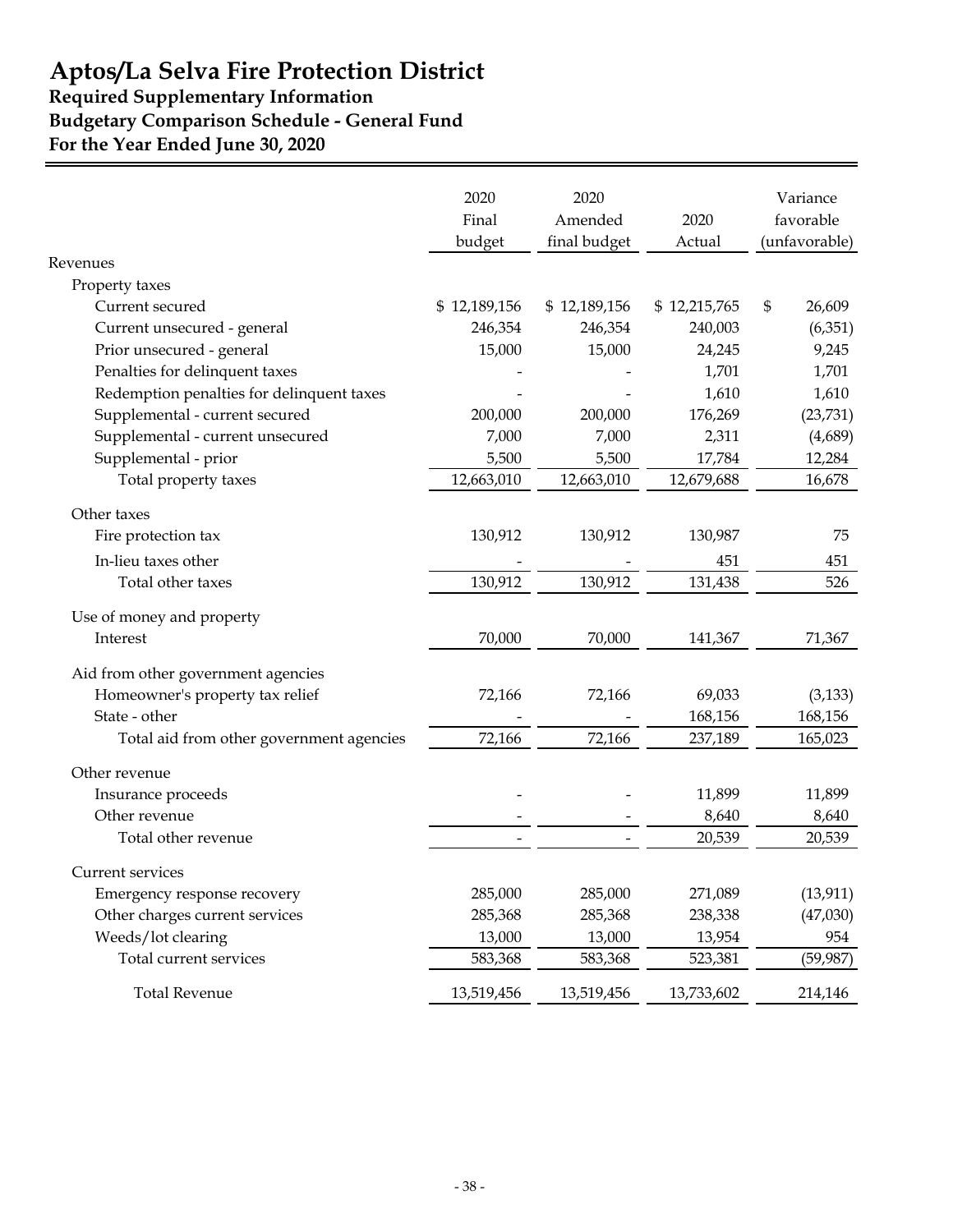# **Required Supplementary Information**

# **Budgetary Comparison Schedule - General Fund**

|                                           | 2020<br>Final<br>budget | 2020<br>Amended<br>final budget | 2020<br>Actual | Variance<br>favorable<br>(unfavorable) |
|-------------------------------------------|-------------------------|---------------------------------|----------------|----------------------------------------|
| Revenues                                  |                         |                                 |                |                                        |
| Property taxes                            |                         |                                 |                |                                        |
| Current secured                           | \$12,189,156            | \$12,189,156                    | \$12,215,765   | \$<br>26,609                           |
| Current unsecured - general               | 246,354                 | 246,354                         | 240,003        | (6,351)                                |
| Prior unsecured - general                 | 15,000                  | 15,000                          | 24,245         | 9,245                                  |
| Penalties for delinquent taxes            |                         |                                 | 1,701          | 1,701                                  |
| Redemption penalties for delinquent taxes |                         |                                 | 1,610          | 1,610                                  |
| Supplemental - current secured            | 200,000                 | 200,000                         | 176,269        | (23, 731)                              |
| Supplemental - current unsecured          | 7,000                   | 7,000                           | 2,311          | (4,689)                                |
| Supplemental - prior                      | 5,500                   | 5,500                           | 17,784         | 12,284                                 |
| Total property taxes                      | 12,663,010              | 12,663,010                      | 12,679,688     | 16,678                                 |
| Other taxes                               |                         |                                 |                |                                        |
| Fire protection tax                       | 130,912                 | 130,912                         | 130,987        | 75                                     |
| In-lieu taxes other                       |                         |                                 | 451            | 451                                    |
| Total other taxes                         | 130,912                 | 130,912                         | 131,438        | 526                                    |
|                                           |                         |                                 |                |                                        |
| Use of money and property                 | 70,000                  |                                 |                |                                        |
| Interest                                  |                         | 70,000                          | 141,367        | 71,367                                 |
| Aid from other government agencies        |                         |                                 |                |                                        |
| Homeowner's property tax relief           | 72,166                  | 72,166                          | 69,033         | (3, 133)                               |
| State - other                             |                         |                                 | 168,156        | 168,156                                |
| Total aid from other government agencies  | 72,166                  | 72,166                          | 237,189        | 165,023                                |
| Other revenue                             |                         |                                 |                |                                        |
| Insurance proceeds                        |                         |                                 | 11,899         | 11,899                                 |
| Other revenue                             |                         |                                 | 8,640          | 8,640                                  |
| Total other revenue                       |                         |                                 | 20,539         | 20,539                                 |
| Current services                          |                         |                                 |                |                                        |
| Emergency response recovery               | 285,000                 | 285,000                         | 271,089        | (13, 911)                              |
| Other charges current services            | 285,368                 | 285,368                         | 238,338        | (47,030)                               |
| Weeds/lot clearing                        | 13,000                  | 13,000                          | 13,954         | 954                                    |
| Total current services                    | 583,368                 | 583,368                         | 523,381        | (59, 987)                              |
| <b>Total Revenue</b>                      | 13,519,456              | 13,519,456                      | 13,733,602     | 214,146                                |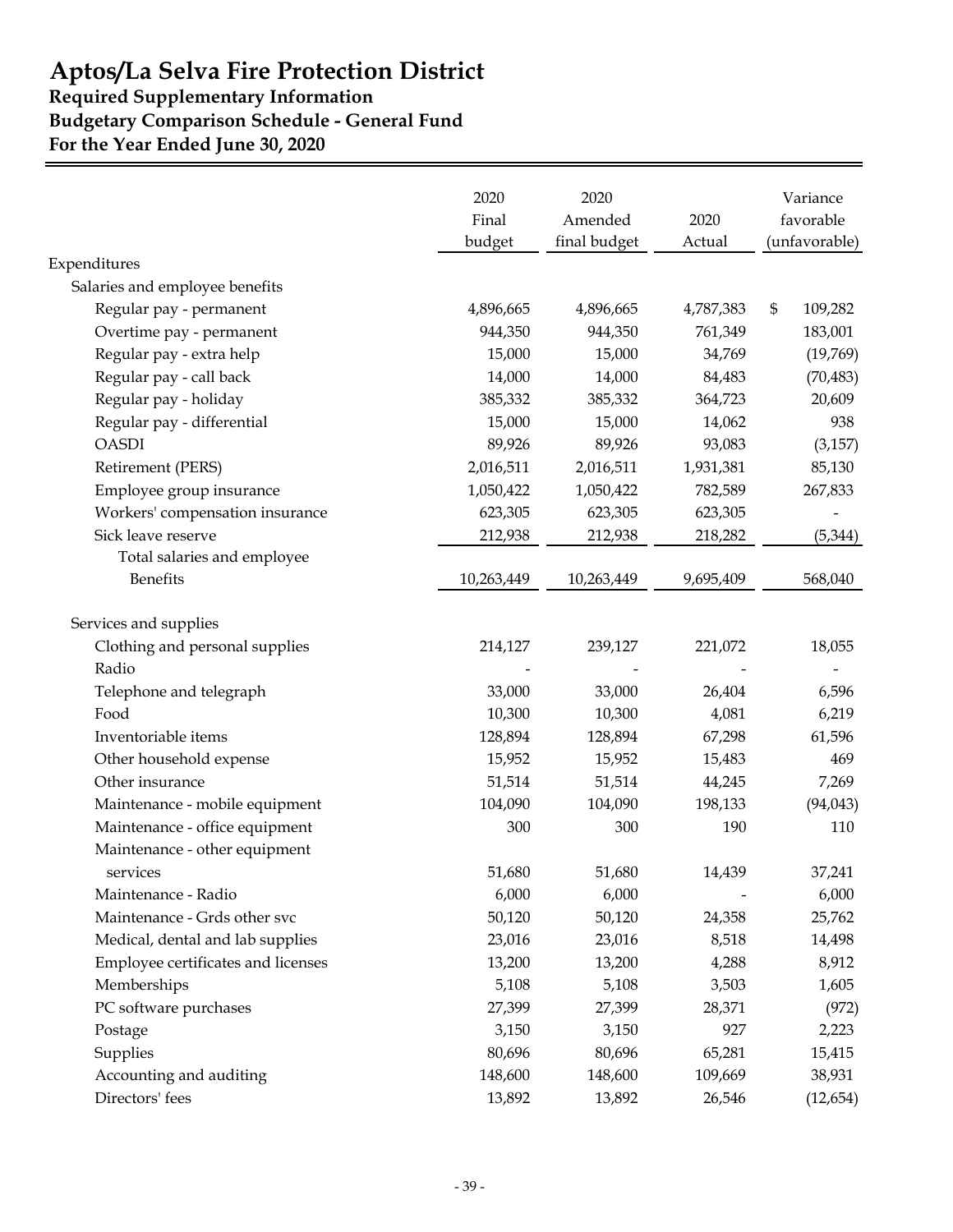# **Required Supplementary Information**

**Budgetary Comparison Schedule - General Fund**

|                                    | 2020<br>Final<br>budget | 2020<br>Amended<br>final budget | 2020<br>Actual | Variance<br>favorable<br>(unfavorable) |
|------------------------------------|-------------------------|---------------------------------|----------------|----------------------------------------|
| Expenditures                       |                         |                                 |                |                                        |
| Salaries and employee benefits     |                         |                                 |                |                                        |
| Regular pay - permanent            | 4,896,665               | 4,896,665                       | 4,787,383      | \$<br>109,282                          |
| Overtime pay - permanent           | 944,350                 | 944,350                         | 761,349        | 183,001                                |
| Regular pay - extra help           | 15,000                  | 15,000                          | 34,769         | (19,769)                               |
| Regular pay - call back            | 14,000                  | 14,000                          | 84,483         | (70, 483)                              |
| Regular pay - holiday              | 385,332                 | 385,332                         | 364,723        | 20,609                                 |
| Regular pay - differential         | 15,000                  | 15,000                          | 14,062         | 938                                    |
| <b>OASDI</b>                       | 89,926                  | 89,926                          | 93,083         | (3, 157)                               |
| Retirement (PERS)                  | 2,016,511               | 2,016,511                       | 1,931,381      | 85,130                                 |
| Employee group insurance           | 1,050,422               | 1,050,422                       | 782,589        | 267,833                                |
| Workers' compensation insurance    | 623,305                 | 623,305                         | 623,305        |                                        |
| Sick leave reserve                 | 212,938                 | 212,938                         | 218,282        | (5, 344)                               |
| Total salaries and employee        |                         |                                 |                |                                        |
| Benefits                           | 10,263,449              | 10,263,449                      | 9,695,409      | 568,040                                |
| Services and supplies              |                         |                                 |                |                                        |
| Clothing and personal supplies     | 214,127                 | 239,127                         | 221,072        | 18,055                                 |
| Radio                              |                         |                                 |                |                                        |
| Telephone and telegraph            | 33,000                  | 33,000                          | 26,404         | 6,596                                  |
| Food                               | 10,300                  | 10,300                          | 4,081          | 6,219                                  |
| Inventoriable items                | 128,894                 | 128,894                         | 67,298         | 61,596                                 |
| Other household expense            | 15,952                  | 15,952                          | 15,483         | 469                                    |
| Other insurance                    | 51,514                  | 51,514                          | 44,245         | 7,269                                  |
| Maintenance - mobile equipment     | 104,090                 | 104,090                         | 198,133        | (94, 043)                              |
| Maintenance - office equipment     | 300                     | 300                             | 190            | 110                                    |
| Maintenance - other equipment      |                         |                                 |                |                                        |
| services                           | 51,680                  | 51,680                          | 14,439         | 37,241                                 |
| Maintenance - Radio                | 6,000                   | 6,000                           |                | 6,000                                  |
| Maintenance - Grds other svc       | 50,120                  | 50,120                          | 24,358         | 25,762                                 |
| Medical, dental and lab supplies   | 23,016                  | 23,016                          | 8,518          | 14,498                                 |
| Employee certificates and licenses | 13,200                  | 13,200                          | 4,288          | 8,912                                  |
| Memberships                        | 5,108                   | 5,108                           | 3,503          | 1,605                                  |
| PC software purchases              | 27,399                  | 27,399                          | 28,371         | (972)                                  |
| Postage                            | 3,150                   | 3,150                           | 927            | 2,223                                  |
| Supplies                           | 80,696                  | 80,696                          | 65,281         | 15,415                                 |
| Accounting and auditing            | 148,600                 | 148,600                         | 109,669        | 38,931                                 |
| Directors' fees                    | 13,892                  | 13,892                          | 26,546         | (12, 654)                              |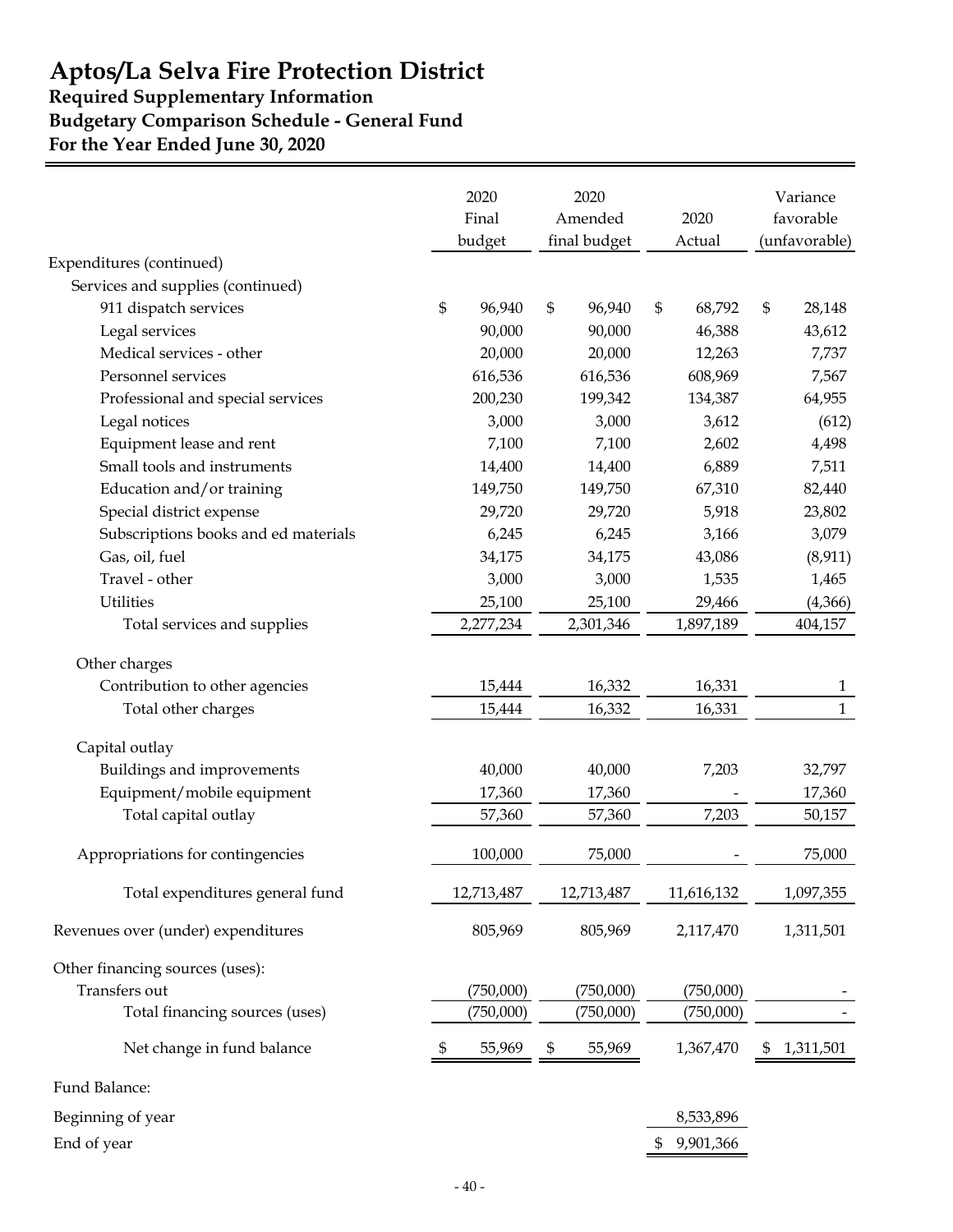# **Required Supplementary Information**

**Budgetary Comparison Schedule - General Fund**

|                                      |                           | 2020<br>Final |              | 2020<br>Amended |    | 2020       |    | Variance<br>favorable |
|--------------------------------------|---------------------------|---------------|--------------|-----------------|----|------------|----|-----------------------|
|                                      |                           | budget        | final budget |                 |    | Actual     |    | (unfavorable)         |
| Expenditures (continued)             |                           |               |              |                 |    |            |    |                       |
| Services and supplies (continued)    |                           |               |              |                 |    |            |    |                       |
| 911 dispatch services                | $\boldsymbol{\mathsf{S}}$ | 96,940        | \$           | 96,940          | \$ | 68,792     | \$ | 28,148                |
| Legal services                       |                           | 90,000        |              | 90,000          |    | 46,388     |    | 43,612                |
| Medical services - other             |                           | 20,000        |              | 20,000          |    | 12,263     |    | 7,737                 |
| Personnel services                   |                           | 616,536       |              | 616,536         |    | 608,969    |    | 7,567                 |
| Professional and special services    |                           | 200,230       |              | 199,342         |    | 134,387    |    | 64,955                |
| Legal notices                        |                           | 3,000         |              | 3,000           |    | 3,612      |    | (612)                 |
| Equipment lease and rent             |                           | 7,100         |              | 7,100           |    | 2,602      |    | 4,498                 |
| Small tools and instruments          |                           | 14,400        |              | 14,400          |    | 6,889      |    | 7,511                 |
| Education and/or training            |                           | 149,750       |              | 149,750         |    | 67,310     |    | 82,440                |
| Special district expense             |                           | 29,720        |              | 29,720          |    | 5,918      |    | 23,802                |
| Subscriptions books and ed materials |                           | 6,245         |              | 6,245           |    | 3,166      |    | 3,079                 |
| Gas, oil, fuel                       |                           | 34,175        |              | 34,175          |    | 43,086     |    | (8,911)               |
| Travel - other                       |                           | 3,000         |              | 3,000           |    | 1,535      |    | 1,465                 |
| Utilities                            |                           | 25,100        |              | 25,100          |    | 29,466     |    | (4,366)               |
| Total services and supplies          |                           | 2,277,234     |              | 2,301,346       |    | 1,897,189  |    | 404,157               |
| Other charges                        |                           |               |              |                 |    |            |    |                       |
| Contribution to other agencies       |                           | 15,444        |              | 16,332          |    | 16,331     |    | 1                     |
| Total other charges                  |                           | 15,444        |              | 16,332          |    | 16,331     |    | $\mathbf{1}$          |
| Capital outlay                       |                           |               |              |                 |    |            |    |                       |
| Buildings and improvements           |                           | 40,000        |              | 40,000          |    | 7,203      |    | 32,797                |
| Equipment/mobile equipment           |                           | 17,360        |              | 17,360          |    |            |    | 17,360                |
| Total capital outlay                 |                           | 57,360        |              | 57,360          |    | 7,203      |    | 50,157                |
| Appropriations for contingencies     |                           | 100,000       |              | 75,000          |    |            |    | 75,000                |
| Total expenditures general fund      |                           | 12,713,487    |              | 12,713,487      |    | 11,616,132 |    | 1,097,355             |
| Revenues over (under) expenditures   |                           | 805,969       |              | 805,969         |    | 2,117,470  |    | 1,311,501             |
| Other financing sources (uses):      |                           |               |              |                 |    |            |    |                       |
| Transfers out                        |                           | (750,000)     |              | (750,000)       |    | (750,000)  |    |                       |
| Total financing sources (uses)       |                           | (750,000)     |              | (750,000)       |    | (750,000)  |    |                       |
| Net change in fund balance           | \$                        | 55,969        | \$           | 55,969          |    | 1,367,470  | \$ | 1,311,501             |
| Fund Balance:                        |                           |               |              |                 |    |            |    |                       |
| Beginning of year                    |                           |               |              |                 |    | 8,533,896  |    |                       |
| End of year                          |                           |               |              |                 | \$ | 9,901,366  |    |                       |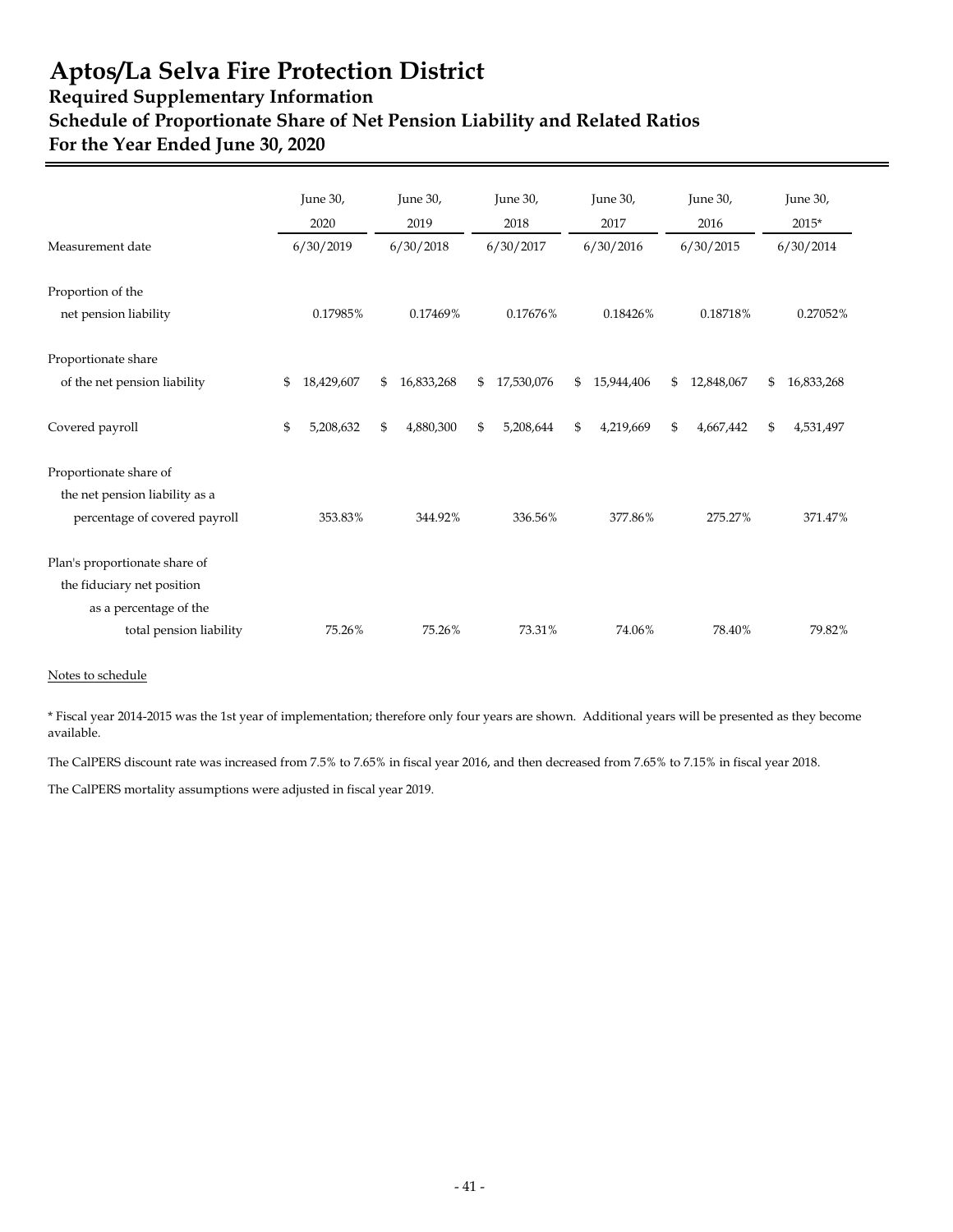# **Aptos/La Selva Fire Protection District Required Supplementary Information**

### **Schedule of Proportionate Share of Net Pension Liability and Related Ratios**

### **For the Year Ended June 30, 2020**

| Measurement date                                                                                                 | June 30,<br>2020<br>6/30/2019 | June 30,<br>2019<br>6/30/2018 | June 30,<br>2018<br>6/30/2017 | June 30,<br>2017<br>6/30/2016 | June 30,<br>2016<br>6/30/2015 | June 30,<br>2015*<br>6/30/2014 |
|------------------------------------------------------------------------------------------------------------------|-------------------------------|-------------------------------|-------------------------------|-------------------------------|-------------------------------|--------------------------------|
| Proportion of the<br>net pension liability                                                                       | 0.17985%                      | 0.17469%                      | 0.17676%                      | 0.18426%                      | 0.18718%                      | 0.27052%                       |
| Proportionate share<br>of the net pension liability                                                              | \$<br>18,429,607              | \$<br>16,833,268              | \$<br>17,530,076              | \$<br>15,944,406              | \$<br>12,848,067              | \$<br>16,833,268               |
| Covered payroll                                                                                                  | \$<br>5,208,632               | \$<br>4,880,300               | \$<br>5,208,644               | \$<br>4,219,669               | \$<br>4,667,442               | \$<br>4,531,497                |
| Proportionate share of<br>the net pension liability as a<br>percentage of covered payroll                        | 353.83%                       | 344.92%                       | 336.56%                       | 377.86%                       | 275.27%                       | 371.47%                        |
| Plan's proportionate share of<br>the fiduciary net position<br>as a percentage of the<br>total pension liability | 75.26%                        | 75.26%                        | 73.31%                        | 74.06%                        | 78.40%                        | 79.82%                         |

#### Notes to schedule

\* Fiscal year 2014-2015 was the 1st year of implementation; therefore only four years are shown. Additional years will be presented as they become available.

The CalPERS discount rate was increased from 7.5% to 7.65% in fiscal year 2016, and then decreased from 7.65% to 7.15% in fiscal year 2018.

The CalPERS mortality assumptions were adjusted in fiscal year 2019.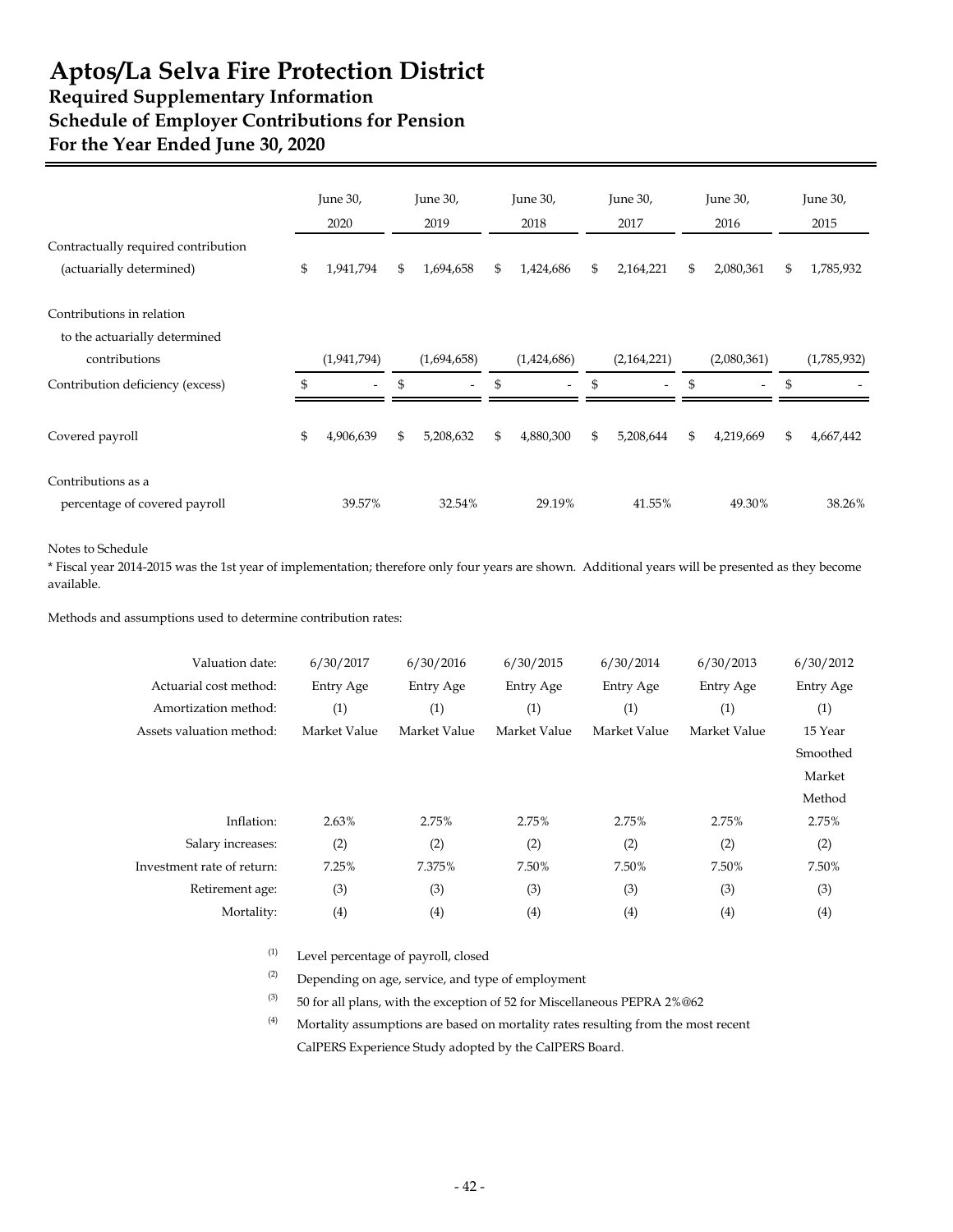# **Aptos/La Selva Fire Protection District Required Supplementary Information**

# **Schedule of Employer Contributions for Pension**

**For the Year Ended June 30, 2020**

|                                     | June 30, |                          |               | June 30,                 |               | June 30,                 | June 30,       |                          | June 30, |                          | June 30,       |             |
|-------------------------------------|----------|--------------------------|---------------|--------------------------|---------------|--------------------------|----------------|--------------------------|----------|--------------------------|----------------|-------------|
|                                     |          | 2020                     |               | 2019                     |               | 2018                     |                | 2017                     |          | 2016                     |                | 2015        |
| Contractually required contribution |          |                          |               |                          |               |                          |                |                          |          |                          |                |             |
| (actuarially determined)            | \$       | 1,941,794                | \$            | 1,694,658                | \$            | 1,424,686                | \$             | 2,164,221                | \$       | 2,080,361                | \$             | 1,785,932   |
| Contributions in relation           |          |                          |               |                          |               |                          |                |                          |          |                          |                |             |
| to the actuarially determined       |          |                          |               |                          |               |                          |                |                          |          |                          |                |             |
| contributions                       |          | (1,941,794)              |               | (1,694,658)              |               | (1,424,686)              |                | (2,164,221)              |          | (2,080,361)              |                | (1,785,932) |
| Contribution deficiency (excess)    | \$       | $\overline{\phantom{0}}$ | $\mathcal{S}$ | $\overline{\phantom{a}}$ | $\mathcal{S}$ | $\overline{\phantom{0}}$ | $\mathfrak{L}$ | $\overline{\phantom{0}}$ | \$       | $\overline{\phantom{a}}$ | $\mathfrak{s}$ |             |
| Covered payroll                     | \$       | 4,906,639                | \$            | 5,208,632                | \$            | 4,880,300                | \$             | 5,208,644                | \$       | 4,219,669                | \$             | 4,667,442   |
| Contributions as a                  |          |                          |               |                          |               |                          |                |                          |          |                          |                |             |
| percentage of covered payroll       |          | 39.57%                   |               | 32.54%                   |               | 29.19%                   |                | 41.55%                   |          | 49.30%                   |                | 38.26%      |

Notes to Schedule

\* Fiscal year 2014-2015 was the 1st year of implementation; therefore only four years are shown. Additional years will be presented as they become available.

Methods and assumptions used to determine contribution rates:

| Valuation date:            | 6/30/2017    | 6/30/2016    | 6/30/2015    | 6/30/2014         | 6/30/2013    | 6/30/2012        |
|----------------------------|--------------|--------------|--------------|-------------------|--------------|------------------|
| Actuarial cost method:     | Entry Age    | Entry Age    | Entry Age    | Entry Age         | Entry Age    | Entry Age        |
| Amortization method:       | (1)          | (1)          | (1)          | (1)               | (1)          | (1)              |
| Assets valuation method:   | Market Value | Market Value | Market Value | Market Value      | Market Value | 15 Year          |
|                            |              |              |              |                   |              | Smoothed         |
|                            |              |              |              |                   |              | Market           |
|                            |              |              |              |                   |              | Method           |
| Inflation:                 | 2.63%        | 2.75%        | 2.75%        | 2.75%             | 2.75%        | 2.75%            |
| Salary increases:          | (2)          | (2)          | (2)          | (2)               | (2)          | (2)              |
| Investment rate of return: | 7.25%        | 7.375%       | 7.50%        | 7.50%             | 7.50%        | 7.50%            |
| Retirement age:            | (3)          | (3)          | (3)          | (3)               | (3)          | (3)              |
| Mortality:                 | (4)          | (4)          | (4)          | $\left( 4\right)$ | (4)          | $\left(4\right)$ |
|                            |              |              |              |                   |              |                  |

(1) Level percentage of payroll, closed

(2) Depending on age, service, and type of employment

<sup>(3)</sup> 50 for all plans, with the exception of 52 for Miscellaneous PEPRA 2% $@62$ 

(4) Mortality assumptions are based on mortality rates resulting from the most recent CalPERS Experience Study adopted by the CalPERS Board.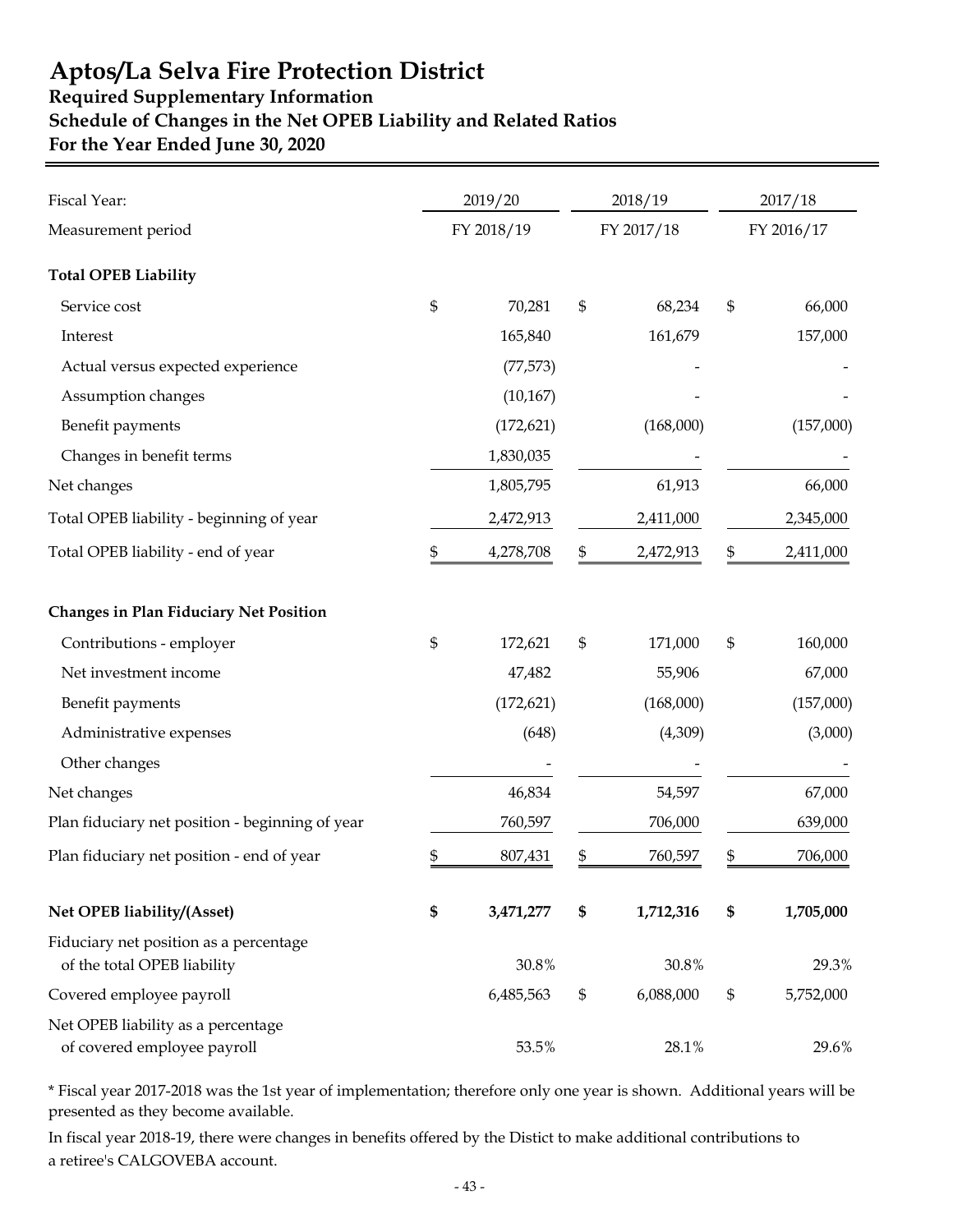## **Aptos/La Selva Fire Protection District Required Supplementary Information Schedule of Changes in the Net OPEB Liability and Related Ratios For the Year Ended June 30, 2020**

| Fiscal Year:                                                          |            | 2019/20    | 2018/19         | 2017/18 |            |  |  |
|-----------------------------------------------------------------------|------------|------------|-----------------|---------|------------|--|--|
| Measurement period                                                    | FY 2018/19 |            | FY 2017/18      |         | FY 2016/17 |  |  |
| <b>Total OPEB Liability</b>                                           |            |            |                 |         |            |  |  |
| Service cost                                                          | \$         | 70,281     | \$<br>68,234    | \$      | 66,000     |  |  |
| Interest                                                              |            | 165,840    | 161,679         |         | 157,000    |  |  |
| Actual versus expected experience                                     |            | (77, 573)  |                 |         |            |  |  |
| Assumption changes                                                    |            | (10, 167)  |                 |         |            |  |  |
| Benefit payments                                                      |            | (172, 621) | (168,000)       |         | (157,000)  |  |  |
| Changes in benefit terms                                              |            | 1,830,035  |                 |         |            |  |  |
| Net changes                                                           |            | 1,805,795  | 61,913          |         | 66,000     |  |  |
| Total OPEB liability - beginning of year                              |            | 2,472,913  | 2,411,000       |         | 2,345,000  |  |  |
| Total OPEB liability - end of year                                    | \$         | 4,278,708  | \$<br>2,472,913 | \$      | 2,411,000  |  |  |
| <b>Changes in Plan Fiduciary Net Position</b>                         |            |            |                 |         |            |  |  |
| Contributions - employer                                              | \$         | 172,621    | \$<br>171,000   | \$      | 160,000    |  |  |
| Net investment income                                                 |            | 47,482     | 55,906          |         | 67,000     |  |  |
| Benefit payments                                                      |            | (172, 621) | (168,000)       |         | (157,000)  |  |  |
| Administrative expenses                                               |            | (648)      | (4,309)         |         | (3,000)    |  |  |
| Other changes                                                         |            |            |                 |         |            |  |  |
| Net changes                                                           |            | 46,834     | 54,597          |         | 67,000     |  |  |
| Plan fiduciary net position - beginning of year                       |            | 760,597    | 706,000         |         | 639,000    |  |  |
| Plan fiduciary net position - end of year                             | \$         | 807,431    | \$<br>760,597   | \$      | 706,000    |  |  |
| Net OPEB liability/(Asset)                                            | \$         | 3,471,277  | \$<br>1,712,316 | \$      | 1,705,000  |  |  |
| Fiduciary net position as a percentage<br>of the total OPEB liability |            | 30.8%      | 30.8%           |         | 29.3%      |  |  |
| Covered employee payroll                                              |            | 6,485,563  | \$<br>6,088,000 | \$      | 5,752,000  |  |  |
| Net OPEB liability as a percentage<br>of covered employee payroll     |            | 53.5%      | 28.1%           |         | 29.6%      |  |  |

\* Fiscal year 2017-2018 was the 1st year of implementation; therefore only one year is shown. Additional years will be presented as they become available.

In fiscal year 2018-19, there were changes in benefits offered by the Distict to make additional contributions to a retiree's CALGOVEBA account.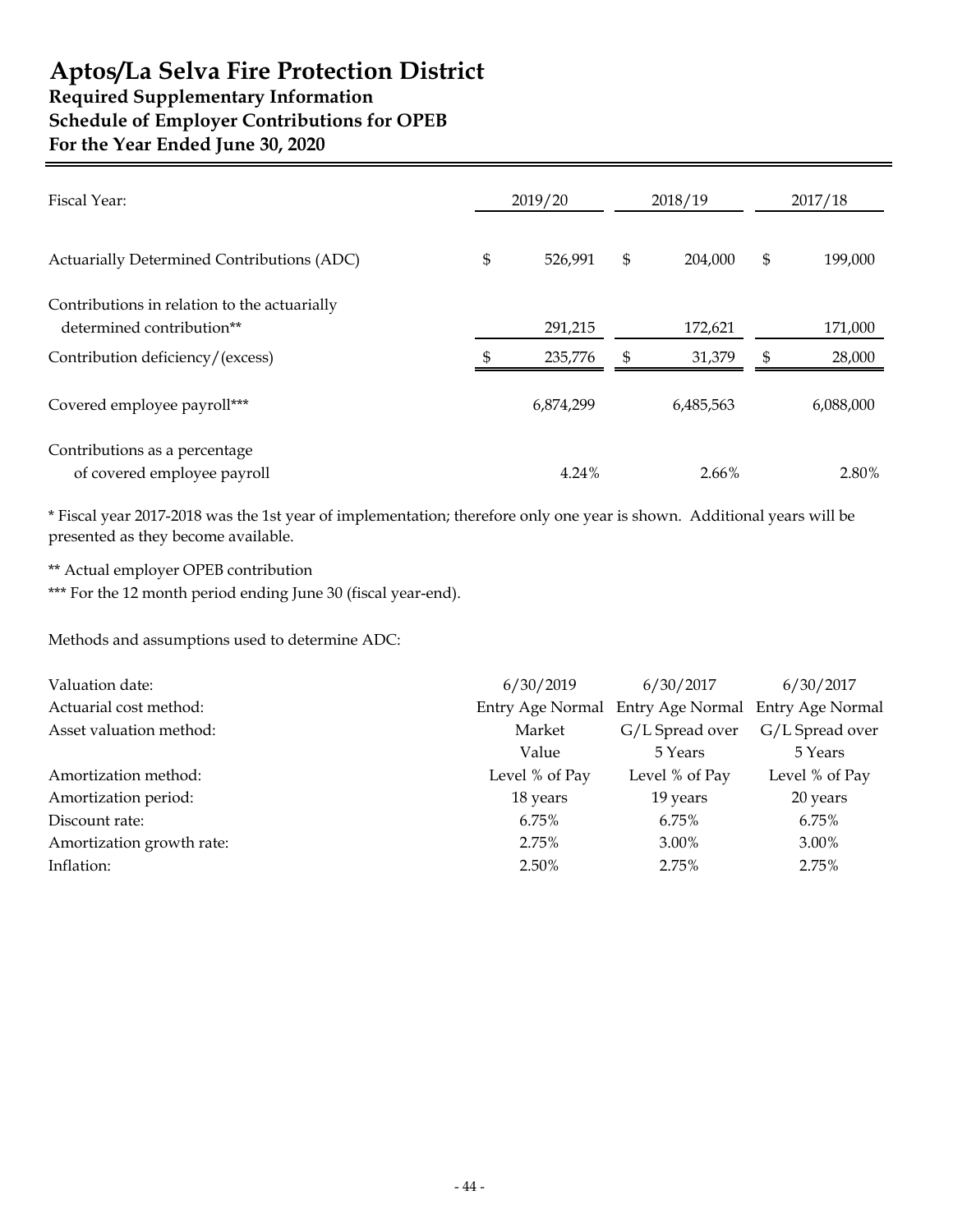## **Required Supplementary Information**

## **Schedule of Employer Contributions for OPEB**

# **For the Year Ended June 30, 2020**

| Fiscal Year:                                                              | 2019/20 |           |    | 2018/19   | 2017/18 |           |  |
|---------------------------------------------------------------------------|---------|-----------|----|-----------|---------|-----------|--|
| Actuarially Determined Contributions (ADC)                                | \$      | 526,991   | \$ | 204,000   | \$      | 199,000   |  |
| Contributions in relation to the actuarially<br>determined contribution** |         | 291,215   |    | 172,621   |         | 171,000   |  |
| Contribution deficiency/(excess)                                          |         | 235,776   | \$ | 31,379    | \$      | 28,000    |  |
| Covered employee payroll***                                               |         | 6,874,299 |    | 6,485,563 |         | 6,088,000 |  |
| Contributions as a percentage<br>of covered employee payroll              |         | 4.24%     |    | 2.66%     |         | 2.80%     |  |

\* Fiscal year 2017-2018 was the 1st year of implementation; therefore only one year is shown. Additional years will be presented as they become available.

\*\* Actual employer OPEB contribution

\*\*\* For the 12 month period ending June 30 (fiscal year-end).

Methods and assumptions used to determine ADC:

| 6/30/2019      | 6/30/2017       | 6/30/2017                                          |
|----------------|-----------------|----------------------------------------------------|
|                |                 |                                                    |
| Market         | G/L Spread over | G/L Spread over                                    |
| Value          | 5 Years         | 5 Years                                            |
| Level % of Pay | Level % of Pay  | Level % of Pay                                     |
| 18 years       | 19 years        | 20 years                                           |
| 6.75%          | 6.75%           | 6.75%                                              |
| 2.75%          | 3.00%           | 3.00%                                              |
| 2.50%          | 2.75%           | 2.75%                                              |
|                |                 | Entry Age Normal Entry Age Normal Entry Age Normal |